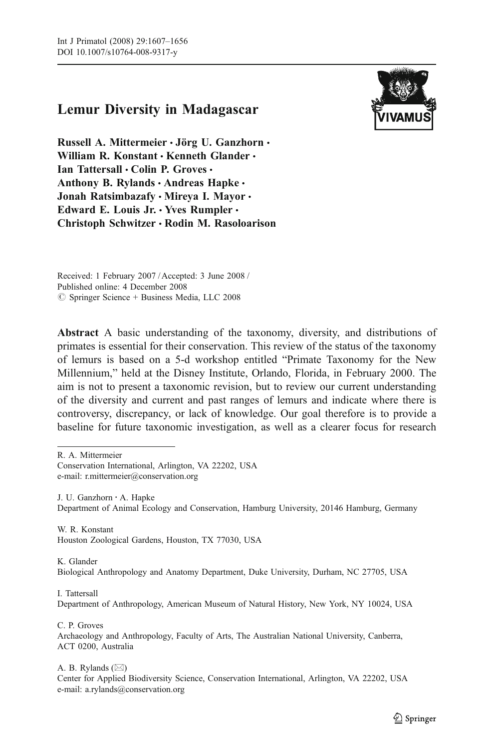

# Lemur Diversity in Madagascar

Russell A. Mittermeier · Jörg U. Ganzhorn · William R. Konstant • Kenneth Glander • Ian Tattersall . Colin P. Groves . Anthony B. Rylands · Andreas Hapke · Jonah Ratsimbazafy · Mireya I. Mayor · Edward E. Louis Jr. • Yves Rumpler • Christoph Schwitzer · Rodin M. Rasoloarison

Received: 1 February 2007 / Accepted: 3 June 2008 / Published online: 4 December 2008  $\circledcirc$  Springer Science + Business Media, LLC 2008

Abstract A basic understanding of the taxonomy, diversity, and distributions of primates is essential for their conservation. This review of the status of the taxonomy of lemurs is based on a 5-d workshop entitled "Primate Taxonomy for the New Millennium," held at the Disney Institute, Orlando, Florida, in February 2000. The aim is not to present a taxonomic revision, but to review our current understanding of the diversity and current and past ranges of lemurs and indicate where there is controversy, discrepancy, or lack of knowledge. Our goal therefore is to provide a baseline for future taxonomic investigation, as well as a clearer focus for research

R. A. Mittermeier

Conservation International, Arlington, VA 22202, USA e-mail: r.mittermeier@conservation.org

J. U. Ganzhorn *:* A. Hapke Department of Animal Ecology and Conservation, Hamburg University, 20146 Hamburg, Germany

W. R. Konstant Houston Zoological Gardens, Houston, TX 77030, USA

K. Glander Biological Anthropology and Anatomy Department, Duke University, Durham, NC 27705, USA

I. Tattersall Department of Anthropology, American Museum of Natural History, New York, NY 10024, USA

C. P. Groves Archaeology and Anthropology, Faculty of Arts, The Australian National University, Canberra, ACT 0200, Australia

A. B. Rylands  $(\boxtimes)$ 

Center for Applied Biodiversity Science, Conservation International, Arlington, VA 22202, USA e-mail: a.rylands@conservation.org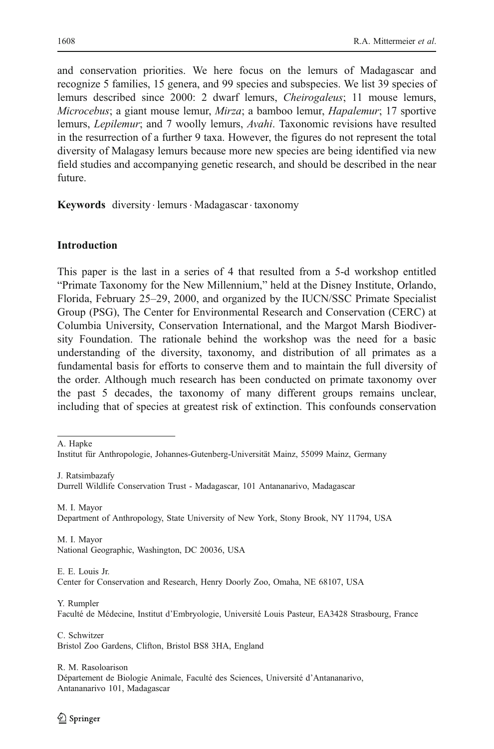and conservation priorities. We here focus on the lemurs of Madagascar and recognize 5 families, 15 genera, and 99 species and subspecies. We list 39 species of lemurs described since 2000: 2 dwarf lemurs, Cheirogaleus; 11 mouse lemurs, Microcebus; a giant mouse lemur, Mirza; a bamboo lemur, Hapalemur; 17 sportive lemurs, Lepilemur; and 7 woolly lemurs, Avahi. Taxonomic revisions have resulted in the resurrection of a further 9 taxa. However, the figures do not represent the total diversity of Malagasy lemurs because more new species are being identified via new field studies and accompanying genetic research, and should be described in the near future.

Keywords diversity · lemurs · Madagascar · taxonomy

# Introduction

This paper is the last in a series of 4 that resulted from a 5-d workshop entitled "Primate Taxonomy for the New Millennium," held at the Disney Institute, Orlando, Florida, February 25–29, 2000, and organized by the IUCN/SSC Primate Specialist Group (PSG), The Center for Environmental Research and Conservation (CERC) at Columbia University, Conservation International, and the Margot Marsh Biodiversity Foundation. The rationale behind the workshop was the need for a basic understanding of the diversity, taxonomy, and distribution of all primates as a fundamental basis for efforts to conserve them and to maintain the full diversity of the order. Although much research has been conducted on primate taxonomy over the past 5 decades, the taxonomy of many different groups remains unclear, including that of species at greatest risk of extinction. This confounds conservation

A. Hapke

J. Ratsimbazafy Durrell Wildlife Conservation Trust - Madagascar, 101 Antananarivo, Madagascar

M. I. Mayor Department of Anthropology, State University of New York, Stony Brook, NY 11794, USA

M. I. Mayor National Geographic, Washington, DC 20036, USA

Y. Rumpler Faculté de Médecine, Institut d'Embryologie, Université Louis Pasteur, EA3428 Strasbourg, France

C. Schwitzer Bristol Zoo Gardens, Clifton, Bristol BS8 3HA, England

R. M. Rasoloarison Département de Biologie Animale, Faculté des Sciences, Université d'Antananarivo, Antananarivo 101, Madagascar

Institut für Anthropologie, Johannes-Gutenberg-Universität Mainz, 55099 Mainz, Germany

E. E. Louis Jr. Center for Conservation and Research, Henry Doorly Zoo, Omaha, NE 68107, USA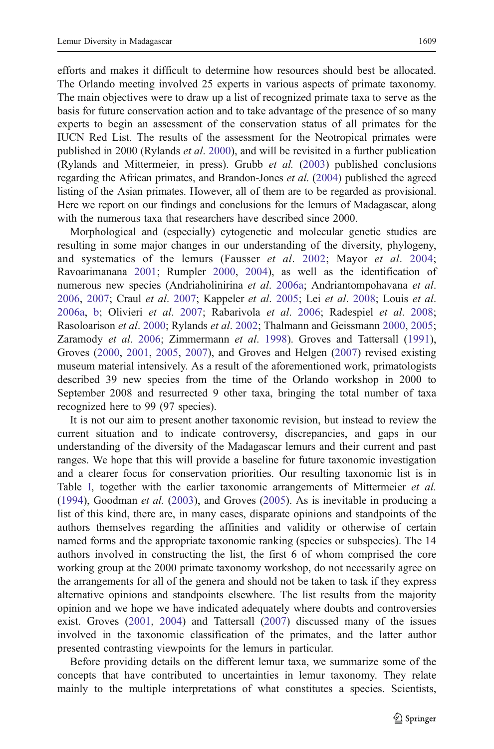efforts and makes it difficult to determine how resources should best be allocated. The Orlando meeting involved 25 experts in various aspects of primate taxonomy. The main objectives were to draw up a list of recognized primate taxa to serve as the basis for future conservation action and to take advantage of the presence of so many experts to begin an assessment of the conservation status of all primates for the IUCN Red List. The results of the assessment for the Neotropical primates were published in 2000 (Rylands et al. [2000\)](#page-46-0), and will be revisited in a further publication (Rylands and Mittermeier, in press). Grubb et al. ([2003\)](#page-42-0) published conclusions

regarding the African primates, and Brandon-Jones et al. [\(2004\)](#page-40-0) published the agreed listing of the Asian primates. However, all of them are to be regarded as provisional. Here we report on our findings and conclusions for the lemurs of Madagascar, along with the numerous taxa that researchers have described since 2000.

Morphological and (especially) cytogenetic and molecular genetic studies are resulting in some major changes in our understanding of the diversity, phylogeny, and systematics of the lemurs (Fausser et al. [2002](#page-40-0); Mayor et al. [2004;](#page-43-0) Ravoarimanana [2001;](#page-45-0) Rumpler [2000,](#page-45-0) [2004](#page-46-0)), as well as the identification of numerous new species (Andriaholinirina et al. [2006a](#page-39-0); Andriantompohavana et al. [2006,](#page-39-0) [2007](#page-39-0); Craul et al. [2007;](#page-40-0) Kappeler et al. [2005;](#page-42-0) Lei et al. [2008](#page-43-0); Louis et al. [2006a](#page-43-0), [b](#page-43-0); Olivieri et al. [2007](#page-44-0); Rabarivola et al. [2006](#page-44-0); Radespiel et al. [2008;](#page-45-0) Rasoloarison et al. [2000](#page-45-0); Rylands et al. [2002;](#page-46-0) Thalmann and Geissmann [2000,](#page-48-0) [2005;](#page-48-0) Zaramody et al. [2006](#page-49-0); Zimmermann et al. [1998\)](#page-49-0). Groves and Tattersall ([1991\)](#page-42-0), Groves ([2000](#page-41-0), [2001,](#page-42-0) [2005,](#page-42-0) [2007\)](#page-42-0), and Groves and Helgen [\(2007\)](#page-42-0) revised existing museum material intensively. As a result of the aforementioned work, primatologists described 39 new species from the time of the Orlando workshop in 2000 to September 2008 and resurrected 9 other taxa, bringing the total number of taxa recognized here to 99 (97 species).

It is not our aim to present another taxonomic revision, but instead to review the current situation and to indicate controversy, discrepancies, and gaps in our understanding of the diversity of the Madagascar lemurs and their current and past ranges. We hope that this will provide a baseline for future taxonomic investigation and a clearer focus for conservation priorities. Our resulting taxonomic list is in Table [I](#page-3-0), together with the earlier taxonomic arrangements of Mittermeier et al. [\(1994](#page-43-0)), Goodman et al. ([2003\)](#page-41-0), and Groves [\(2005](#page-42-0)). As is inevitable in producing a list of this kind, there are, in many cases, disparate opinions and standpoints of the authors themselves regarding the affinities and validity or otherwise of certain named forms and the appropriate taxonomic ranking (species or subspecies). The 14 authors involved in constructing the list, the first 6 of whom comprised the core working group at the 2000 primate taxonomy workshop, do not necessarily agree on the arrangements for all of the genera and should not be taken to task if they express alternative opinions and standpoints elsewhere. The list results from the majority opinion and we hope we have indicated adequately where doubts and controversies exist. Groves [\(2001](#page-42-0), [2004](#page-42-0)) and Tattersall [\(2007](#page-48-0)) discussed many of the issues involved in the taxonomic classification of the primates, and the latter author presented contrasting viewpoints for the lemurs in particular.

Before providing details on the different lemur taxa, we summarize some of the concepts that have contributed to uncertainties in lemur taxonomy. They relate mainly to the multiple interpretations of what constitutes a species. Scientists,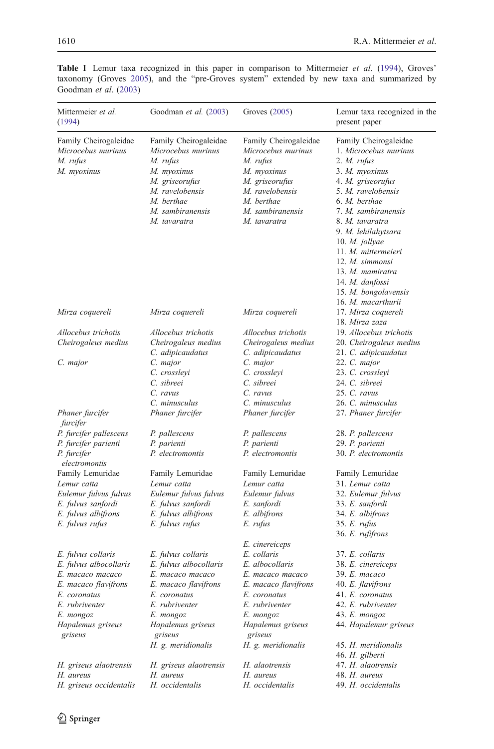| Mittermeier et al.<br>(1994)                                                                                               | Goodman et al. (2003)                                                                                                                                         | Groves $(2005)$                                                                                                                                               | Lemur taxa recognized in the<br>present paper                                                                                                                                                                                                                                                                                           |
|----------------------------------------------------------------------------------------------------------------------------|---------------------------------------------------------------------------------------------------------------------------------------------------------------|---------------------------------------------------------------------------------------------------------------------------------------------------------------|-----------------------------------------------------------------------------------------------------------------------------------------------------------------------------------------------------------------------------------------------------------------------------------------------------------------------------------------|
| Family Cheirogaleidae<br>Microcebus murinus<br>M. rufus<br>M. myoxinus                                                     | Family Cheirogaleidae<br>Microcebus murinus<br>M. rufus<br>M. myoxinus<br>M. griseorufus<br>M. ravelobensis<br>M. berthae<br>M. sambiranensis<br>M. tavaratra | Family Cheirogaleidae<br>Microcebus murinus<br>M. rufus<br>M. myoxinus<br>M. griseorufus<br>M. ravelobensis<br>M. berthae<br>M. sambiranensis<br>M. tavaratra | Family Cheirogaleidae<br>1. Microcebus murinus<br>2. M. rufus<br>3. M. myoxinus<br>4. M. griseorufus<br>5. M. ravelobensis<br>6. M. berthae<br>7. M. sambiranensis<br>8. M. tavaratra<br>9. M. lehilahytsara<br>10. M. jollyae<br>11. M. mittermeieri<br>12. M. simmonsi<br>13. M. mamiratra<br>14. M. danfossi<br>15. M. bongolavensis |
| Mirza coquereli                                                                                                            | Mirza coquereli                                                                                                                                               | Mirza coquereli                                                                                                                                               | 16. M. macarthurii<br>17. Mirza coquereli<br>18. Mirza zaza                                                                                                                                                                                                                                                                             |
| Allocebus trichotis<br>Cheirogaleus medius                                                                                 | Allocebus trichotis<br>Cheirogaleus medius<br>C. adipicaudatus                                                                                                | Allocebus trichotis<br>Cheirogaleus medius<br>C. adipicaudatus                                                                                                | 19. Allocebus trichotis<br>20. Cheirogaleus medius<br>21. C. adipicaudatus                                                                                                                                                                                                                                                              |
| C. major                                                                                                                   | C. major<br>C. crossleyi<br>C. sibreei<br>C. ravus                                                                                                            | C. major<br>C. crosslevi<br>C. sibreei<br>$C.$ rayus                                                                                                          | 22. C. major<br>23. C. crosslevi<br>24. C. sibreei<br>25. C. ravus                                                                                                                                                                                                                                                                      |
| Phaner furcifer<br>furcifer                                                                                                | C. minusculus<br>Phaner furcifer                                                                                                                              | C. minusculus<br>Phaner furcifer                                                                                                                              | 26. C. minusculus<br>27. Phaner furcifer                                                                                                                                                                                                                                                                                                |
| P. furcifer pallescens<br>P. furcifer parienti<br>P. furcifer<br>electromontis                                             | P. pallescens<br>P. parienti<br>P. electromontis                                                                                                              | P. pallescens<br>P. parienti<br>P. electromontis                                                                                                              | 28. P. pallescens<br>29. P. parienti<br>30. P. electromontis                                                                                                                                                                                                                                                                            |
| Family Lemuridae<br>Lemur catta<br>Eulemur fulvus fulvus<br>E. fulvus sanfordi<br>E. fulvus albifrons<br>E. fulvus rufus   | Family Lemuridae<br>Lemur catta<br>Eulemur fulvus fulvus<br>E. fulvus sanfordi<br>E. fulvus albifrons<br>E. fulvus rufus                                      | Family Lemuridae<br>Lemur catta<br>Eulemur fulvus<br>E. sanfordi<br>E. albifrons<br>E. rufus                                                                  | Family Lemuridae<br>31. Lemur catta<br>32. Eulemur fulvus<br>33. E. sanfordi<br>34. E. albifrons<br>35. E. rufus                                                                                                                                                                                                                        |
| E. fulvus collaris<br>E. fulvus albocollaris<br>E. macaco macaco<br>E. macaco flavifrons<br>E. coronatus<br>E. rubriventer | E. fulvus collaris<br>E. fulvus albocollaris<br>E. macaco macaco<br>E. macaco flavifrons<br>E. coronatus<br>E. rubriventer                                    | E. cinereiceps<br>E. collaris<br>E. albocollaris<br>E. macaco macaco<br>E. macaco flavifrons<br>E. coronatus<br>E. rubriventer                                | 36. E. rufifrons<br>37. E. collaris<br>38. E. cinereiceps<br>39. Е. тасасо<br>40. E. flavifrons<br>41. E. coronatus<br>42. E. rubriventer                                                                                                                                                                                               |
| E. mongoz<br>Hapalemus griseus<br>griseus                                                                                  | E. mongoz<br>Hapalemus griseus<br>griseus<br>H. g. meridionalis                                                                                               | E. mongoz<br>Hapalemus griseus<br>griseus<br>H. g. meridionalis                                                                                               | 43. E. mongoz<br>44. Hapalemur griseus<br>45. H. meridionalis<br>46. H. gilberti                                                                                                                                                                                                                                                        |
| H. griseus alaotrensis<br>H. aureus<br>H. griseus occidentalis                                                             | H. griseus alaotrensis<br>H. aureus<br>H. occidentalis                                                                                                        | H. alaotrensis<br>H. aureus<br>H. occidentalis                                                                                                                | 47. H. alaotrensis<br>48. H. aureus<br>49. H. occidentalis                                                                                                                                                                                                                                                                              |

<span id="page-3-0"></span>Table I Lemur taxa recognized in this paper in comparison to Mittermeier et al. [\(1994](#page-43-0)), Groves' taxonomy (Groves [2005](#page-42-0)), and the "pre-Groves system" extended by new taxa and summarized by Goodman et al. [\(2003](#page-41-0))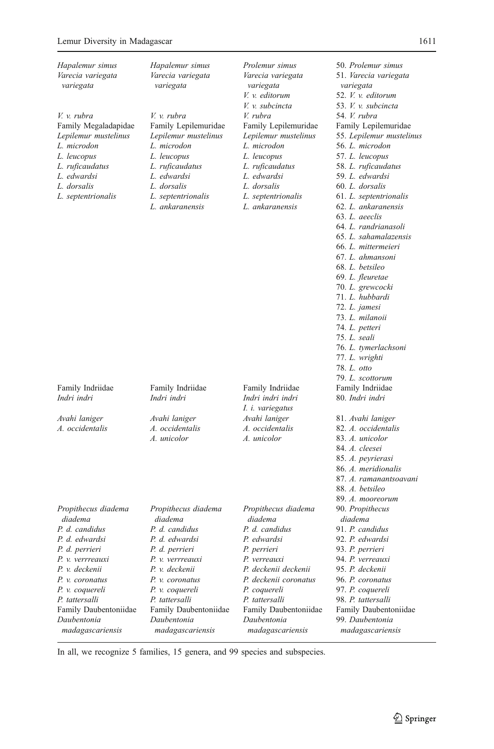Varecia variegata variegata

| V. v. rubra          | V. v. rubra          | V. rubra             | 54. V. rubra    |
|----------------------|----------------------|----------------------|-----------------|
| Family Megaladapidae | Family Lepilemuridae | Family Lepilemuridae | Family Lepiler  |
| Lepilemur mustelinus | Lepilemur mustelinus | Lepilemur mustelinus | 55. Lepilemur   |
| L. microdon          | L. microdon          | L. microdon          | 56. L. microdo  |
| L. leucopus          | L. leucopus          | L. leucopus          | 57. L. leucopu  |
| L. ruficaudatus      | L. ruficaudatus      | L. ruficaudatus      | 58. L. ruficauc |
| L. edwardsi          | L. edwardsi          | L. edwardsi          | 59. L. edwards  |
| L. dorsalis          | L. dorsalis          | L. dorsalis          | 60. L. dorsalis |
| L. septentrionalis   | L. septentrionalis   | L. septentrionalis   | 61. L. septentr |
|                      |                      |                      |                 |

Varecia variegata variegata

- V. v. rubra V. v. rubra V. rubra 54. V. rubra Family Lepilemuridae Family Lepilemuridae Family Lepilemuridae Lepilemur mustelinus Lepilemur mustelinus Lepilemur mustelinus 55. Lepilemur mustelinus L. microdon L. microdon L. microdon 56. L. microdon L. leucopus L. leucopus L. leucopus 57. L. leucopus L. ruficaudatus L. ruficaudatus L. ruficaudatus 58. L. ruficaudatus L. edwardsi L. edwardsi L. edwardsi 59. L. edwardsi
- Hapalemur simus Hapalemur simus Prolemur simus 50. Prolemur simus Varecia variegata variegata<br>V. v. editorum V. v. editorum 52. V. v. editorum<br>V. v. subcincta 53. V. v. subcincta V. v. subcincta 53. V. v. subcincta L. septentrionalis L. septentrionalis L. septentrionalis 61. L. septentrionalis

66. L. mittermeieri 67. L. ahmansoni 68. L. betsileo 69. L. fleuretae 70. L. grewcocki 71. L. hubbardi 72. L. jamesi 73. L. milanoii 74. L. petteri 75. L. seali 76. L. tymerlachsoni 77. L. wrighti 78. L. otto 79. L. scottorum Family Indriidae Family Indriidae Family Indriidae Family Indriidae Indri indri Indri indri Indri indri indri 80. Indri indri I. i. variegatus Avahi laniger Avahi laniger Avahi laniger 81. Avahi laniger A. occidentalis A. occidentalis A. occidentalis 82. A. occidentalis A. unicolor A. unicolor 83. A. unicolor 84. A. cleesei 85. A. peyrierasi 86. A. meridionalis 87. A. ramanantsoavani 88. A. betsileo 89. A. mooreorum diadema

| Propithecus diadema             | Propithecus diadema             | Propithecus diadema             | 90. Propithecus                     |
|---------------------------------|---------------------------------|---------------------------------|-------------------------------------|
| diadema                         | diadema                         | diadema                         | diadema                             |
| P. d. candidus                  | P. d. candidus                  | P. d. candidus                  | 91. P. candidus                     |
| P. d. edwardsi                  | P. d. edwardsi                  | P. edwardsi                     | 92. P. edwardsi                     |
| P. d. perrieri                  | P. d. perrieri                  | P. perrieri                     | 93. P. perrieri                     |
| P. v. verrreauxi                | P. v. verrreauxi                | P. verreauxi                    | 94. P. verreauxi                    |
| P. v. deckenii                  | P. v. deckenii                  | P. deckenii deckenii            | 95. P. deckenii                     |
| P. v. coronatus                 | P. v. coronatus                 | P. deckenii coronatus           | 96. P. coronatus                    |
| P. v. coquereli                 | P. v. coquereli                 | P. coquereli                    | 97. P. coquereli                    |
| P. tattersalli                  | P. tattersalli                  | P. tattersalli                  | 98. P. tattersalli                  |
| Family Daubentoniidae           | Family Daubentoniidae           | Family Daubentoniidae           | Family Daubentoniidae               |
| Daubentonia<br>madagascariensis | Daubentonia<br>madagascariensis | Daubentonia<br>madagascariensis | 99. Daubentonia<br>madagascariensis |
|                                 |                                 |                                 |                                     |

In all, we recognize 5 families, 15 genera, and 99 species and subspecies.

51. Varecia variegata variegata

L. ankaranensis L. ankaranensis 62. L. ankaranensis 63. L. aeeclis 64. L. randrianasoli 65. L. sahamalazensis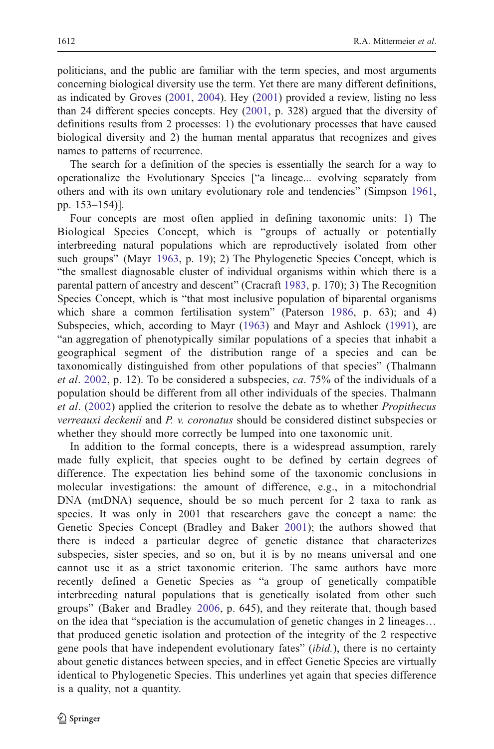politicians, and the public are familiar with the term species, and most arguments concerning biological diversity use the term. Yet there are many different definitions, as indicated by Groves [\(2001](#page-42-0), [2004\)](#page-42-0). Hey ([2001\)](#page-42-0) provided a review, listing no less than 24 different species concepts. Hey ([2001,](#page-42-0) p. 328) argued that the diversity of definitions results from 2 processes: 1) the evolutionary processes that have caused biological diversity and 2) the human mental apparatus that recognizes and gives names to patterns of recurrence.

The search for a definition of the species is essentially the search for a way to operationalize the Evolutionary Species ["a lineage... evolving separately from others and with its own unitary evolutionary role and tendencies" (Simpson [1961,](#page-47-0) pp. 153–154)].

Four concepts are most often applied in defining taxonomic units: 1) The Biological Species Concept, which is "groups of actually or potentially interbreeding natural populations which are reproductively isolated from other such groups" (Mayr [1963](#page-43-0), p. 19); 2) The Phylogenetic Species Concept, which is "the smallest diagnosable cluster of individual organisms within which there is a parental pattern of ancestry and descent" (Cracraft [1983,](#page-40-0) p. 170); 3) The Recognition Species Concept, which is "that most inclusive population of biparental organisms which share a common fertilisation system" (Paterson [1986](#page-44-0), p. 63); and 4) Subspecies, which, according to Mayr [\(1963](#page-43-0)) and Mayr and Ashlock ([1991\)](#page-43-0), are "an aggregation of phenotypically similar populations of a species that inhabit a geographical segment of the distribution range of a species and can be taxonomically distinguished from other populations of that species" (Thalmann et al. [2002](#page-48-0), p. 12). To be considered a subspecies, ca. 75% of the individuals of a population should be different from all other individuals of the species. Thalmann et al. ([2002](#page-48-0)) applied the criterion to resolve the debate as to whether Propithecus verreauxi deckenii and P. v. coronatus should be considered distinct subspecies or whether they should more correctly be lumped into one taxonomic unit.

In addition to the formal concepts, there is a widespread assumption, rarely made fully explicit, that species ought to be defined by certain degrees of difference. The expectation lies behind some of the taxonomic conclusions in molecular investigations: the amount of difference, e.g., in a mitochondrial DNA (mtDNA) sequence, should be so much percent for 2 taxa to rank as species. It was only in 2001 that researchers gave the concept a name: the Genetic Species Concept (Bradley and Baker [2001\)](#page-40-0); the authors showed that there is indeed a particular degree of genetic distance that characterizes subspecies, sister species, and so on, but it is by no means universal and one cannot use it as a strict taxonomic criterion. The same authors have more recently defined a Genetic Species as "a group of genetically compatible interbreeding natural populations that is genetically isolated from other such groups" (Baker and Bradley [2006,](#page-40-0) p. 645), and they reiterate that, though based on the idea that "speciation is the accumulation of genetic changes in 2 lineages… that produced genetic isolation and protection of the integrity of the 2 respective gene pools that have independent evolutionary fates" (ibid.), there is no certainty about genetic distances between species, and in effect Genetic Species are virtually identical to Phylogenetic Species. This underlines yet again that species difference is a quality, not a quantity.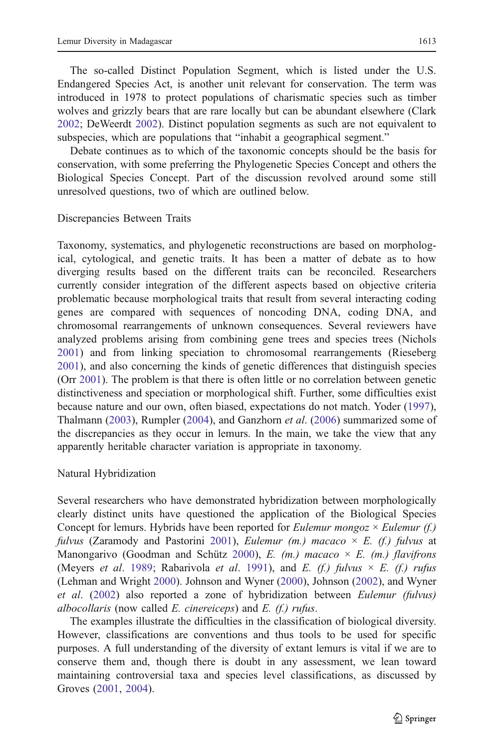The so-called Distinct Population Segment, which is listed under the U.S. Endangered Species Act, is another unit relevant for conservation. The term was introduced in 1978 to protect populations of charismatic species such as timber wolves and grizzly bears that are rare locally but can be abundant elsewhere (Clark [2002;](#page-40-0) DeWeerdt [2002\)](#page-40-0). Distinct population segments as such are not equivalent to subspecies, which are populations that "inhabit a geographical segment."

Debate continues as to which of the taxonomic concepts should be the basis for conservation, with some preferring the Phylogenetic Species Concept and others the Biological Species Concept. Part of the discussion revolved around some still unresolved questions, two of which are outlined below.

## Discrepancies Between Traits

Taxonomy, systematics, and phylogenetic reconstructions are based on morphological, cytological, and genetic traits. It has been a matter of debate as to how diverging results based on the different traits can be reconciled. Researchers currently consider integration of the different aspects based on objective criteria problematic because morphological traits that result from several interacting coding genes are compared with sequences of noncoding DNA, coding DNA, and chromosomal rearrangements of unknown consequences. Several reviewers have analyzed problems arising from combining gene trees and species trees (Nichols [2001\)](#page-43-0) and from linking speciation to chromosomal rearrangements (Rieseberg [2001\)](#page-45-0), and also concerning the kinds of genetic differences that distinguish species (Orr [2001\)](#page-44-0). The problem is that there is often little or no correlation between genetic distinctiveness and speciation or morphological shift. Further, some difficulties exist because nature and our own, often biased, expectations do not match. Yoder ([1997\)](#page-49-0), Thalmann [\(2003](#page-48-0)), Rumpler [\(2004](#page-46-0)), and Ganzhorn *et al.* ([2006\)](#page-41-0) summarized some of the discrepancies as they occur in lemurs. In the main, we take the view that any apparently heritable character variation is appropriate in taxonomy.

#### Natural Hybridization

Several researchers who have demonstrated hybridization between morphologically clearly distinct units have questioned the application of the Biological Species Concept for lemurs. Hybrids have been reported for *Eulemur mongoz*  $\times$  *Eulemur (f.)* fulvus (Zaramody and Pastorini [2001\)](#page-49-0), Eulemur (m.) macaco  $\times$  E. (f.) fulvus at Manongarivo (Goodman and Schütz [2000\)](#page-41-0), E. (m.) macaco  $\times$  E. (m.) flavifrons (Meyers et al. [1989;](#page-43-0) Rabarivola et al. [1991\)](#page-44-0), and E. (f.) fulvus  $\times$  E. (f.) rufus (Lehman and Wright [2000\)](#page-43-0). Johnson and Wyner ([2000\)](#page-42-0), Johnson ([2002\)](#page-42-0), and Wyner et al. [\(2002](#page-49-0)) also reported a zone of hybridization between Eulemur (fulvus) albocollaris (now called  $E$ . cinereiceps) and  $E$ . (f.) rufus.

The examples illustrate the difficulties in the classification of biological diversity. However, classifications are conventions and thus tools to be used for specific purposes. A full understanding of the diversity of extant lemurs is vital if we are to conserve them and, though there is doubt in any assessment, we lean toward maintaining controversial taxa and species level classifications, as discussed by Groves [\(2001](#page-42-0), [2004\)](#page-42-0).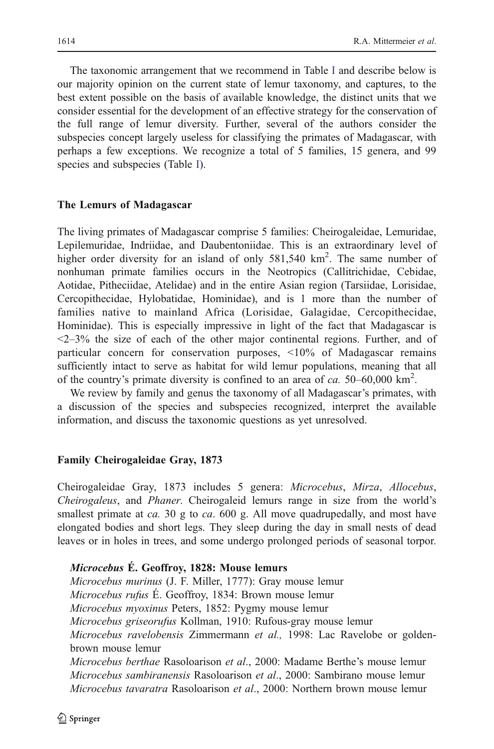The taxonomic arrangement that we recommend in Table [I](#page-3-0) and describe below is our majority opinion on the current state of lemur taxonomy, and captures, to the best extent possible on the basis of available knowledge, the distinct units that we consider essential for the development of an effective strategy for the conservation of the full range of lemur diversity. Further, several of the authors consider the subspecies concept largely useless for classifying the primates of Madagascar, with perhaps a few exceptions. We recognize a total of 5 families, 15 genera, and 99 species and subspecies (Table [I\)](#page-3-0).

# The Lemurs of Madagascar

The living primates of Madagascar comprise 5 families: Cheirogaleidae, Lemuridae, Lepilemuridae, Indriidae, and Daubentoniidae. This is an extraordinary level of higher order diversity for an island of only  $581,540 \text{ km}^2$ . The same number of nonhuman primate families occurs in the Neotropics (Callitrichidae, Cebidae, Aotidae, Pitheciidae, Atelidae) and in the entire Asian region (Tarsiidae, Lorisidae, Cercopithecidae, Hylobatidae, Hominidae), and is 1 more than the number of families native to mainland Africa (Lorisidae, Galagidae, Cercopithecidae, Hominidae). This is especially impressive in light of the fact that Madagascar is  $\leq$ 2–3% the size of each of the other major continental regions. Further, and of particular concern for conservation purposes, <10% of Madagascar remains sufficiently intact to serve as habitat for wild lemur populations, meaning that all of the country's primate diversity is confined to an area of  $ca. 50-60,000 \text{ km}^2$ .

We review by family and genus the taxonomy of all Madagascar's primates, with a discussion of the species and subspecies recognized, interpret the available information, and discuss the taxonomic questions as yet unresolved.

## Family Cheirogaleidae Gray, 1873

Cheirogaleidae Gray, 1873 includes 5 genera: Microcebus, Mirza, Allocebus, Cheirogaleus, and Phaner. Cheirogaleid lemurs range in size from the world's smallest primate at  $ca. 30$  g to  $ca. 600$  g. All move quadrupedally, and most have elongated bodies and short legs. They sleep during the day in small nests of dead leaves or in holes in trees, and some undergo prolonged periods of seasonal torpor.

# Microcebus É. Geoffroy, 1828: Mouse lemurs

Microcebus murinus (J. F. Miller, 1777): Gray mouse lemur Microcebus rufus É. Geoffroy, 1834: Brown mouse lemur Microcebus myoxinus Peters, 1852: Pygmy mouse lemur Microcebus griseorufus Kollman, 1910: Rufous-gray mouse lemur Microcebus ravelobensis Zimmermann et al., 1998: Lac Ravelobe or goldenbrown mouse lemur Microcebus berthae Rasoloarison et al., 2000: Madame Berthe's mouse lemur

Microcebus sambiranensis Rasoloarison et al., 2000: Sambirano mouse lemur Microcebus tavaratra Rasoloarison et al., 2000: Northern brown mouse lemur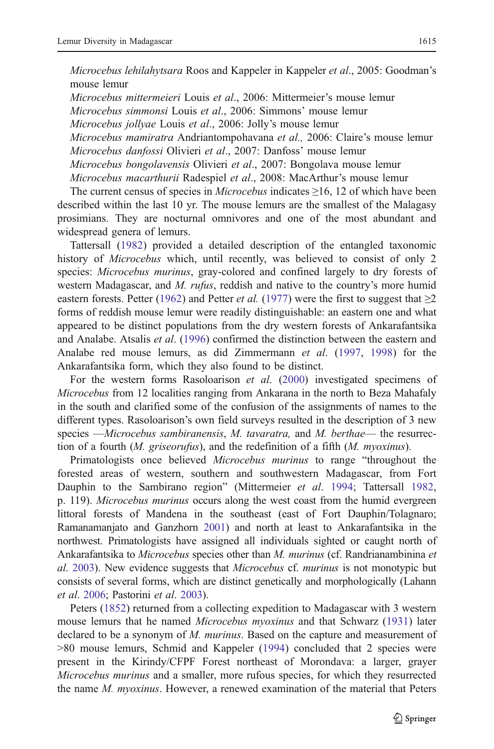Microcebus lehilahytsara Roos and Kappeler in Kappeler et al., 2005: Goodman's mouse lemur

Microcebus mittermeieri Louis et al., 2006: Mittermeier's mouse lemur

Microcebus simmonsi Louis et al., 2006: Simmons' mouse lemur

Microcebus jollyae Louis et al., 2006: Jolly's mouse lemur

Microcebus mamiratra Andriantompohavana et al., 2006: Claire's mouse lemur Microcebus danfossi Olivieri et al., 2007: Danfoss' mouse lemur

Microcebus bongolavensis Olivieri et al., 2007: Bongolava mouse lemur

Microcebus macarthurii Radespiel et al., 2008: MacArthur's mouse lemur

The current census of species in *Microcebus* indicates ≥16, 12 of which have been described within the last 10 yr. The mouse lemurs are the smallest of the Malagasy prosimians. They are nocturnal omnivores and one of the most abundant and widespread genera of lemurs.

Tattersall [\(1982](#page-47-0)) provided a detailed description of the entangled taxonomic history of *Microcebus* which, until recently, was believed to consist of only 2 species: *Microcebus murinus*, gray-colored and confined largely to dry forests of western Madagascar, and *M. rufus*, reddish and native to the country's more humid eastern forests. Petter ([1962\)](#page-44-0) and Petter *et al.* [\(1977](#page-44-0)) were the first to suggest that  $\geq 2$ forms of reddish mouse lemur were readily distinguishable: an eastern one and what appeared to be distinct populations from the dry western forests of Ankarafantsika and Analabe. Atsalis et al. [\(1996](#page-39-0)) confirmed the distinction between the eastern and Analabe red mouse lemurs, as did Zimmermann et al. [\(1997](#page-49-0), [1998\)](#page-49-0) for the Ankarafantsika form, which they also found to be distinct.

For the western forms Rasoloarison et al. [\(2000](#page-45-0)) investigated specimens of Microcebus from 12 localities ranging from Ankarana in the north to Beza Mahafaly in the south and clarified some of the confusion of the assignments of names to the different types. Rasoloarison's own field surveys resulted in the description of 3 new species —Microcebus sambiranensis, M. tavaratra, and M. berthae— the resurrection of a fourth (M. griseorufus), and the redefinition of a fifth (M. myoxinus).

Primatologists once believed Microcebus murinus to range "throughout the forested areas of western, southern and southwestern Madagascar, from Fort Dauphin to the Sambirano region" (Mittermeier et al. [1994](#page-43-0); Tattersall [1982,](#page-47-0) p. 119). Microcebus murinus occurs along the west coast from the humid evergreen littoral forests of Mandena in the southeast (east of Fort Dauphin/Tolagnaro; Ramanamanjato and Ganzhorn [2001\)](#page-45-0) and north at least to Ankarafantsika in the northwest. Primatologists have assigned all individuals sighted or caught north of Ankarafantsika to Microcebus species other than M. murinus (cf. Randrianambinina et al. [2003](#page-45-0)). New evidence suggests that Microcebus cf. murinus is not monotypic but consists of several forms, which are distinct genetically and morphologically (Lahann et al. [2006;](#page-43-0) Pastorini et al. [2003](#page-44-0)).

Peters [\(1852](#page-44-0)) returned from a collecting expedition to Madagascar with 3 western mouse lemurs that he named *Microcebus myoxinus* and that Schwarz ([1931\)](#page-47-0) later declared to be a synonym of M. murinus. Based on the capture and measurement of >80 mouse lemurs, Schmid and Kappeler ([1994\)](#page-46-0) concluded that 2 species were present in the Kirindy/CFPF Forest northeast of Morondava: a larger, grayer Microcebus murinus and a smaller, more rufous species, for which they resurrected the name *M. myoxinus.* However, a renewed examination of the material that Peters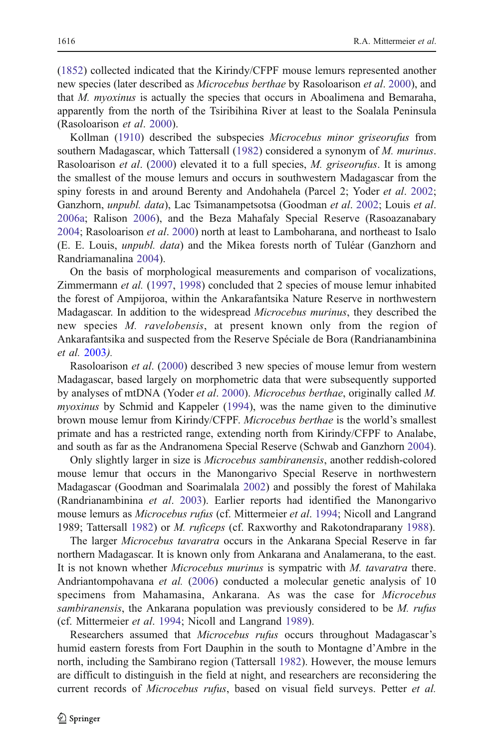[\(1852](#page-44-0)) collected indicated that the Kirindy/CFPF mouse lemurs represented another new species (later described as *Microcebus berthae* by Rasoloarison *et al.* [2000\)](#page-45-0), and that M. myoxinus is actually the species that occurs in Aboalimena and Bemaraha, apparently from the north of the Tsiribihina River at least to the Soalala Peninsula (Rasoloarison et al. [2000](#page-45-0)).

Kollman [\(1910](#page-43-0)) described the subspecies *Microcebus minor griseorufus* from southern Madagascar, which Tattersall [\(1982](#page-47-0)) considered a synonym of M. murinus. Rasoloarison *et al.* ([2000\)](#page-45-0) elevated it to a full species, *M. griseorufus*. It is among the smallest of the mouse lemurs and occurs in southwestern Madagascar from the spiny forests in and around Berenty and Andohahela (Parcel 2; Yoder et al. [2002;](#page-49-0) Ganzhorn, *unpubl. data*), Lac Tsimanampetsotsa (Goodman et al. [2002;](#page-41-0) Louis et al. [2006a](#page-43-0); Ralison [2006\)](#page-45-0), and the Beza Mahafaly Special Reserve (Rasoazanabary [2004;](#page-45-0) Rasoloarison et al. [2000](#page-45-0)) north at least to Lamboharana, and northeast to Isalo (E. E. Louis, unpubl. data) and the Mikea forests north of Tuléar (Ganzhorn and Randriamanalina [2004\)](#page-40-0).

On the basis of morphological measurements and comparison of vocalizations, Zimmermann et al. ([1997,](#page-49-0) [1998](#page-49-0)) concluded that 2 species of mouse lemur inhabited the forest of Ampijoroa, within the Ankarafantsika Nature Reserve in northwestern Madagascar. In addition to the widespread Microcebus murinus, they described the new species *M. ravelobensis*, at present known only from the region of Ankarafantsika and suspected from the Reserve Spéciale de Bora (Randrianambinina et al. [2003](#page-45-0)).

Rasoloarison et al. [\(2000](#page-45-0)) described 3 new species of mouse lemur from western Madagascar, based largely on morphometric data that were subsequently supported by analyses of mtDNA (Yoder et al. [2000](#page-49-0)). Microcebus berthae, originally called M. myoxinus by Schmid and Kappeler ([1994\)](#page-46-0), was the name given to the diminutive brown mouse lemur from Kirindy/CFPF. Microcebus berthae is the world's smallest primate and has a restricted range, extending north from Kirindy/CFPF to Analabe, and south as far as the Andranomena Special Reserve (Schwab and Ganzhorn [2004\)](#page-47-0).

Only slightly larger in size is Microcebus sambiranensis, another reddish-colored mouse lemur that occurs in the Manongarivo Special Reserve in northwestern Madagascar (Goodman and Soarimalala [2002\)](#page-41-0) and possibly the forest of Mahilaka (Randrianambinina et al. [2003](#page-45-0)). Earlier reports had identified the Manongarivo mouse lemurs as *Microcebus rufus* (cf. Mittermeier *et al.* [1994](#page-43-0); Nicoll and Langrand [1989;](#page-43-0) Tattersall [1982\)](#page-47-0) or M. ruficeps (cf. Raxworthy and Rakotondraparany [1988\)](#page-45-0).

The larger Microcebus tavaratra occurs in the Ankarana Special Reserve in far northern Madagascar. It is known only from Ankarana and Analamerana, to the east. It is not known whether Microcebus murinus is sympatric with M. tavaratra there. Andriantompohavana et al. ([2006\)](#page-39-0) conducted a molecular genetic analysis of 10 specimens from Mahamasina, Ankarana. As was the case for Microcebus sambiranensis, the Ankarana population was previously considered to be M. rufus (cf. Mittermeier et al. [1994](#page-43-0); Nicoll and Langrand [1989](#page-43-0)).

Researchers assumed that Microcebus rufus occurs throughout Madagascar's humid eastern forests from Fort Dauphin in the south to Montagne d'Ambre in the north, including the Sambirano region (Tattersall [1982](#page-47-0)). However, the mouse lemurs are difficult to distinguish in the field at night, and researchers are reconsidering the current records of Microcebus rufus, based on visual field surveys. Petter et al.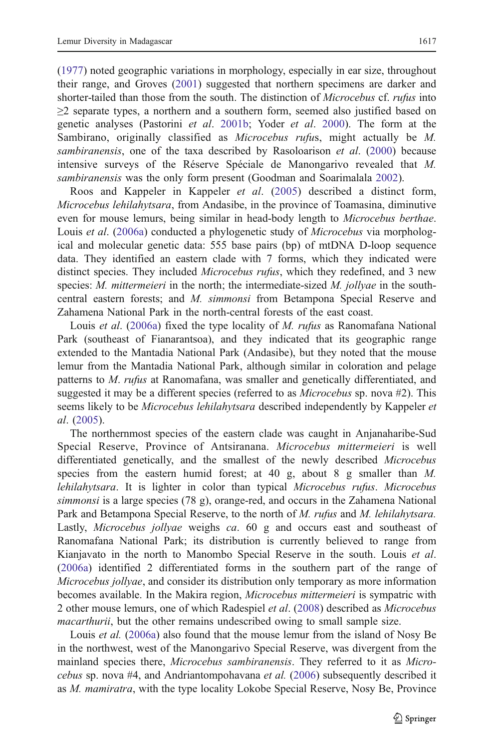[\(1977](#page-44-0)) noted geographic variations in morphology, especially in ear size, throughout their range, and Groves [\(2001](#page-42-0)) suggested that northern specimens are darker and shorter-tailed than those from the south. The distinction of *Microcebus* cf. *rufus* into  $\geq$ 2 separate types, a northern and a southern form, seemed also justified based on genetic analyses (Pastorini et al. [2001b](#page-44-0); Yoder et al. [2000\)](#page-49-0). The form at the Sambirano, originally classified as Microcebus rufus, might actually be M. sambiranensis, one of the taxa described by Rasoloarison et al. [\(2000](#page-45-0)) because intensive surveys of the Réserve Spéciale de Manongarivo revealed that M. sambiranensis was the only form present (Goodman and Soarimalala [2002](#page-41-0)).

Roos and Kappeler in Kappeler et al. ([2005\)](#page-42-0) described a distinct form, Microcebus lehilahytsara, from Andasibe, in the province of Toamasina, diminutive even for mouse lemurs, being similar in head-body length to *Microcebus berthae*. Louis et al. ([2006a](#page-43-0)) conducted a phylogenetic study of *Microcebus* via morphological and molecular genetic data: 555 base pairs (bp) of mtDNA D-loop sequence data. They identified an eastern clade with 7 forms, which they indicated were distinct species. They included *Microcebus rufus*, which they redefined, and 3 new species: M. mittermeieri in the north; the intermediate-sized M. jollyae in the southcentral eastern forests; and M. simmonsi from Betampona Special Reserve and Zahamena National Park in the north-central forests of the east coast.

Louis et al. ([2006a](#page-43-0)) fixed the type locality of M. *rufus* as Ranomafana National Park (southeast of Fianarantsoa), and they indicated that its geographic range extended to the Mantadia National Park (Andasibe), but they noted that the mouse lemur from the Mantadia National Park, although similar in coloration and pelage patterns to M. rufus at Ranomafana, was smaller and genetically differentiated, and suggested it may be a different species (referred to as *Microcebus* sp. nova  $\#2$ ). This seems likely to be *Microcebus lehilahytsara* described independently by Kappeler *et* al. ([2005\)](#page-42-0).

The northernmost species of the eastern clade was caught in Anjanaharibe-Sud Special Reserve, Province of Antsiranana. Microcebus mittermeieri is well differentiated genetically, and the smallest of the newly described Microcebus species from the eastern humid forest; at 40 g, about 8 g smaller than M. lehilahytsara. It is lighter in color than typical Microcebus rufus. Microcebus simmonsi is a large species (78 g), orange-red, and occurs in the Zahamena National Park and Betampona Special Reserve, to the north of *M. rufus* and *M. lehilahytsara.* Lastly, *Microcebus jollyae* weighs ca. 60 g and occurs east and southeast of Ranomafana National Park; its distribution is currently believed to range from Kianjavato in the north to Manombo Special Reserve in the south. Louis et al. [\(2006a\)](#page-43-0) identified 2 differentiated forms in the southern part of the range of *Microcebus jollyae*, and consider its distribution only temporary as more information becomes available. In the Makira region, Microcebus mittermeieri is sympatric with 2 other mouse lemurs, one of which Radespiel *et al.* ([2008\)](#page-45-0) described as *Microcebus macarthurii*, but the other remains undescribed owing to small sample size.

Louis et al. ([2006a\)](#page-43-0) also found that the mouse lemur from the island of Nosy Be in the northwest, west of the Manongarivo Special Reserve, was divergent from the mainland species there, *Microcebus sambiranensis*. They referred to it as *Micro*cebus sp. nova #4, and Andriantompohavana et al. [\(2006](#page-39-0)) subsequently described it as M. mamiratra, with the type locality Lokobe Special Reserve, Nosy Be, Province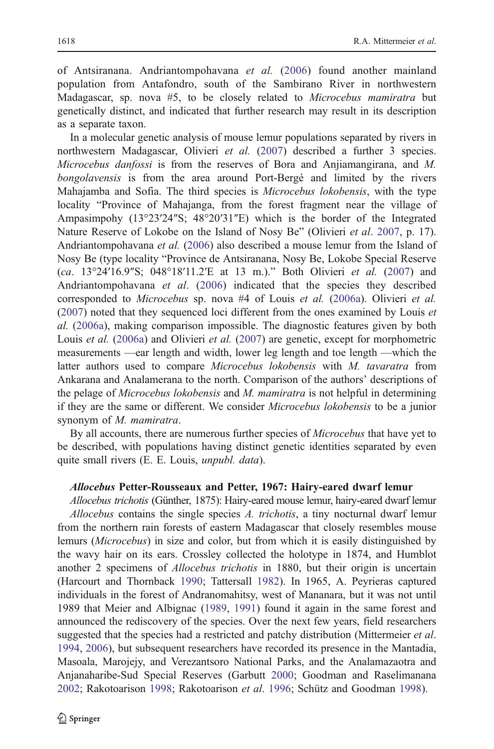of Antsiranana. Andriantompohavana et al. ([2006\)](#page-39-0) found another mainland population from Antafondro, south of the Sambirano River in northwestern Madagascar, sp. nova #5, to be closely related to Microcebus mamiratra but genetically distinct, and indicated that further research may result in its description as a separate taxon.

In a molecular genetic analysis of mouse lemur populations separated by rivers in northwestern Madagascar, Olivieri et al. ([2007\)](#page-44-0) described a further 3 species. Microcebus danfossi is from the reserves of Bora and Anjiamangirana, and M. bongolavensis is from the area around Port-Bergé and limited by the rivers Mahajamba and Sofia. The third species is *Microcebus lokobensis*, with the type locality "Province of Mahajanga, from the forest fragment near the village of Ampasimpohy (13°23′24″S; 48°20′31″E) which is the border of the Integrated Nature Reserve of Lokobe on the Island of Nosy Be" (Olivieri *et al.* [2007,](#page-44-0) p. 17). Andriantompohavana et al. ([2006\)](#page-39-0) also described a mouse lemur from the Island of Nosy Be (type locality "Province de Antsiranana, Nosy Be, Lokobe Special Reserve (ca.  $13^{\circ}24'16.9''S$ ;  $048^{\circ}18'11.2'E$  at 13 m.)." Both Olivieri *et al.* ([2007\)](#page-44-0) and Andriantompohavana et al. ([2006](#page-39-0)) indicated that the species they described corresponded to Microcebus sp. nova #4 of Louis et al. ([2006a\)](#page-43-0). Olivieri et al. [\(2007](#page-44-0)) noted that they sequenced loci different from the ones examined by Louis et al. [\(2006a](#page-43-0)), making comparison impossible. The diagnostic features given by both Louis *et al.* ([2006a](#page-43-0)) and Olivieri *et al.* ([2007\)](#page-44-0) are genetic, except for morphometric measurements —ear length and width, lower leg length and toe length —which the latter authors used to compare *Microcebus lokobensis* with *M. tavaratra* from Ankarana and Analamerana to the north. Comparison of the authors' descriptions of the pelage of *Microcebus lokobensis* and *M. mamiratra* is not helpful in determining if they are the same or different. We consider Microcebus lokobensis to be a junior synonym of M. mamiratra.

By all accounts, there are numerous further species of *Microcebus* that have yet to be described, with populations having distinct genetic identities separated by even quite small rivers (E. E. Louis, unpubl. data).

#### Allocebus Petter-Rousseaux and Petter, 1967: Hairy-eared dwarf lemur

Allocebus trichotis (Günther, 1875): Hairy-eared mouse lemur, hairy-eared dwarf lemur Allocebus contains the single species A. trichotis, a tiny nocturnal dwarf lemur from the northern rain forests of eastern Madagascar that closely resembles mouse lemurs (Microcebus) in size and color, but from which it is easily distinguished by the wavy hair on its ears. Crossley collected the holotype in 1874, and Humblot another 2 specimens of Allocebus trichotis in 1880, but their origin is uncertain (Harcourt and Thornback [1990](#page-42-0); Tattersall [1982\)](#page-47-0). In 1965, A. Peyrieras captured individuals in the forest of Andranomahitsy, west of Mananara, but it was not until 1989 that Meier and Albignac ([1989,](#page-43-0) [1991](#page-43-0)) found it again in the same forest and announced the rediscovery of the species. Over the next few years, field researchers suggested that the species had a restricted and patchy distribution (Mittermeier et al. [1994,](#page-43-0) [2006](#page-43-0)), but subsequent researchers have recorded its presence in the Mantadia, Masoala, Marojejy, and Verezantsoro National Parks, and the Analamazaotra and Anjanaharibe-Sud Special Reserves (Garbutt [2000](#page-41-0); Goodman and Raselimanana [2002;](#page-41-0) Rakotoarison [1998](#page-45-0); Rakotoarison et al. [1996;](#page-45-0) Schütz and Goodman [1998](#page-46-0)).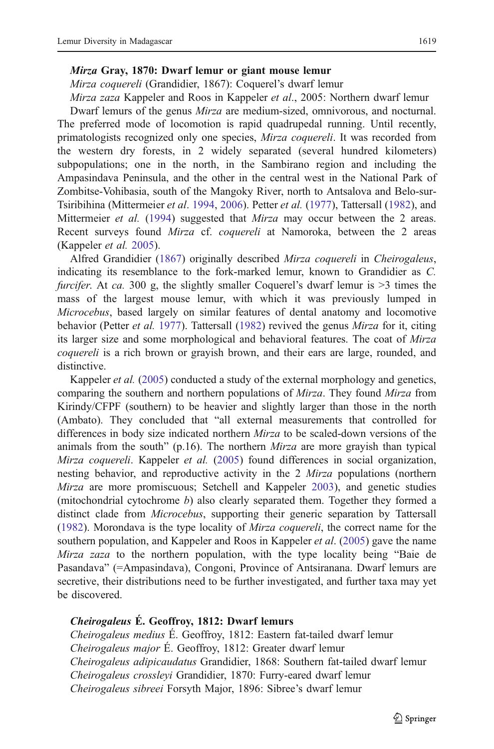# Mirza Gray, 1870: Dwarf lemur or giant mouse lemur

Mirza coquereli (Grandidier, 1867): Coquerel's dwarf lemur

Mirza zaza Kappeler and Roos in Kappeler et al., 2005: Northern dwarf lemur

Dwarf lemurs of the genus Mirza are medium-sized, omnivorous, and nocturnal. The preferred mode of locomotion is rapid quadrupedal running. Until recently, primatologists recognized only one species, Mirza coquereli. It was recorded from the western dry forests, in 2 widely separated (several hundred kilometers) subpopulations; one in the north, in the Sambirano region and including the Ampasindava Peninsula, and the other in the central west in the National Park of Zombitse-Vohibasia, south of the Mangoky River, north to Antsalova and Belo-sur-Tsiribihina (Mittermeier et al. [1994](#page-43-0), [2006](#page-43-0)). Petter et al. [\(1977](#page-44-0)), Tattersall ([1982\)](#page-47-0), and Mittermeier *et al.* ([1994\)](#page-43-0) suggested that *Mirza* may occur between the 2 areas. Recent surveys found *Mirza* cf. *coquereli* at Namoroka, between the 2 areas (Kappeler et al. [2005](#page-42-0)).

Alfred Grandidier ([1867\)](#page-41-0) originally described Mirza coquereli in Cheirogaleus, indicating its resemblance to the fork-marked lemur, known to Grandidier as C. furcifer. At ca. 300 g, the slightly smaller Coquerel's dwarf lemur is  $>3$  times the mass of the largest mouse lemur, with which it was previously lumped in Microcebus, based largely on similar features of dental anatomy and locomotive behavior (Petter *et al.* [1977](#page-44-0)). Tattersall ([1982\)](#page-47-0) revived the genus *Mirza* for it, citing its larger size and some morphological and behavioral features. The coat of Mirza coquereli is a rich brown or grayish brown, and their ears are large, rounded, and distinctive.

Kappeler et al. [\(2005](#page-42-0)) conducted a study of the external morphology and genetics, comparing the southern and northern populations of Mirza. They found Mirza from Kirindy/CFPF (southern) to be heavier and slightly larger than those in the north (Ambato). They concluded that "all external measurements that controlled for differences in body size indicated northern Mirza to be scaled-down versions of the animals from the south" (p.16). The northern  $Mirza$  are more grayish than typical Mirza coquereli. Kappeler et al. [\(2005](#page-42-0)) found differences in social organization, nesting behavior, and reproductive activity in the 2 *Mirza* populations (northern *Mirza* are more promiscuous; Setchell and Kappeler [2003](#page-47-0)), and genetic studies (mitochondrial cytochrome  $b$ ) also clearly separated them. Together they formed a distinct clade from *Microcebus*, supporting their generic separation by Tattersall [\(1982](#page-47-0)). Morondava is the type locality of Mirza coquereli, the correct name for the southern population, and Kappeler and Roos in Kappeler *et al.* [\(2005](#page-42-0)) gave the name Mirza zaza to the northern population, with the type locality being "Baie de Pasandava" (=Ampasindava), Congoni, Province of Antsiranana. Dwarf lemurs are secretive, their distributions need to be further investigated, and further taxa may yet be discovered.

# Cheirogaleus É. Geoffroy, 1812: Dwarf lemurs

Cheirogaleus medius É. Geoffroy, 1812: Eastern fat-tailed dwarf lemur Cheirogaleus major É. Geoffroy, 1812: Greater dwarf lemur Cheirogaleus adipicaudatus Grandidier, 1868: Southern fat-tailed dwarf lemur Cheirogaleus crossleyi Grandidier, 1870: Furry-eared dwarf lemur Cheirogaleus sibreei Forsyth Major, 1896: Sibree's dwarf lemur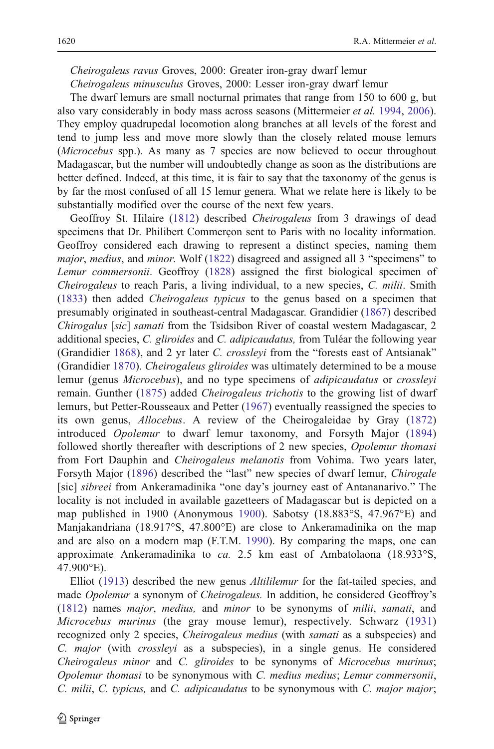Cheirogaleus ravus Groves, 2000: Greater iron-gray dwarf lemur Cheirogaleus minusculus Groves, 2000: Lesser iron-gray dwarf lemur

The dwarf lemurs are small nocturnal primates that range from 150 to 600 g, but also vary considerably in body mass across seasons (Mittermeier et al. [1994](#page-43-0), [2006\)](#page-43-0). They employ quadrupedal locomotion along branches at all levels of the forest and tend to jump less and move more slowly than the closely related mouse lemurs (Microcebus spp.). As many as 7 species are now believed to occur throughout Madagascar, but the number will undoubtedly change as soon as the distributions are better defined. Indeed, at this time, it is fair to say that the taxonomy of the genus is by far the most confused of all 15 lemur genera. What we relate here is likely to be substantially modified over the course of the next few years.

Geoffroy St. Hilaire ([1812\)](#page-41-0) described Cheirogaleus from 3 drawings of dead specimens that Dr. Philibert Commerçon sent to Paris with no locality information. Geoffroy considered each drawing to represent a distinct species, naming them major, medius, and minor. Wolf [\(1822](#page-48-0)) disagreed and assigned all 3 "specimens" to Lemur commersonii. Geoffroy ([1828\)](#page-41-0) assigned the first biological specimen of Cheirogaleus to reach Paris, a living individual, to a new species, C. milii. Smith [\(1833](#page-47-0)) then added Cheirogaleus typicus to the genus based on a specimen that presumably originated in southeast-central Madagascar. Grandidier [\(1867](#page-41-0)) described Chirogalus [sic] samati from the Tsidsibon River of coastal western Madagascar, 2 additional species, C. gliroides and C. adipicaudatus, from Tuléar the following year (Grandidier [1868](#page-41-0)), and 2 yr later C. crossleyi from the "forests east of Antsianak" (Grandidier [1870\)](#page-41-0). Cheirogaleus gliroides was ultimately determined to be a mouse lemur (genus Microcebus), and no type specimens of *adipicaudatus* or *crossleyi* remain. Gunther [\(1875\)](#page-42-0) added *Cheirogaleus trichotis* to the growing list of dwarf lemurs, but Petter-Rousseaux and Petter [\(1967\)](#page-44-0) eventually reassigned the species to its own genus, Allocebus. A review of the Cheirogaleidae by Gray ([1872](#page-41-0)) introduced Opolemur to dwarf lemur taxonomy, and Forsyth Major ([1894](#page-40-0)) followed shortly thereafter with descriptions of 2 new species, Opolemur thomasi from Fort Dauphin and Cheirogaleus melanotis from Vohima. Two years later, Forsyth Major ([1896\)](#page-40-0) described the "last" new species of dwarf lemur, Chirogale [sic] sibreei from Ankeramadinika "one day's journey east of Antananarivo." The locality is not included in available gazetteers of Madagascar but is depicted on a map published in 1900 (Anonymous [1900](#page-39-0)). Sabotsy (18.883°S, 47.967°E) and Manjakandriana (18.917°S, 47.800°E) are close to Ankeramadinika on the map and are also on a modern map (F.T.M. [1990](#page-40-0)). By comparing the maps, one can approximate Ankeramadinika to ca. 2.5 km east of Ambatolaona (18.933°S, 47.900°E).

Elliot [\(1913](#page-40-0)) described the new genus *Altililemur* for the fat-tailed species, and made Opolemur a synonym of Cheirogaleus. In addition, he considered Geoffroy's [\(1812](#page-41-0)) names major, medius, and minor to be synonyms of milii, samati, and Microcebus murinus (the gray mouse lemur), respectively. Schwarz ([1931](#page-47-0)) recognized only 2 species, *Cheirogaleus medius* (with samati as a subspecies) and C. major (with crossleyi as a subspecies), in a single genus. He considered Cheirogaleus minor and C. gliroides to be synonyms of Microcebus murinus; Opolemur thomasi to be synonymous with C. medius medius; Lemur commersonii, C. milii, C. typicus, and C. adipicaudatus to be synonymous with C. major major;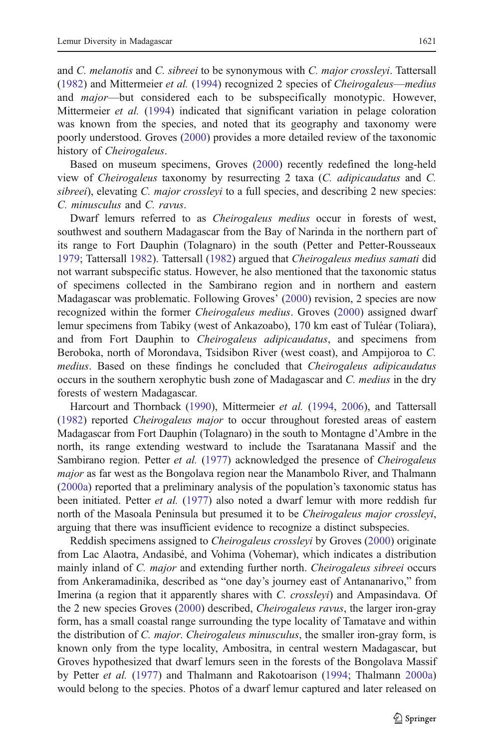and C. melanotis and C. sibreei to be synonymous with C. major crossleyi. Tattersall [\(1982](#page-47-0)) and Mittermeier et al. ([1994\)](#page-43-0) recognized 2 species of Cheirogaleus—medius and major—but considered each to be subspecifically monotypic. However, Mittermeier *et al.* ([1994\)](#page-43-0) indicated that significant variation in pelage coloration was known from the species, and noted that its geography and taxonomy were poorly understood. Groves ([2000\)](#page-41-0) provides a more detailed review of the taxonomic history of Cheirogaleus.

Based on museum specimens, Groves [\(2000](#page-41-0)) recently redefined the long-held view of Cheirogaleus taxonomy by resurrecting 2 taxa (C. adipicaudatus and C. sibreei), elevating C. major crosslevi to a full species, and describing 2 new species: C. minusculus and C. ravus.

Dwarf lemurs referred to as Cheirogaleus medius occur in forests of west, southwest and southern Madagascar from the Bay of Narinda in the northern part of its range to Fort Dauphin (Tolagnaro) in the south (Petter and Petter-Rousseaux [1979;](#page-44-0) Tattersall [1982\)](#page-47-0). Tattersall ([1982](#page-47-0)) argued that Cheirogaleus medius samati did not warrant subspecific status. However, he also mentioned that the taxonomic status of specimens collected in the Sambirano region and in northern and eastern Madagascar was problematic. Following Groves' ([2000\)](#page-41-0) revision, 2 species are now recognized within the former Cheirogaleus medius. Groves [\(2000](#page-41-0)) assigned dwarf lemur specimens from Tabiky (west of Ankazoabo), 170 km east of Tuléar (Toliara), and from Fort Dauphin to Cheirogaleus adipicaudatus, and specimens from Beroboka, north of Morondava, Tsidsibon River (west coast), and Ampijoroa to C. medius. Based on these findings he concluded that *Cheirogaleus adipicaudatus* occurs in the southern xerophytic bush zone of Madagascar and C. medius in the dry forests of western Madagascar.

Harcourt and Thornback [\(1990](#page-42-0)), Mittermeier *et al.* [\(1994](#page-43-0), [2006\)](#page-43-0), and Tattersall [\(1982\)](#page-47-0) reported Cheirogaleus major to occur throughout forested areas of eastern Madagascar from Fort Dauphin (Tolagnaro) in the south to Montagne d'Ambre in the north, its range extending westward to include the Tsaratanana Massif and the Sambirano region. Petter et al. ([1977](#page-44-0)) acknowledged the presence of Cheirogaleus major as far west as the Bongolava region near the Manambolo River, and Thalmann [\(2000a](#page-48-0)) reported that a preliminary analysis of the population's taxonomic status has been initiated. Petter et al. ([1977](#page-44-0)) also noted a dwarf lemur with more reddish fur north of the Masoala Peninsula but presumed it to be *Cheirogaleus major crossleyi*, arguing that there was insufficient evidence to recognize a distinct subspecies.

Reddish specimens assigned to Cheirogaleus crossleyi by Groves ([2000\)](#page-41-0) originate from Lac Alaotra, Andasibé, and Vohima (Vohemar), which indicates a distribution mainly inland of C. major and extending further north. Cheirogaleus sibreei occurs from Ankeramadinika, described as "one day's journey east of Antananarivo," from Imerina (a region that it apparently shares with C. crossleyi) and Ampasindava. Of the 2 new species Groves ([2000\)](#page-41-0) described, *Cheirogaleus ravus*, the larger iron-gray form, has a small coastal range surrounding the type locality of Tamatave and within the distribution of C. major. Cheirogaleus minusculus, the smaller iron-gray form, is known only from the type locality, Ambositra, in central western Madagascar, but Groves hypothesized that dwarf lemurs seen in the forests of the Bongolava Massif by Petter et al. ([1977\)](#page-44-0) and Thalmann and Rakotoarison ([1994;](#page-48-0) Thalmann [2000a](#page-48-0)) would belong to the species. Photos of a dwarf lemur captured and later released on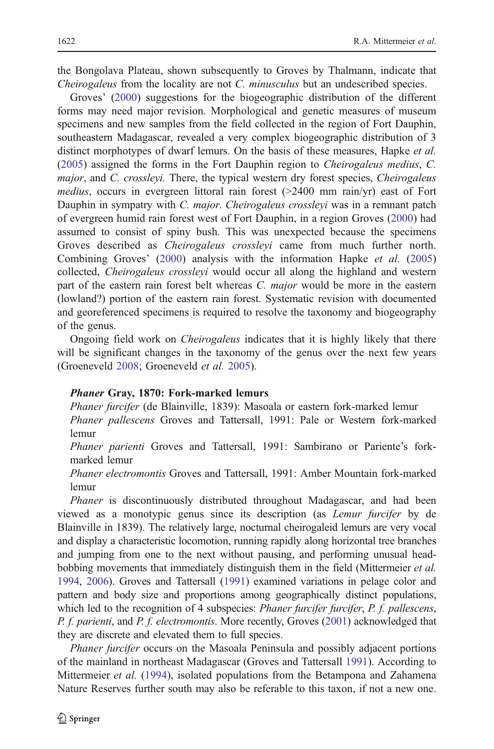the Bongolava Plateau, shown subsequently to Groves by Thalmann, indicate that Cheirogaleus from the locality are not C. minusculus but an undescribed species.

Groves' [\(2000](#page-41-0)) suggestions for the biogeographic distribution of the different forms may need major revision. Morphological and genetic measures of museum specimens and new samples from the field collected in the region of Fort Dauphin, southeastern Madagascar, revealed a very complex biogeographic distribution of 3 distinct morphotypes of dwarf lemurs. On the basis of these measures, Hapke *et al.* [\(2005](#page-42-0)) assigned the forms in the Fort Dauphin region to Cheirogaleus medius, C. major, and C. crossleyi. There, the typical western dry forest species, Cheirogaleus *medius*, occurs in evergreen littoral rain forest  $(>2400$  mm rain/yr) east of Fort Dauphin in sympatry with C. *major. Cheirogaleus crossleyi* was in a remnant patch of evergreen humid rain forest west of Fort Dauphin, in a region Groves ([2000\)](#page-41-0) had assumed to consist of spiny bush. This was unexpected because the specimens Groves described as Cheirogaleus crossleyi came from much further north. Combining Groves' [\(2000](#page-41-0)) analysis with the information Hapke et al. [\(2005](#page-42-0)) collected, Cheirogaleus crossleyi would occur all along the highland and western part of the eastern rain forest belt whereas C. major would be more in the eastern (lowland?) portion of the eastern rain forest. Systematic revision with documented and georeferenced specimens is required to resolve the taxonomy and biogeography of the genus.

Ongoing field work on *Cheirogaleus* indicates that it is highly likely that there will be significant changes in the taxonomy of the genus over the next few years (Groeneveld [2008;](#page-41-0) Groeneveld et al. [2005\)](#page-41-0).

#### Phaner Gray, 1870: Fork-marked lemurs

Phaner furcifer (de Blainville, 1839): Masoala or eastern fork-marked lemur

Phaner pallescens Groves and Tattersall, 1991: Pale or Western fork-marked lemur

Phaner parienti Groves and Tattersall, 1991: Sambirano or Pariente's forkmarked lemur

Phaner electromontis Groves and Tattersall, 1991: Amber Mountain fork-marked lemur

Phaner is discontinuously distributed throughout Madagascar, and had been viewed as a monotypic genus since its description (as Lemur furcifer by de Blainville in 1839). The relatively large, nocturnal cheirogaleid lemurs are very vocal and display a characteristic locomotion, running rapidly along horizontal tree branches and jumping from one to the next without pausing, and performing unusual headbobbing movements that immediately distinguish them in the field (Mittermeier et al. [1994,](#page-43-0) [2006\)](#page-43-0). Groves and Tattersall [\(1991\)](#page-42-0) examined variations in pelage color and pattern and body size and proportions among geographically distinct populations, which led to the recognition of 4 subspecies: *Phaner furcifer furcifer*, *P. f. pallescens*, P. f. parienti, and P. f. electromontis. More recently, Groves [\(2001](#page-42-0)) acknowledged that they are discrete and elevated them to full species.

*Phaner furcifer* occurs on the Masoala Peninsula and possibly adjacent portions of the mainland in northeast Madagascar (Groves and Tattersall [1991\)](#page-42-0). According to Mittermeier *et al.* ([1994\)](#page-43-0), isolated populations from the Betampona and Zahamena Nature Reserves further south may also be referable to this taxon, if not a new one.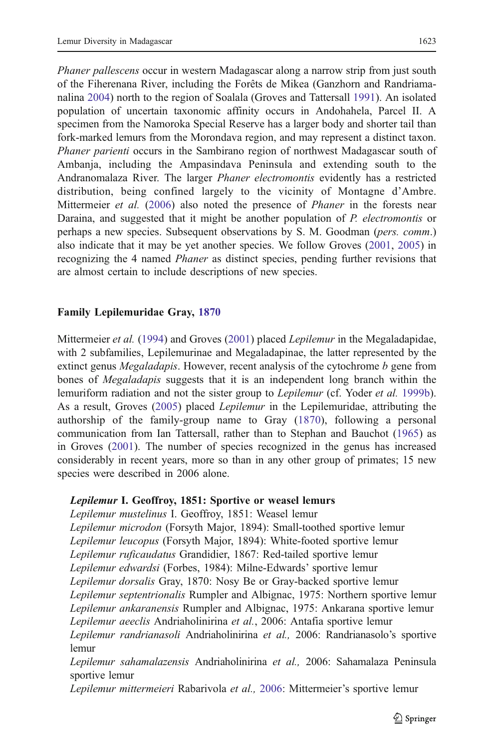Phaner pallescens occur in western Madagascar along a narrow strip from just south of the Fiherenana River, including the Forêts de Mikea (Ganzhorn and Randriamanalina [2004\)](#page-40-0) north to the region of Soalala (Groves and Tattersall [1991](#page-42-0)). An isolated population of uncertain taxonomic affinity occurs in Andohahela, Parcel II. A specimen from the Namoroka Special Reserve has a larger body and shorter tail than fork-marked lemurs from the Morondava region, and may represent a distinct taxon. Phaner parienti occurs in the Sambirano region of northwest Madagascar south of Ambanja, including the Ampasindava Peninsula and extending south to the Andranomalaza River. The larger Phaner electromontis evidently has a restricted distribution, being confined largely to the vicinity of Montagne d'Ambre. Mittermeier *et al.* [\(2006](#page-43-0)) also noted the presence of *Phaner* in the forests near Daraina, and suggested that it might be another population of P. electromontis or perhaps a new species. Subsequent observations by S. M. Goodman (pers. comm.) also indicate that it may be yet another species. We follow Groves [\(2001](#page-42-0), [2005](#page-42-0)) in recognizing the 4 named Phaner as distinct species, pending further revisions that are almost certain to include descriptions of new species.

## Family Lepilemuridae Gray, [1870](#page-41-0)

Mittermeier et al. ([1994\)](#page-43-0) and Groves [\(2001](#page-42-0)) placed Lepilemur in the Megaladapidae, with 2 subfamilies, Lepilemurinae and Megaladapinae, the latter represented by the extinct genus *Megaladapis*. However, recent analysis of the cytochrome b gene from bones of Megaladapis suggests that it is an independent long branch within the lemuriform radiation and not the sister group to *Lepilemur* (cf. Yoder *et al.* [1999b\)](#page-49-0). As a result, Groves [\(2005](#page-42-0)) placed Lepilemur in the Lepilemuridae, attributing the authorship of the family-group name to Gray [\(1870\)](#page-41-0), following a personal communication from Ian Tattersall, rather than to Stephan and Bauchot ([1965\)](#page-47-0) as in Groves [\(2001](#page-42-0)). The number of species recognized in the genus has increased considerably in recent years, more so than in any other group of primates; 15 new species were described in 2006 alone.

#### Lepilemur I. Geoffroy, 1851: Sportive or weasel lemurs

Lepilemur mustelinus I. Geoffroy, 1851: Weasel lemur Lepilemur microdon (Forsyth Major, 1894): Small-toothed sportive lemur Lepilemur leucopus (Forsyth Major, 1894): White-footed sportive lemur Lepilemur ruficaudatus Grandidier, 1867: Red-tailed sportive lemur Lepilemur edwardsi (Forbes, 1984): Milne-Edwards' sportive lemur Lepilemur dorsalis Gray, 1870: Nosy Be or Gray-backed sportive lemur Lepilemur septentrionalis Rumpler and Albignac, 1975: Northern sportive lemur Lepilemur ankaranensis Rumpler and Albignac, 1975: Ankarana sportive lemur Lepilemur aeeclis Andriaholinirina et al., 2006: Antafia sportive lemur Lepilemur randrianasoli Andriaholinirina et al., 2006: Randrianasolo's sportive lemur

Lepilemur sahamalazensis Andriaholinirina et al., 2006: Sahamalaza Peninsula sportive lemur

Lepilemur mittermeieri Rabarivola et al., [2006](#page-44-0): Mittermeier's sportive lemur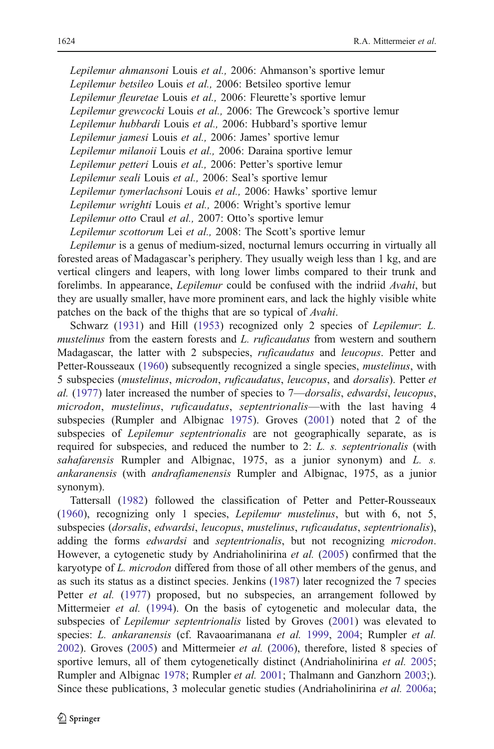Lepilemur ahmansoni Louis et al., 2006: Ahmanson's sportive lemur Lepilemur betsileo Louis et al., 2006: Betsileo sportive lemur Lepilemur fleuretae Louis et al., 2006: Fleurette's sportive lemur Lepilemur grewcocki Louis et al., 2006: The Grewcock's sportive lemur Lepilemur hubbardi Louis et al., 2006: Hubbard's sportive lemur Lepilemur jamesi Louis et al., 2006: James' sportive lemur Lepilemur milanoii Louis et al., 2006: Daraina sportive lemur Lepilemur petteri Louis et al., 2006: Petter's sportive lemur Lepilemur seali Louis et al., 2006: Seal's sportive lemur Lepilemur tymerlachsoni Louis et al., 2006: Hawks' sportive lemur Lepilemur wrighti Louis et al., 2006: Wright's sportive lemur Lepilemur otto Craul et al., 2007: Otto's sportive lemur Lepilemur scottorum Lei et al., 2008: The Scott's sportive lemur

Lepilemur is a genus of medium-sized, nocturnal lemurs occurring in virtually all forested areas of Madagascar's periphery. They usually weigh less than 1 kg, and are vertical clingers and leapers, with long lower limbs compared to their trunk and forelimbs. In appearance, Lepilemur could be confused with the indriid Avahi, but they are usually smaller, have more prominent ears, and lack the highly visible white patches on the back of the thighs that are so typical of Avahi.

Schwarz ([1931\)](#page-47-0) and Hill ([1953\)](#page-42-0) recognized only 2 species of Lepilemur: L. mustelinus from the eastern forests and L. *ruficaudatus* from western and southern Madagascar, the latter with 2 subspecies, *ruficaudatus* and *leucopus*. Petter and Petter-Rousseaux [\(1960](#page-44-0)) subsequently recognized a single species, *mustelinus*, with 5 subspecies (mustelinus, microdon, ruficaudatus, leucopus, and dorsalis). Petter et al. ([1977](#page-44-0)) later increased the number of species to 7—dorsalis, edwardsi, leucopus, microdon, mustelinus, ruficaudatus, septentrionalis—with the last having 4 subspecies (Rumpler and Albignac [1975\)](#page-46-0). Groves [\(2001](#page-42-0)) noted that 2 of the subspecies of *Lepilemur septentrionalis* are not geographically separate, as is required for subspecies, and reduced the number to 2: L. s. septentrionalis (with sahafarensis Rumpler and Albignac, 1975, as a junior synonym) and  $L$ . s. ankaranensis (with andrafiamenensis Rumpler and Albignac, 1975, as a junior synonym).

Tattersall [\(1982](#page-47-0)) followed the classification of Petter and Petter-Rousseaux [\(1960](#page-44-0)), recognizing only 1 species, Lepilemur mustelinus, but with 6, not 5, subspecies (dorsalis, edwardsi, leucopus, mustelinus, ruficaudatus, septentrionalis), adding the forms *edwardsi* and *septentrionalis*, but not recognizing *microdon*. However, a cytogenetic study by Andriaholinirina et al. ([2005\)](#page-39-0) confirmed that the karyotype of L. microdon differed from those of all other members of the genus, and as such its status as a distinct species. Jenkins [\(1987](#page-42-0)) later recognized the 7 species Petter *et al.* ([1977\)](#page-44-0) proposed, but no subspecies, an arrangement followed by Mittermeier *et al.* ([1994\)](#page-43-0). On the basis of cytogenetic and molecular data, the subspecies of *Lepilemur septentrionalis* listed by Groves ([2001\)](#page-42-0) was elevated to species: L. ankaranensis (cf. Ravaoarimanana et al. [1999,](#page-45-0) [2004](#page-45-0); Rumpler et al. [2002\)](#page-46-0). Groves ([2005\)](#page-42-0) and Mittermeier et al. [\(2006](#page-43-0)), therefore, listed 8 species of sportive lemurs, all of them cytogenetically distinct (Andriaholinirina *et al.* [2005;](#page-39-0) Rumpler and Albignac [1978](#page-46-0); Rumpler et al. [2001;](#page-46-0) Thalmann and Ganzhorn [2003;](#page-48-0)). Since these publications, 3 molecular genetic studies (Andriaholinirina et al. [2006a;](#page-39-0)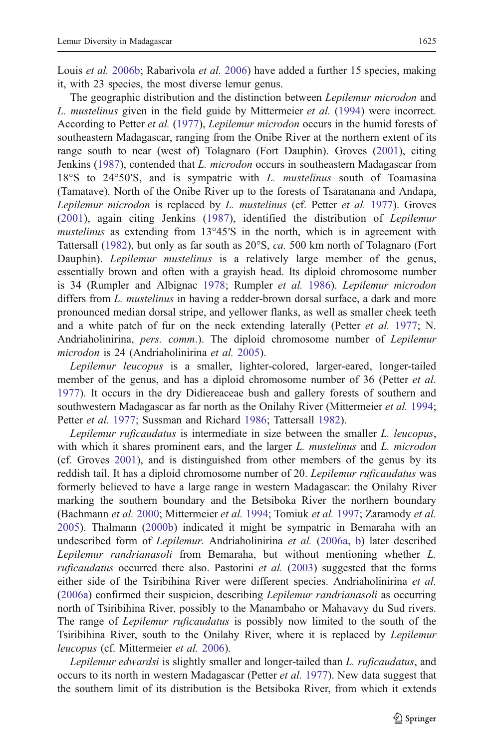Louis et al. [2006b;](#page-43-0) Rabarivola et al. [2006](#page-44-0)) have added a further 15 species, making it, with 23 species, the most diverse lemur genus.

The geographic distribution and the distinction between Lepilemur microdon and L. *mustelinus* given in the field guide by Mittermeier *et al.* [\(1994](#page-43-0)) were incorrect. According to Petter et al. [\(1977](#page-44-0)), Lepilemur microdon occurs in the humid forests of southeastern Madagascar, ranging from the Onibe River at the northern extent of its range south to near (west of) Tolagnaro (Fort Dauphin). Groves [\(2001](#page-42-0)), citing Jenkins ([1987\)](#page-42-0), contended that L. microdon occurs in southeastern Madagascar from 18°S to 24°50′S, and is sympatric with L. mustelinus south of Toamasina (Tamatave). North of the Onibe River up to the forests of Tsaratanana and Andapa, Lepilemur microdon is replaced by L. mustelinus (cf. Petter et al. [1977\)](#page-44-0). Groves [\(2001\)](#page-42-0), again citing Jenkins ([1987](#page-42-0)), identified the distribution of Lepilemur mustelinus as extending from 13°45′S in the north, which is in agreement with Tattersall [\(1982](#page-47-0)), but only as far south as 20°S, ca. 500 km north of Tolagnaro (Fort Dauphin). *Lepilemur mustelinus* is a relatively large member of the genus, essentially brown and often with a grayish head. Its diploid chromosome number is 34 (Rumpler and Albignac [1978;](#page-46-0) Rumpler et al. [1986](#page-46-0)). Lepilemur microdon differs from L. mustelinus in having a redder-brown dorsal surface, a dark and more pronounced median dorsal stripe, and yellower flanks, as well as smaller cheek teeth and a white patch of fur on the neck extending laterally (Petter *et al.* [1977](#page-44-0); N. Andriaholinirina, pers. comm.). The diploid chromosome number of Lepilemur microdon is 24 (Andriaholinirina et al. [2005](#page-39-0)).

Lepilemur leucopus is a smaller, lighter-colored, larger-eared, longer-tailed member of the genus, and has a diploid chromosome number of 36 (Petter et al. [1977\)](#page-44-0). It occurs in the dry Didiereaceae bush and gallery forests of southern and southwestern Madagascar as far north as the Onilahy River (Mittermeier *et al.* [1994;](#page-43-0) Petter et al. [1977;](#page-44-0) Sussman and Richard [1986](#page-47-0); Tattersall [1982](#page-47-0)).

Lepilemur ruficaudatus is intermediate in size between the smaller L. leucopus, with which it shares prominent ears, and the larger  $L$ . mustelinus and  $L$ . microdon (cf. Groves [2001\)](#page-42-0), and is distinguished from other members of the genus by its reddish tail. It has a diploid chromosome number of 20. Lepilemur ruficaudatus was formerly believed to have a large range in western Madagascar: the Onilahy River marking the southern boundary and the Betsiboka River the northern boundary (Bachmann et al. [2000;](#page-40-0) Mittermeier et al. [1994;](#page-43-0) Tomiuk et al. [1997;](#page-48-0) Zaramody et al. [2005\)](#page-49-0). Thalmann ([2000b\)](#page-48-0) indicated it might be sympatric in Bemaraha with an undescribed form of Lepilemur. Andriaholinirina et al. [\(2006a,](#page-39-0) [b](#page-39-0)) later described Lepilemur randrianasoli from Bemaraha, but without mentioning whether L. *ruficaudatus* occurred there also. Pastorini et al.  $(2003)$  $(2003)$  suggested that the forms either side of the Tsiribihina River were different species. Andriaholinirina et al. [\(2006a\)](#page-39-0) confirmed their suspicion, describing Lepilemur randrianasoli as occurring north of Tsiribihina River, possibly to the Manambaho or Mahavavy du Sud rivers. The range of Lepilemur ruficaudatus is possibly now limited to the south of the Tsiribihina River, south to the Onilahy River, where it is replaced by Lepilemur leucopus (cf. Mittermeier et al. [2006\)](#page-43-0).

Lepilemur edwardsi is slightly smaller and longer-tailed than L. ruficaudatus, and occurs to its north in western Madagascar (Petter *et al.* [1977\)](#page-44-0). New data suggest that the southern limit of its distribution is the Betsiboka River, from which it extends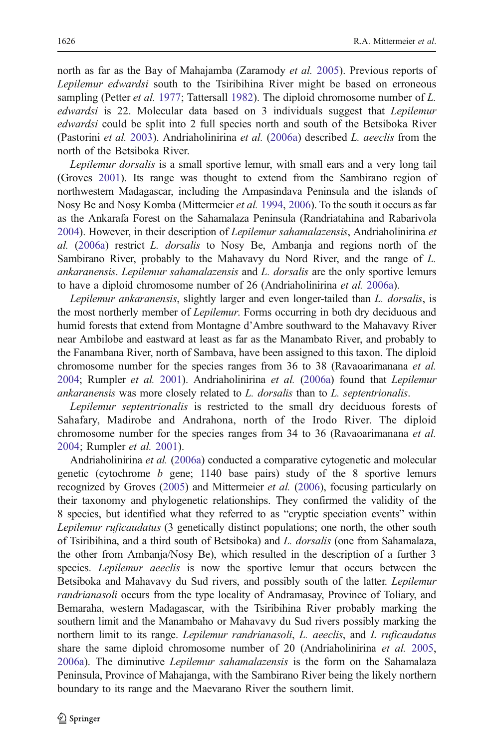north as far as the Bay of Mahajamba (Zaramody *et al.* [2005\)](#page-49-0). Previous reports of Lepilemur edwardsi south to the Tsiribihina River might be based on erroneous sampling (Petter *et al.* [1977](#page-44-0); Tattersall [1982](#page-47-0)). The diploid chromosome number of L. edwardsi is 22. Molecular data based on 3 individuals suggest that Lepilemur edwardsi could be split into 2 full species north and south of the Betsiboka River (Pastorini et al. [2003](#page-44-0)). Andriaholinirina et al. ([2006a\)](#page-39-0) described L. aeeclis from the north of the Betsiboka River.

Lepilemur dorsalis is a small sportive lemur, with small ears and a very long tail (Groves [2001](#page-42-0)). Its range was thought to extend from the Sambirano region of northwestern Madagascar, including the Ampasindava Peninsula and the islands of Nosy Be and Nosy Komba (Mittermeier *et al.* [1994,](#page-43-0) [2006](#page-43-0)). To the south it occurs as far as the Ankarafa Forest on the Sahamalaza Peninsula (Randriatahina and Rabarivola [2004\)](#page-45-0). However, in their description of Lepilemur sahamalazensis, Andriaholinirina et al. ([2006a](#page-39-0)) restrict L. dorsalis to Nosy Be, Ambanja and regions north of the Sambirano River, probably to the Mahavavy du Nord River, and the range of L. ankaranensis. Lepilemur sahamalazensis and L. dorsalis are the only sportive lemurs to have a diploid chromosome number of 26 (Andriaholinirina et al. [2006a](#page-39-0)).

Lepilemur ankaranensis, slightly larger and even longer-tailed than L. dorsalis, is the most northerly member of *Lepilemur*. Forms occurring in both dry deciduous and humid forests that extend from Montagne d'Ambre southward to the Mahavavy River near Ambilobe and eastward at least as far as the Manambato River, and probably to the Fanambana River, north of Sambava, have been assigned to this taxon. The diploid chromosome number for the species ranges from 36 to 38 (Ravaoarimanana *et al.*) [2004;](#page-45-0) Rumpler et al. [2001\)](#page-46-0). Andriaholinirina et al. [\(2006a](#page-39-0)) found that Lepilemur ankaranensis was more closely related to L. dorsalis than to L. septentrionalis.

Lepilemur septentrionalis is restricted to the small dry deciduous forests of Sahafary, Madirobe and Andrahona, north of the Irodo River. The diploid chromosome number for the species ranges from 34 to 36 (Ravaoarimanana *et al.*) [2004;](#page-45-0) Rumpler et al. [2001](#page-46-0)).

Andriaholinirina et al. [\(2006a\)](#page-39-0) conducted a comparative cytogenetic and molecular genetic (cytochrome  $b$  gene; 1140 base pairs) study of the 8 sportive lemurs recognized by Groves [\(2005\)](#page-42-0) and Mittermeier et al. [\(2006\)](#page-43-0), focusing particularly on their taxonomy and phylogenetic relationships. They confirmed the validity of the 8 species, but identified what they referred to as "cryptic speciation events" within Lepilemur ruficaudatus (3 genetically distinct populations; one north, the other south of Tsiribihina, and a third south of Betsiboka) and L. dorsalis (one from Sahamalaza, the other from Ambanja/Nosy Be), which resulted in the description of a further 3 species. Lepilemur aeeclis is now the sportive lemur that occurs between the Betsiboka and Mahavavy du Sud rivers, and possibly south of the latter. Lepilemur randrianasoli occurs from the type locality of Andramasay, Province of Toliary, and Bemaraha, western Madagascar, with the Tsiribihina River probably marking the southern limit and the Manambaho or Mahavavy du Sud rivers possibly marking the northern limit to its range. Lepilemur randrianasoli, L. aeeclis, and L ruficaudatus share the same diploid chromosome number of 20 (Andriaholinirina *et al.* [2005,](#page-39-0) [2006a\)](#page-39-0). The diminutive Lepilemur sahamalazensis is the form on the Sahamalaza Peninsula, Province of Mahajanga, with the Sambirano River being the likely northern boundary to its range and the Maevarano River the southern limit.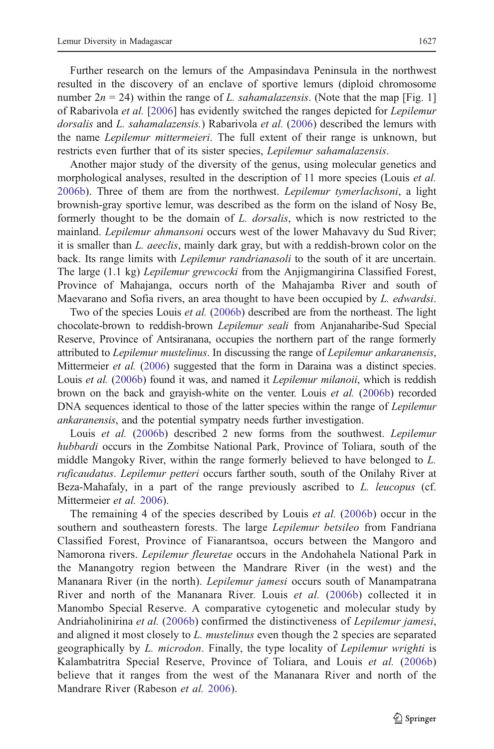Further research on the lemurs of the Ampasindava Peninsula in the northwest resulted in the discovery of an enclave of sportive lemurs (diploid chromosome number  $2n = 24$ ) within the range of L. *sahamalazensis*. (Note that the map [Fig. 1] of Rabarivola et al. [\[2006](#page-44-0)] has evidently switched the ranges depicted for Lepilemur dorsalis and L. sahamalazensis.) Rabarivola et al. ([2006\)](#page-44-0) described the lemurs with the name Lepilemur mittermeieri. The full extent of their range is unknown, but restricts even further that of its sister species, *Lepilemur sahamalazensis*.

Another major study of the diversity of the genus, using molecular genetics and morphological analyses, resulted in the description of 11 more species (Louis et al. [2006b\)](#page-43-0). Three of them are from the northwest. Lepilemur tymerlachsoni, a light brownish-gray sportive lemur, was described as the form on the island of Nosy Be, formerly thought to be the domain of L. dorsalis, which is now restricted to the mainland. *Lepilemur ahmansoni* occurs west of the lower Mahavavy du Sud River; it is smaller than L. aeeclis, mainly dark gray, but with a reddish-brown color on the back. Its range limits with *Lepilemur randrianasoli* to the south of it are uncertain. The large (1.1 kg) Lepilemur grewcocki from the Anjigmangirina Classified Forest, Province of Mahajanga, occurs north of the Mahajamba River and south of Maevarano and Sofia rivers, an area thought to have been occupied by  $L$ . *edwardsi*.

Two of the species Louis et al. [\(2006b\)](#page-43-0) described are from the northeast. The light chocolate-brown to reddish-brown Lepilemur seali from Anjanaharibe-Sud Special Reserve, Province of Antsiranana, occupies the northern part of the range formerly attributed to Lepilemur mustelinus. In discussing the range of Lepilemur ankaranensis, Mittermeier *et al.* [\(2006\)](#page-43-0) suggested that the form in Daraina was a distinct species. Louis et al. ([2006b\)](#page-43-0) found it was, and named it Lepilemur milanoii, which is reddish brown on the back and grayish-white on the venter. Louis et al. ([2006b](#page-43-0)) recorded DNA sequences identical to those of the latter species within the range of *Lepilemur* ankaranensis, and the potential sympatry needs further investigation.

Louis et al. [\(2006b](#page-43-0)) described 2 new forms from the southwest. Lepilemur hubbardi occurs in the Zombitse National Park, Province of Toliara, south of the middle Mangoky River, within the range formerly believed to have belonged to L. ruficaudatus. Lepilemur petteri occurs farther south, south of the Onilahy River at Beza-Mahafaly, in a part of the range previously ascribed to L. leucopus (cf. Mittermeier et al. [2006\)](#page-43-0).

The remaining 4 of the species described by Louis et al. [\(2006b\)](#page-43-0) occur in the southern and southeastern forests. The large *Lepilemur betsileo* from Fandriana Classified Forest, Province of Fianarantsoa, occurs between the Mangoro and Namorona rivers. Lepilemur fleuretae occurs in the Andohahela National Park in the Manangotry region between the Mandrare River (in the west) and the Mananara River (in the north). Lepilemur jamesi occurs south of Manampatrana River and north of the Mananara River. Louis et al. [\(2006b\)](#page-43-0) collected it in Manombo Special Reserve. A comparative cytogenetic and molecular study by Andriaholinirina et al. ([2006b](#page-39-0)) confirmed the distinctiveness of Lepilemur jamesi, and aligned it most closely to L. mustelinus even though the 2 species are separated geographically by L. microdon. Finally, the type locality of Lepilemur wrighti is Kalambatritra Special Reserve, Province of Toliara, and Louis et al. ([2006b](#page-43-0)) believe that it ranges from the west of the Mananara River and north of the Mandrare River (Rabeson et al. [2006](#page-45-0)).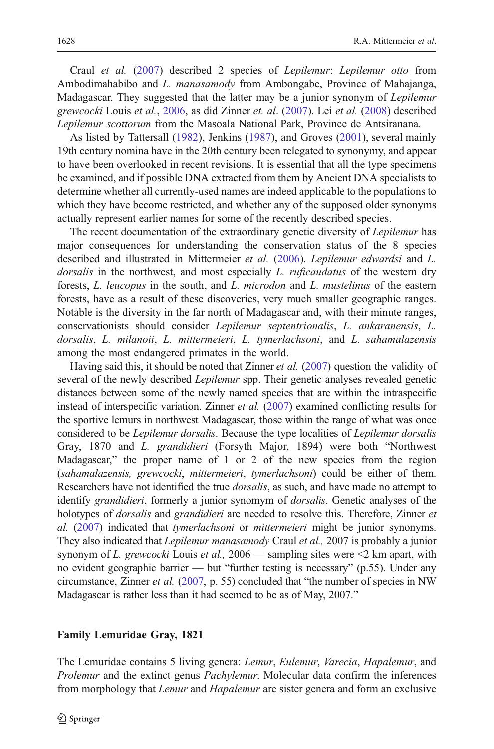Craul et al. ([2007\)](#page-40-0) described 2 species of Lepilemur: Lepilemur otto from Ambodimahabibo and L. manasamody from Ambongabe, Province of Mahajanga, Madagascar. They suggested that the latter may be a junior synonym of *Lepilemur* grewcocki Louis et al., [2006,](#page-43-0) as did Zinner et. al. [\(2007\)](#page-49-0). Lei et al. ([2008](#page-43-0)) described Lepilemur scottorum from the Masoala National Park, Province de Antsiranana.

As listed by Tattersall ([1982\)](#page-47-0), Jenkins [\(1987](#page-42-0)), and Groves [\(2001](#page-42-0)), several mainly 19th century nomina have in the 20th century been relegated to synonymy, and appear to have been overlooked in recent revisions. It is essential that all the type specimens be examined, and if possible DNA extracted from them by Ancient DNA specialists to determine whether all currently-used names are indeed applicable to the populations to which they have become restricted, and whether any of the supposed older synonyms actually represent earlier names for some of the recently described species.

The recent documentation of the extraordinary genetic diversity of *Lepilemur* has major consequences for understanding the conservation status of the 8 species described and illustrated in Mittermeier et al. ([2006\)](#page-43-0). Lepilemur edwardsi and L. dorsalis in the northwest, and most especially L. ruficaudatus of the western dry forests, L. leucopus in the south, and L. microdon and L. mustelinus of the eastern forests, have as a result of these discoveries, very much smaller geographic ranges. Notable is the diversity in the far north of Madagascar and, with their minute ranges, conservationists should consider Lepilemur septentrionalis, L. ankaranensis, L. dorsalis, L. milanoii, L. mittermeieri, L. tymerlachsoni, and L. sahamalazensis among the most endangered primates in the world.

Having said this, it should be noted that Zinner *et al.* ([2007](#page-49-0)) question the validity of several of the newly described *Lepilemur* spp. Their genetic analyses revealed genetic distances between some of the newly named species that are within the intraspecific instead of interspecific variation. Zinner et al. ([2007](#page-49-0)) examined conflicting results for the sportive lemurs in northwest Madagascar, those within the range of what was once considered to be Lepilemur dorsalis. Because the type localities of Lepilemur dorsalis Gray, 1870 and *L. grandidieri* (Forsyth Major, 1894) were both "Northwest Madagascar," the proper name of 1 or 2 of the new species from the region (sahamalazensis, grewcocki, mittermeieri, tymerlachsoni) could be either of them. Researchers have not identified the true *dorsalis*, as such, and have made no attempt to identify grandidieri, formerly a junior synomym of *dorsalis*. Genetic analyses of the holotypes of *dorsalis* and *grandidieri* are needed to resolve this. Therefore, Zinner et al. ([2007](#page-49-0)) indicated that tymerlachsoni or mittermeieri might be junior synonyms. They also indicated that Lepilemur manasamody Craul et al., 2007 is probably a junior synonym of L. grewcocki Louis et al.,  $2006$  — sampling sites were <2 km apart, with no evident geographic barrier — but "further testing is necessary" (p.55). Under any circumstance, Zinner et al. ([2007](#page-49-0), p. 55) concluded that "the number of species in NW Madagascar is rather less than it had seemed to be as of May, 2007."

## Family Lemuridae Gray, 1821

The Lemuridae contains 5 living genera: Lemur, Eulemur, Varecia, Hapalemur, and Prolemur and the extinct genus *Pachylemur*. Molecular data confirm the inferences from morphology that *Lemur* and *Hapalemur* are sister genera and form an exclusive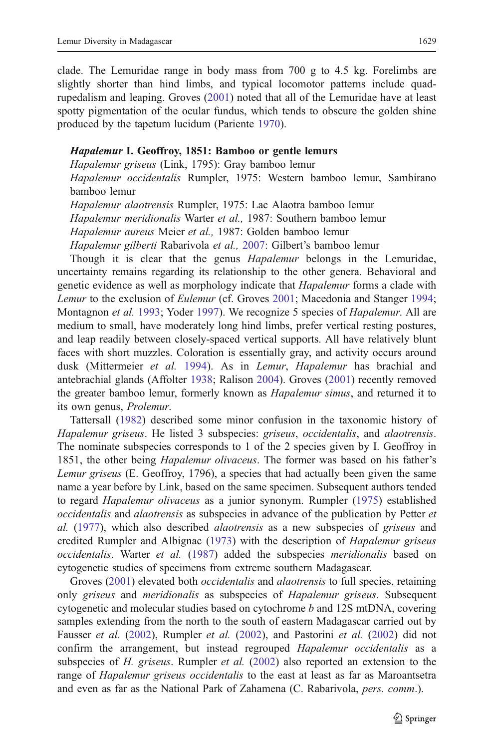clade. The Lemuridae range in body mass from 700 g to 4.5 kg. Forelimbs are slightly shorter than hind limbs, and typical locomotor patterns include quadrupedalism and leaping. Groves ([2001\)](#page-42-0) noted that all of the Lemuridae have at least spotty pigmentation of the ocular fundus, which tends to obscure the golden shine produced by the tapetum lucidum (Pariente [1970](#page-44-0)).

## Hapalemur I. Geoffroy, 1851: Bamboo or gentle lemurs

Hapalemur griseus (Link, 1795): Gray bamboo lemur

Hapalemur occidentalis Rumpler, 1975: Western bamboo lemur, Sambirano bamboo lemur

Hapalemur alaotrensis Rumpler, 1975: Lac Alaotra bamboo lemur

Hapalemur meridionalis Warter et al., 1987: Southern bamboo lemur

Hapalemur aureus Meier et al., 1987: Golden bamboo lemur

Hapalemur gilberti Rabarivola et al., [2007:](#page-44-0) Gilbert's bamboo lemur

Though it is clear that the genus *Hapalemur* belongs in the Lemuridae, uncertainty remains regarding its relationship to the other genera. Behavioral and genetic evidence as well as morphology indicate that Hapalemur forms a clade with Lemur to the exclusion of *Eulemur* (cf. Groves [2001;](#page-42-0) Macedonia and Stanger [1994;](#page-43-0) Montagnon et al. [1993;](#page-43-0) Yoder [1997\)](#page-49-0). We recognize 5 species of Hapalemur. All are medium to small, have moderately long hind limbs, prefer vertical resting postures, and leap readily between closely-spaced vertical supports. All have relatively blunt faces with short muzzles. Coloration is essentially gray, and activity occurs around dusk (Mittermeier et al. [1994](#page-43-0)). As in Lemur, Hapalemur has brachial and antebrachial glands (Affolter [1938](#page-39-0); Ralison [2004\)](#page-45-0). Groves [\(2001](#page-42-0)) recently removed the greater bamboo lemur, formerly known as *Hapalemur simus*, and returned it to its own genus, Prolemur.

Tattersall [\(1982](#page-47-0)) described some minor confusion in the taxonomic history of Hapalemur griseus. He listed 3 subspecies: griseus, occidentalis, and alaotrensis. The nominate subspecies corresponds to 1 of the 2 species given by I. Geoffroy in 1851, the other being *Hapalemur olivaceus*. The former was based on his father's Lemur griseus (E. Geoffroy, 1796), a species that had actually been given the same name a year before by Link, based on the same specimen. Subsequent authors tended to regard Hapalemur olivaceus as a junior synonym. Rumpler ([1975\)](#page-45-0) established occidentalis and alaotrensis as subspecies in advance of the publication by Petter et al. ([1977\)](#page-44-0), which also described alaotrensis as a new subspecies of griseus and credited Rumpler and Albignac ([1973\)](#page-46-0) with the description of Hapalemur griseus occidentalis. Warter et al. ([1987\)](#page-48-0) added the subspecies meridionalis based on cytogenetic studies of specimens from extreme southern Madagascar.

Groves ([2001\)](#page-42-0) elevated both *occidentalis* and *alaotrensis* to full species, retaining only *griseus* and *meridionalis* as subspecies of *Hapalemur griseus*. Subsequent cytogenetic and molecular studies based on cytochrome b and 12S mtDNA, covering samples extending from the north to the south of eastern Madagascar carried out by Fausser et al. ([2002\)](#page-44-0), Rumpler et al. [\(2002](#page-46-0)), and Pastorini et al. (2002) did not confirm the arrangement, but instead regrouped *Hapalemur occidentalis* as a subspecies of *H. griseus.* Rumpler *et al.* [\(2002](#page-46-0)) also reported an extension to the range of Hapalemur griseus occidentalis to the east at least as far as Maroantsetra and even as far as the National Park of Zahamena (C. Rabarivola, pers. comm.).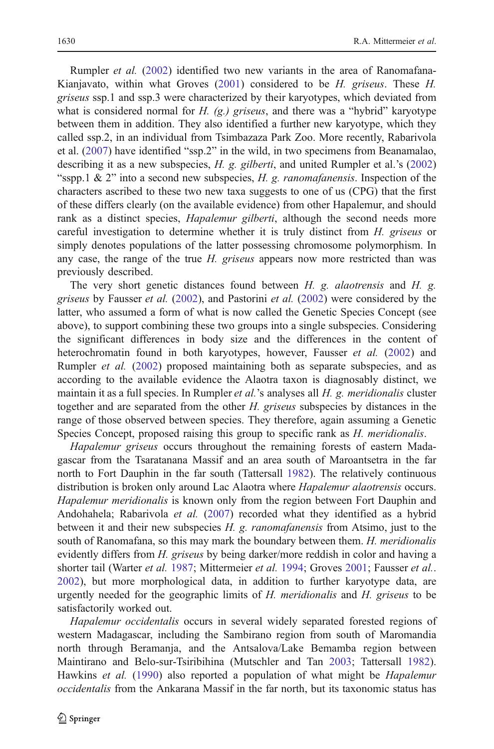Rumpler et al. ([2002\)](#page-46-0) identified two new variants in the area of Ranomafana-Kianjavato, within what Groves  $(2001)$  $(2001)$  considered to be H. griseus. These H. griseus ssp.1 and ssp.3 were characterized by their karyotypes, which deviated from what is considered normal for H.  $(g)$  griseus, and there was a "hybrid" karyotype between them in addition. They also identified a further new karyotype, which they called ssp.2, in an individual from Tsimbazaza Park Zoo. More recently, Rabarivola et al. [\(2007](#page-44-0)) have identified "ssp.2" in the wild, in two specimens from Beanamalao, describing it as a new subspecies, H. g. gilberti, and united Rumpler et al.'s [\(2002](#page-46-0)) "sspp.1 & 2" into a second new subspecies,  $H$ . g. *ranomafanensis*. Inspection of the characters ascribed to these two new taxa suggests to one of us (CPG) that the first of these differs clearly (on the available evidence) from other Hapalemur, and should rank as a distinct species, *Hapalemur gilberti*, although the second needs more careful investigation to determine whether it is truly distinct from H. griseus or simply denotes populations of the latter possessing chromosome polymorphism. In any case, the range of the true  $H$ . griseus appears now more restricted than was previously described.

The very short genetic distances found between H. g. alaotrensis and H. g. griseus by Fausser et al. [\(2002](#page-40-0)), and Pastorini et al. [\(2002](#page-44-0)) were considered by the latter, who assumed a form of what is now called the Genetic Species Concept (see above), to support combining these two groups into a single subspecies. Considering the significant differences in body size and the differences in the content of heterochromatin found in both karyotypes, however, Fausser et al. [\(2002](#page-40-0)) and Rumpler et al. ([2002\)](#page-46-0) proposed maintaining both as separate subspecies, and as according to the available evidence the Alaotra taxon is diagnosably distinct, we maintain it as a full species. In Rumpler et al.'s analyses all H. g. meridionalis cluster together and are separated from the other H. griseus subspecies by distances in the range of those observed between species. They therefore, again assuming a Genetic Species Concept, proposed raising this group to specific rank as H. meridionalis.

Hapalemur griseus occurs throughout the remaining forests of eastern Madagascar from the Tsaratanana Massif and an area south of Maroantsetra in the far north to Fort Dauphin in the far south (Tattersall [1982](#page-47-0)). The relatively continuous distribution is broken only around Lac Alaotra where *Hapalemur alaotrensis* occurs. Hapalemur meridionalis is known only from the region between Fort Dauphin and Andohahela; Rabarivola et al. ([2007\)](#page-44-0) recorded what they identified as a hybrid between it and their new subspecies H. g. *ranomafanensis* from Atsimo, just to the south of Ranomafana, so this may mark the boundary between them. H. meridionalis evidently differs from H. griseus by being darker/more reddish in color and having a shorter tail (Warter et al. [1987](#page-48-0); Mittermeier et al. [1994](#page-43-0); Groves [2001](#page-42-0); Fausser et al.. [2002\)](#page-40-0), but more morphological data, in addition to further karyotype data, are urgently needed for the geographic limits of  $H$ . *meridionalis* and  $H$ , *griseus* to be satisfactorily worked out.

Hapalemur occidentalis occurs in several widely separated forested regions of western Madagascar, including the Sambirano region from south of Maromandia north through Beramanja, and the Antsalova/Lake Bemamba region between Maintirano and Belo-sur-Tsiribihina (Mutschler and Tan [2003](#page-43-0); Tattersall [1982\)](#page-47-0). Hawkins *et al.* [\(1990](#page-42-0)) also reported a population of what might be *Hapalemur* occidentalis from the Ankarana Massif in the far north, but its taxonomic status has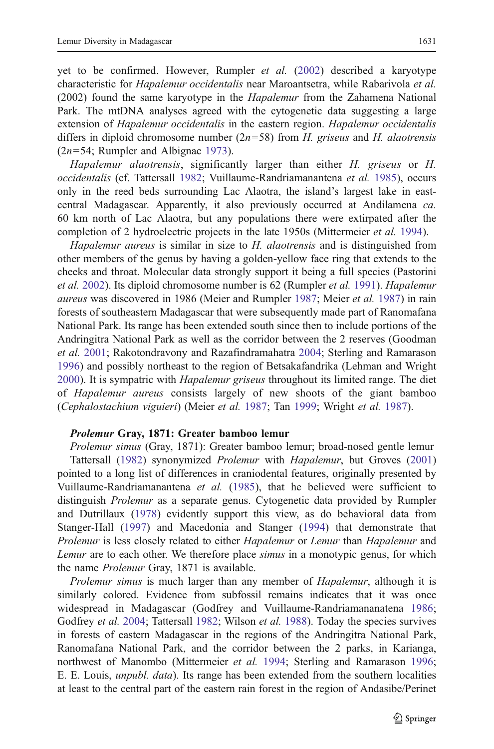$(2n=54;$  Rumpler and Albignac [1973\)](#page-46-0). Hapalemur alaotrensis, significantly larger than either H. griseus or H. occidentalis (cf. Tattersall [1982;](#page-47-0) Vuillaume-Randriamanantena et al. [1985](#page-48-0)), occurs only in the reed beds surrounding Lac Alaotra, the island's largest lake in eastcentral Madagascar. Apparently, it also previously occurred at Andilamena ca. 60 km north of Lac Alaotra, but any populations there were extirpated after the completion of 2 hydroelectric projects in the late 1950s (Mittermeier *et al.* [1994](#page-43-0)).

differs in diploid chromosome number  $(2n=58)$  from H. griseus and H. alaotrensis

Hapalemur aureus is similar in size to H. alaotrensis and is distinguished from other members of the genus by having a golden-yellow face ring that extends to the cheeks and throat. Molecular data strongly support it being a full species (Pastorini et al. [2002](#page-44-0)). Its diploid chromosome number is 62 (Rumpler et al. [1991\)](#page-46-0). Hapalemur aureus was discovered in 1986 (Meier and Rumpler [1987;](#page-43-0) Meier et al. [1987](#page-43-0)) in rain forests of southeastern Madagascar that were subsequently made part of Ranomafana National Park. Its range has been extended south since then to include portions of the Andringitra National Park as well as the corridor between the 2 reserves (Goodman et al. [2001;](#page-41-0) Rakotondravony and Razafindramahatra [2004;](#page-45-0) Sterling and Ramarason [1996\)](#page-47-0) and possibly northeast to the region of Betsakafandrika (Lehman and Wright [2000\)](#page-43-0). It is sympatric with Hapalemur griseus throughout its limited range. The diet of Hapalemur aureus consists largely of new shoots of the giant bamboo (Cephalostachium viguieri) (Meier et al. [1987;](#page-43-0) Tan [1999;](#page-47-0) Wright et al. [1987](#page-48-0)).

## Prolemur Gray, 1871: Greater bamboo lemur

Prolemur simus (Gray, 1871): Greater bamboo lemur; broad-nosed gentle lemur Tattersall ([1982\)](#page-47-0) synonymized Prolemur with Hapalemur, but Groves [\(2001](#page-42-0)) pointed to a long list of differences in craniodental features, originally presented by Vuillaume-Randriamanantena et al. [\(1985](#page-48-0)), that he believed were sufficient to distinguish Prolemur as a separate genus. Cytogenetic data provided by Rumpler and Dutrillaux ([1978\)](#page-46-0) evidently support this view, as do behavioral data from Stanger-Hall [\(1997](#page-47-0)) and Macedonia and Stanger ([1994](#page-43-0)) that demonstrate that Prolemur is less closely related to either Hapalemur or Lemur than Hapalemur and Lemur are to each other. We therefore place *simus* in a monotypic genus, for which the name Prolemur Gray, 1871 is available.

Prolemur simus is much larger than any member of Hapalemur, although it is similarly colored. Evidence from subfossil remains indicates that it was once widespread in Madagascar (Godfrey and Vuillaume-Randriamananatena [1986;](#page-41-0) Godfrey et al. [2004](#page-41-0); Tattersall [1982](#page-47-0); Wilson et al. [1988](#page-48-0)). Today the species survives in forests of eastern Madagascar in the regions of the Andringitra National Park, Ranomafana National Park, and the corridor between the 2 parks, in Karianga, northwest of Manombo (Mittermeier et al. [1994](#page-43-0); Sterling and Ramarason [1996;](#page-47-0) E. E. Louis, unpubl. data). Its range has been extended from the southern localities at least to the central part of the eastern rain forest in the region of Andasibe/Perinet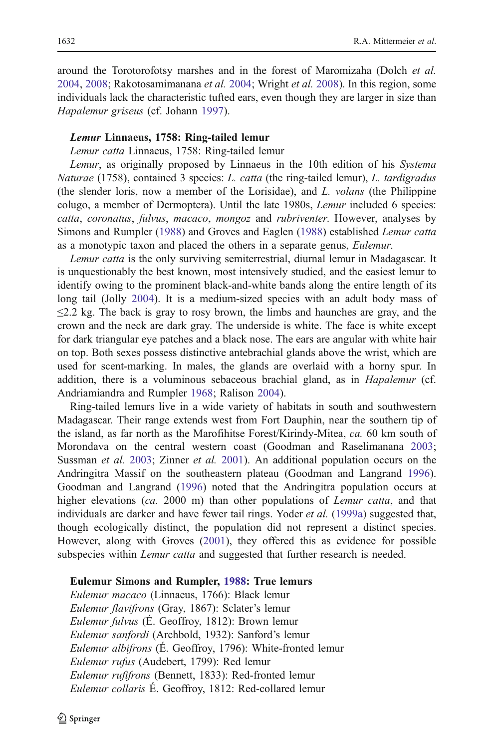around the Torotorofotsy marshes and in the forest of Maromizaha (Dolch et al. [2004,](#page-40-0) [2008;](#page-40-0) Rakotosamimanana et al. [2004;](#page-45-0) Wright et al. [2008\)](#page-48-0). In this region, some individuals lack the characteristic tufted ears, even though they are larger in size than Hapalemur griseus (cf. Johann [1997](#page-42-0)).

## Lemur Linnaeus, 1758: Ring-tailed lemur

## Lemur catta Linnaeus, 1758: Ring-tailed lemur

Lemur, as originally proposed by Linnaeus in the 10th edition of his Systema Naturae (1758), contained 3 species: L. catta (the ring-tailed lemur), L. tardigradus (the slender loris, now a member of the Lorisidae), and  $L$ , *volans* (the Philippine colugo, a member of Dermoptera). Until the late 1980s, Lemur included 6 species: catta, coronatus, fulvus, macaco, mongoz and rubriventer. However, analyses by Simons and Rumpler ([1988\)](#page-47-0) and Groves and Eaglen [\(1988](#page-42-0)) established Lemur catta as a monotypic taxon and placed the others in a separate genus, Eulemur.

Lemur catta is the only surviving semiterrestrial, diurnal lemur in Madagascar. It is unquestionably the best known, most intensively studied, and the easiest lemur to identify owing to the prominent black-and-white bands along the entire length of its long tail (Jolly [2004](#page-42-0)). It is a medium-sized species with an adult body mass of  $\leq$ 2.2 kg. The back is gray to rosy brown, the limbs and haunches are gray, and the crown and the neck are dark gray. The underside is white. The face is white except for dark triangular eye patches and a black nose. The ears are angular with white hair on top. Both sexes possess distinctive antebrachial glands above the wrist, which are used for scent-marking. In males, the glands are overlaid with a horny spur. In addition, there is a voluminous sebaceous brachial gland, as in *Hapalemur* (cf. Andriamiandra and Rumpler [1968;](#page-39-0) Ralison [2004](#page-45-0)).

Ring-tailed lemurs live in a wide variety of habitats in south and southwestern Madagascar. Their range extends west from Fort Dauphin, near the southern tip of the island, as far north as the Marofihitse Forest/Kirindy-Mitea, ca. 60 km south of Morondava on the central western coast (Goodman and Raselimanana [2003;](#page-41-0) Sussman et al. [2003](#page-47-0); Zinner et al. [2001](#page-49-0)). An additional population occurs on the Andringitra Massif on the southeastern plateau (Goodman and Langrand [1996\)](#page-41-0). Goodman and Langrand [\(1996](#page-41-0)) noted that the Andringitra population occurs at higher elevations (ca. 2000 m) than other populations of *Lemur catta*, and that individuals are darker and have fewer tail rings. Yoder et al. ([1999a\)](#page-49-0) suggested that, though ecologically distinct, the population did not represent a distinct species. However, along with Groves ([2001\)](#page-42-0), they offered this as evidence for possible subspecies within *Lemur catta* and suggested that further research is needed.

#### Eulemur Simons and Rumpler, [1988](#page-47-0): True lemurs

Eulemur macaco (Linnaeus, 1766): Black lemur Eulemur flavifrons (Gray, 1867): Sclater's lemur Eulemur fulvus (É. Geoffroy, 1812): Brown lemur Eulemur sanfordi (Archbold, 1932): Sanford's lemur Eulemur albifrons (É. Geoffroy, 1796): White-fronted lemur Eulemur rufus (Audebert, 1799): Red lemur Eulemur rufifrons (Bennett, 1833): Red-fronted lemur Eulemur collaris É. Geoffroy, 1812: Red-collared lemur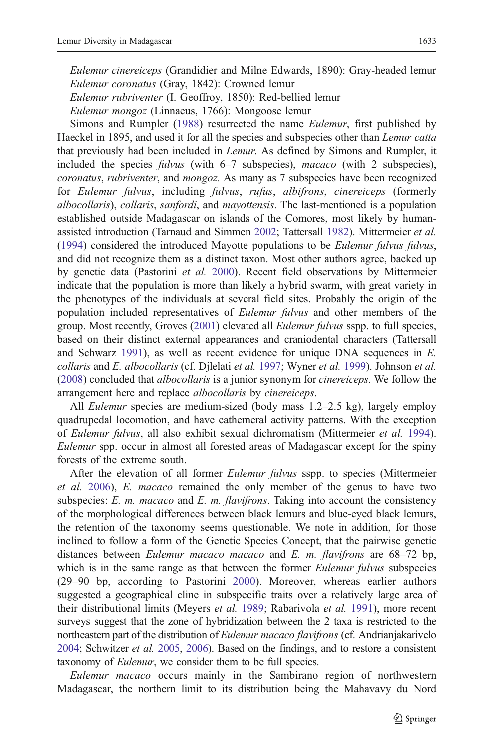Eulemur rubriventer (I. Geoffroy, 1850): Red-bellied lemur

Eulemur mongoz (Linnaeus, 1766): Mongoose lemur

Simons and Rumpler [\(1988](#page-47-0)) resurrected the name *Eulemur*, first published by Haeckel in 1895, and used it for all the species and subspecies other than *Lemur catta* that previously had been included in Lemur. As defined by Simons and Rumpler, it included the species fulvus (with 6–7 subspecies), macaco (with 2 subspecies), coronatus, rubriventer, and mongoz. As many as 7 subspecies have been recognized for *Eulemur fulvus*, including *fulvus*, *rufus*, *albifrons*, *cinereiceps* (formerly albocollaris), collaris, sanfordi, and mayottensis. The last-mentioned is a population established outside Madagascar on islands of the Comores, most likely by humanassisted introduction (Tarnaud and Simmen [2002](#page-47-0); Tattersall [1982\)](#page-47-0). Mittermeier et al. [\(1994\)](#page-43-0) considered the introduced Mayotte populations to be Eulemur fulvus fulvus, and did not recognize them as a distinct taxon. Most other authors agree, backed up by genetic data (Pastorini et al. [2000](#page-44-0)). Recent field observations by Mittermeier indicate that the population is more than likely a hybrid swarm, with great variety in the phenotypes of the individuals at several field sites. Probably the origin of the population included representatives of Eulemur fulvus and other members of the group. Most recently, Groves [\(2001](#page-42-0)) elevated all *Eulemur fulvus* sspp. to full species, based on their distinct external appearances and craniodental characters (Tattersall and Schwarz [1991\)](#page-48-0), as well as recent evidence for unique DNA sequences in E. collaris and E. albocollaris (cf. Djlelati et al. [1997](#page-40-0); Wyner et al. [1999\)](#page-49-0). Johnson et al. [\(2008\)](#page-42-0) concluded that albocollaris is a junior synonym for cinereiceps. We follow the arrangement here and replace albocollaris by cinereiceps.

All *Eulemur* species are medium-sized (body mass  $1.2-2.5$  kg), largely employ quadrupedal locomotion, and have cathemeral activity patterns. With the exception of Eulemur fulvus, all also exhibit sexual dichromatism (Mittermeier et al. [1994\)](#page-43-0). Eulemur spp. occur in almost all forested areas of Madagascar except for the spiny forests of the extreme south.

After the elevation of all former Eulemur fulvus sspp. to species (Mittermeier et al. [2006](#page-43-0)), E. macaco remained the only member of the genus to have two subspecies:  $E$ .  $m$ .  $macaco$  and  $E$ .  $m$ .  $flavifrons$ . Taking into account the consistency of the morphological differences between black lemurs and blue-eyed black lemurs, the retention of the taxonomy seems questionable. We note in addition, for those inclined to follow a form of the Genetic Species Concept, that the pairwise genetic distances between *Eulemur macaco macaco* and *E. m. flavifrons* are 68–72 bp, which is in the same range as that between the former *Eulemur fulvus* subspecies (29–90 bp, according to Pastorini [2000](#page-44-0)). Moreover, whereas earlier authors suggested a geographical cline in subspecific traits over a relatively large area of their distributional limits (Meyers et al. [1989;](#page-43-0) Rabarivola et al. [1991](#page-44-0)), more recent surveys suggest that the zone of hybridization between the 2 taxa is restricted to the northeastern part of the distribution of *Eulemur macaco flavifrons* (cf. Andrianjakarivelo [2004](#page-39-0); Schwitzer et al. [2005,](#page-47-0) [2006](#page-47-0)). Based on the findings, and to restore a consistent taxonomy of Eulemur, we consider them to be full species.

Eulemur macaco occurs mainly in the Sambirano region of northwestern Madagascar, the northern limit to its distribution being the Mahavavy du Nord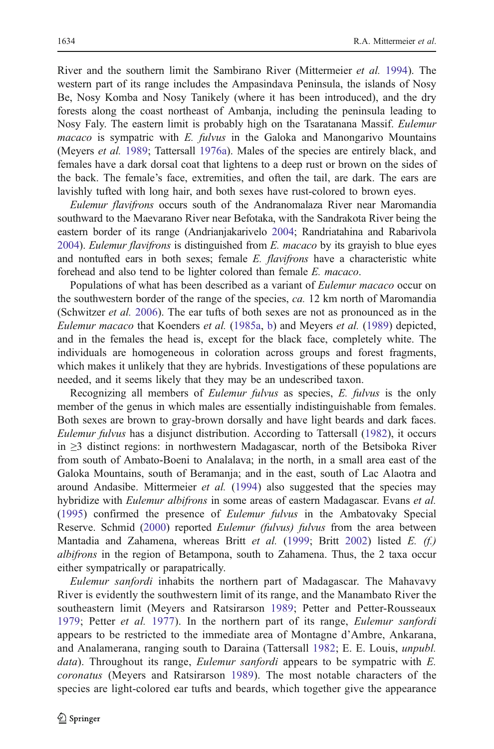River and the southern limit the Sambirano River (Mittermeier et al. [1994\)](#page-43-0). The western part of its range includes the Ampasindava Peninsula, the islands of Nosy Be, Nosy Komba and Nosy Tanikely (where it has been introduced), and the dry forests along the coast northeast of Ambanja, including the peninsula leading to Nosy Faly. The eastern limit is probably high on the Tsaratanana Massif. *Eulemur macaco* is sympatric with  $E$ . *fulvus* in the Galoka and Manongarivo Mountains (Meyers et al. [1989](#page-43-0); Tattersall [1976a\)](#page-47-0). Males of the species are entirely black, and females have a dark dorsal coat that lightens to a deep rust or brown on the sides of the back. The female's face, extremities, and often the tail, are dark. The ears are lavishly tufted with long hair, and both sexes have rust-colored to brown eyes.

Eulemur flavifrons occurs south of the Andranomalaza River near Maromandia southward to the Maevarano River near Befotaka, with the Sandrakota River being the eastern border of its range (Andrianjakarivelo [2004;](#page-39-0) Randriatahina and Rabarivola [2004\)](#page-45-0). *Eulemur flavifrons* is distinguished from *E. macaco* by its grayish to blue eyes and nontufted ears in both sexes; female E. flavifrons have a characteristic white forehead and also tend to be lighter colored than female E. macaco.

Populations of what has been described as a variant of Eulemur macaco occur on the southwestern border of the range of the species, ca. 12 km north of Maromandia (Schwitzer et al. [2006](#page-47-0)). The ear tufts of both sexes are not as pronounced as in the Eulemur macaco that Koenders et al. ([1985a](#page-43-0), [b\)](#page-43-0) and Meyers et al. [\(1989](#page-43-0)) depicted, and in the females the head is, except for the black face, completely white. The individuals are homogeneous in coloration across groups and forest fragments, which makes it unlikely that they are hybrids. Investigations of these populations are needed, and it seems likely that they may be an undescribed taxon.

Recognizing all members of Eulemur fulvus as species, E. fulvus is the only member of the genus in which males are essentially indistinguishable from females. Both sexes are brown to gray-brown dorsally and have light beards and dark faces. Eulemur fulvus has a disjunct distribution. According to Tattersall ([1982\)](#page-47-0), it occurs in ≥3 distinct regions: in northwestern Madagascar, north of the Betsiboka River from south of Ambato-Boeni to Analalava; in the north, in a small area east of the Galoka Mountains, south of Beramanja; and in the east, south of Lac Alaotra and around Andasibe. Mittermeier et al.  $(1994)$  $(1994)$  also suggested that the species may hybridize with *Eulemur albifrons* in some areas of eastern Madagascar. Evans et al. [\(1995](#page-40-0)) confirmed the presence of Eulemur fulvus in the Ambatovaky Special Reserve. Schmid ([2000\)](#page-46-0) reported *Eulemur (fulvus) fulvus* from the area between Mantadia and Zahamena, whereas Britt et al. ([1999;](#page-40-0) Britt [2002](#page-40-0)) listed E. (f.) albifrons in the region of Betampona, south to Zahamena. Thus, the 2 taxa occur either sympatrically or parapatrically.

Eulemur sanfordi inhabits the northern part of Madagascar. The Mahavavy River is evidently the southwestern limit of its range, and the Manambato River the southeastern limit (Meyers and Ratsirarson [1989](#page-43-0); Petter and Petter-Rousseaux [1979](#page-44-0); Petter et al. [1977](#page-44-0)). In the northern part of its range, Eulemur sanfordi appears to be restricted to the immediate area of Montagne d'Ambre, Ankarana, and Analamerana, ranging south to Daraina (Tattersall [1982;](#page-47-0) E. E. Louis, unpubl. data). Throughout its range, *Eulemur sanfordi* appears to be sympatric with *E*. coronatus (Meyers and Ratsirarson [1989\)](#page-43-0). The most notable characters of the species are light-colored ear tufts and beards, which together give the appearance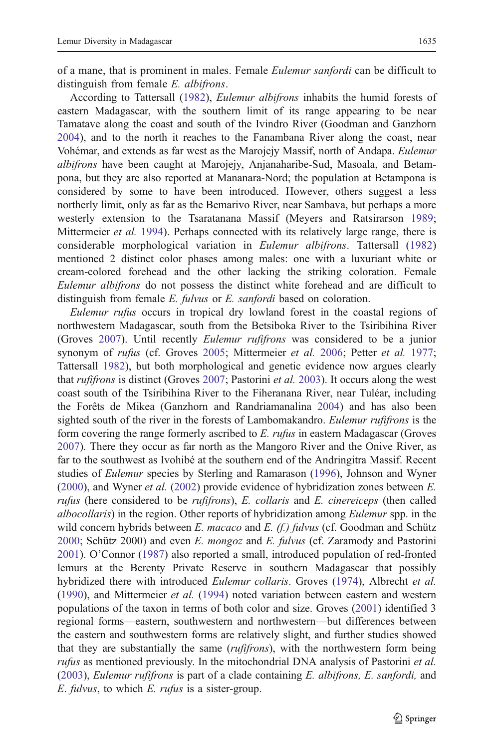of a mane, that is prominent in males. Female Eulemur sanfordi can be difficult to distinguish from female *E. albifrons*.

According to Tattersall [\(1982](#page-47-0)), Eulemur albifrons inhabits the humid forests of eastern Madagascar, with the southern limit of its range appearing to be near Tamatave along the coast and south of the Ivindro River (Goodman and Ganzhorn [2004\)](#page-41-0), and to the north it reaches to the Fanambana River along the coast, near Vohémar, and extends as far west as the Marojejy Massif, north of Andapa. Eulemur albifrons have been caught at Marojejy, Anjanaharibe-Sud, Masoala, and Betampona, but they are also reported at Mananara-Nord; the population at Betampona is considered by some to have been introduced. However, others suggest a less northerly limit, only as far as the Bemarivo River, near Sambava, but perhaps a more westerly extension to the Tsaratanana Massif (Meyers and Ratsirarson [1989;](#page-43-0) Mittermeier *et al.* [1994](#page-43-0)). Perhaps connected with its relatively large range, there is considerable morphological variation in Eulemur albifrons. Tattersall ([1982](#page-47-0)) mentioned 2 distinct color phases among males: one with a luxuriant white or cream-colored forehead and the other lacking the striking coloration. Female Eulemur albifrons do not possess the distinct white forehead and are difficult to distinguish from female *E. fulvus* or *E. sanfordi* based on coloration.

Eulemur rufus occurs in tropical dry lowland forest in the coastal regions of northwestern Madagascar, south from the Betsiboka River to the Tsiribihina River (Groves [2007\)](#page-42-0). Until recently Eulemur rufifrons was considered to be a junior synonym of *rufus* (cf. Groves [2005;](#page-42-0) Mittermeier et al. [2006](#page-43-0); Petter et al. [1977;](#page-44-0) Tattersall [1982](#page-47-0)), but both morphological and genetic evidence now argues clearly that rufifrons is distinct (Groves [2007](#page-42-0); Pastorini et al. [2003\)](#page-44-0). It occurs along the west coast south of the Tsiribihina River to the Fiheranana River, near Tuléar, including the Forêts de Mikea (Ganzhorn and Randriamanalina [2004](#page-40-0)) and has also been sighted south of the river in the forests of Lambomakandro. *Eulemur ruftfrons* is the form covering the range formerly ascribed to E. rufus in eastern Madagascar (Groves [2007\)](#page-42-0). There they occur as far north as the Mangoro River and the Onive River, as far to the southwest as Ivohibé at the southern end of the Andringitra Massif. Recent studies of *Eulemur* species by Sterling and Ramarason [\(1996](#page-47-0)), Johnson and Wyner  $(2000)$  $(2000)$ , and Wyner *et al.*  $(2002)$  $(2002)$  provide evidence of hybridization zones between E. rufus (here considered to be *rufifrons*),  $E$ . *collaris* and  $E$ . *cinereiceps* (then called albocollaris) in the region. Other reports of hybridization among *Eulemur* spp. in the wild concern hybrids between  $E$ . macaco and  $E$ . (f.) fulvus (cf. Goodman and Schütz [2000;](#page-41-0) Schütz 2000) and even E. mongoz and E. fulvus (cf. Zaramody and Pastorini [2001\)](#page-49-0). O'Connor [\(1987](#page-44-0)) also reported a small, introduced population of red-fronted lemurs at the Berenty Private Reserve in southern Madagascar that possibly hybridized there with introduced *Eulemur collaris*. Groves ([1974\)](#page-41-0), Albrecht et al. [\(1990](#page-39-0)), and Mittermeier et al. ([1994\)](#page-43-0) noted variation between eastern and western populations of the taxon in terms of both color and size. Groves [\(2001](#page-42-0)) identified 3 regional forms—eastern, southwestern and northwestern—but differences between the eastern and southwestern forms are relatively slight, and further studies showed that they are substantially the same *(rufifrons)*, with the northwestern form being rufus as mentioned previously. In the mitochondrial DNA analysis of Pastorini et al.  $(2003)$  $(2003)$ , Eulemur ruftfrons is part of a clade containing E. albifrons, E. sanfordi, and E. fulvus, to which  $E$ . *rufus* is a sister-group.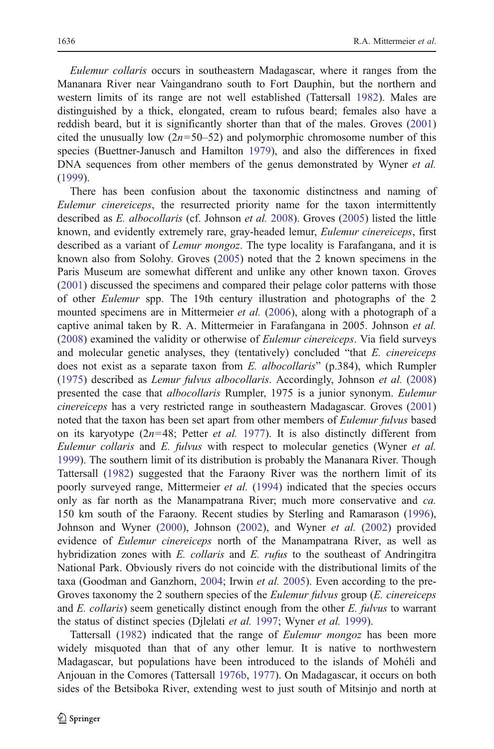Eulemur collaris occurs in southeastern Madagascar, where it ranges from the Mananara River near Vaingandrano south to Fort Dauphin, but the northern and western limits of its range are not well established (Tattersall [1982\)](#page-47-0). Males are distinguished by a thick, elongated, cream to rufous beard; females also have a reddish beard, but it is significantly shorter than that of the males. Groves [\(2001](#page-42-0)) cited the unusually low  $(2n=50-52)$  and polymorphic chromosome number of this species (Buettner-Janusch and Hamilton [1979](#page-40-0)), and also the differences in fixed DNA sequences from other members of the genus demonstrated by Wyner et al. [\(1999](#page-49-0)).

There has been confusion about the taxonomic distinctness and naming of Eulemur cinereiceps, the resurrected priority name for the taxon intermittently described as *E. albocollaris* (cf. Johnson *et al.* [2008](#page-42-0)). Groves ([2005\)](#page-42-0) listed the little known, and evidently extremely rare, gray-headed lemur, Eulemur cinereiceps, first described as a variant of *Lemur mongoz*. The type locality is Farafangana, and it is known also from Solohy. Groves ([2005\)](#page-42-0) noted that the 2 known specimens in the Paris Museum are somewhat different and unlike any other known taxon. Groves [\(2001](#page-42-0)) discussed the specimens and compared their pelage color patterns with those of other Eulemur spp. The 19th century illustration and photographs of the 2 mounted specimens are in Mittermeier et al. [\(2006](#page-43-0)), along with a photograph of a captive animal taken by R. A. Mittermeier in Farafangana in 2005. Johnson et al. [\(2008](#page-42-0)) examined the validity or otherwise of Eulemur cinereiceps. Via field surveys and molecular genetic analyses, they (tentatively) concluded "that E. cinereiceps does not exist as a separate taxon from E. albocollaris" (p.384), which Rumpler [\(1975](#page-45-0)) described as Lemur fulvus albocollaris. Accordingly, Johnson et al. [\(2008](#page-42-0)) presented the case that albocollaris Rumpler, 1975 is a junior synonym. Eulemur cinereiceps has a very restricted range in southeastern Madagascar. Groves [\(2001](#page-42-0)) noted that the taxon has been set apart from other members of *Eulemur fulvus* based on its karyotype  $(2n=48$ ; Petter *et al.* [1977](#page-44-0)). It is also distinctly different from Eulemur collaris and E. fulvus with respect to molecular genetics (Wyner et al. [1999\)](#page-49-0). The southern limit of its distribution is probably the Mananara River. Though Tattersall [\(1982](#page-47-0)) suggested that the Faraony River was the northern limit of its poorly surveyed range, Mittermeier et al. ([1994\)](#page-43-0) indicated that the species occurs only as far north as the Manampatrana River; much more conservative and ca. 150 km south of the Faraony. Recent studies by Sterling and Ramarason ([1996\)](#page-47-0), Johnson and Wyner [\(2000](#page-42-0)), Johnson ([2002\)](#page-42-0), and Wyner et al. ([2002\)](#page-49-0) provided evidence of *Eulemur cinereiceps* north of the Manampatrana River, as well as hybridization zones with E. collaris and E. rufus to the southeast of Andringitra National Park. Obviously rivers do not coincide with the distributional limits of the taxa (Goodman and Ganzhorn, [2004](#page-41-0); Irwin *et al.* [2005](#page-42-0)). Even according to the pre-Groves taxonomy the 2 southern species of the *Eulemur fulvus* group (*E. cinereiceps* and *E. collaris*) seem genetically distinct enough from the other *E. fulvus* to warrant the status of distinct species (Djlelati *et al.* [1997](#page-40-0); Wyner *et al.* [1999\)](#page-49-0).

Tattersall ([1982\)](#page-47-0) indicated that the range of Eulemur mongoz has been more widely misquoted than that of any other lemur. It is native to northwestern Madagascar, but populations have been introduced to the islands of Mohéli and Anjouan in the Comores (Tattersall [1976b](#page-47-0), [1977\)](#page-47-0). On Madagascar, it occurs on both sides of the Betsiboka River, extending west to just south of Mitsinjo and north at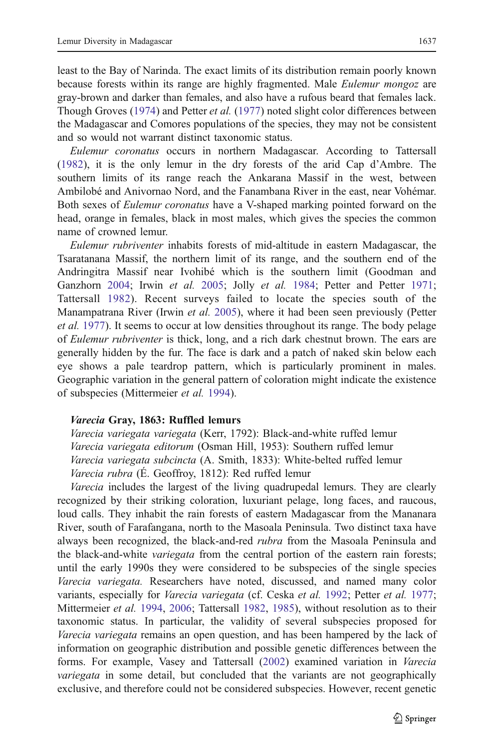least to the Bay of Narinda. The exact limits of its distribution remain poorly known because forests within its range are highly fragmented. Male Eulemur mongoz are gray-brown and darker than females, and also have a rufous beard that females lack. Though Groves ([1974\)](#page-41-0) and Petter et al. ([1977\)](#page-44-0) noted slight color differences between the Madagascar and Comores populations of the species, they may not be consistent and so would not warrant distinct taxonomic status.

Eulemur coronatus occurs in northern Madagascar. According to Tattersall [\(1982](#page-47-0)), it is the only lemur in the dry forests of the arid Cap d'Ambre. The southern limits of its range reach the Ankarana Massif in the west, between Ambilobé and Anivornao Nord, and the Fanambana River in the east, near Vohémar. Both sexes of Eulemur coronatus have a V-shaped marking pointed forward on the head, orange in females, black in most males, which gives the species the common name of crowned lemur.

Eulemur rubriventer inhabits forests of mid-altitude in eastern Madagascar, the Tsaratanana Massif, the northern limit of its range, and the southern end of the Andringitra Massif near Ivohibé which is the southern limit (Goodman and Ganzhorn [2004;](#page-41-0) Irwin et al. [2005](#page-42-0); Jolly et al. [1984;](#page-42-0) Petter and Petter [1971;](#page-44-0) Tattersall [1982](#page-47-0)). Recent surveys failed to locate the species south of the Manampatrana River (Irwin *et al.* [2005\)](#page-42-0), where it had been seen previously (Petter et al. [1977\)](#page-44-0). It seems to occur at low densities throughout its range. The body pelage of Eulemur rubriventer is thick, long, and a rich dark chestnut brown. The ears are generally hidden by the fur. The face is dark and a patch of naked skin below each eye shows a pale teardrop pattern, which is particularly prominent in males. Geographic variation in the general pattern of coloration might indicate the existence of subspecies (Mittermeier et al. [1994](#page-43-0)).

# Varecia Gray, 1863: Ruffled lemurs

Varecia variegata variegata (Kerr, 1792): Black-and-white ruffed lemur Varecia variegata editorum (Osman Hill, 1953): Southern ruffed lemur Varecia variegata subcincta (A. Smith, 1833): White-belted ruffed lemur Varecia rubra (É. Geoffroy, 1812): Red ruffed lemur

Varecia includes the largest of the living quadrupedal lemurs. They are clearly recognized by their striking coloration, luxuriant pelage, long faces, and raucous, loud calls. They inhabit the rain forests of eastern Madagascar from the Mananara River, south of Farafangana, north to the Masoala Peninsula. Two distinct taxa have always been recognized, the black-and-red *rubra* from the Masoala Peninsula and the black-and-white *variegata* from the central portion of the eastern rain forests; until the early 1990s they were considered to be subspecies of the single species Varecia variegata. Researchers have noted, discussed, and named many color variants, especially for Varecia variegata (cf. Ceska et al. [1992](#page-40-0); Petter et al. [1977;](#page-44-0) Mittermeier *et al.* [1994,](#page-43-0) [2006;](#page-43-0) Tattersall [1982](#page-47-0), [1985](#page-47-0)), without resolution as to their taxonomic status. In particular, the validity of several subspecies proposed for Varecia variegata remains an open question, and has been hampered by the lack of information on geographic distribution and possible genetic differences between the forms. For example, Vasey and Tattersall ([2002\)](#page-48-0) examined variation in Varecia *variegata* in some detail, but concluded that the variants are not geographically exclusive, and therefore could not be considered subspecies. However, recent genetic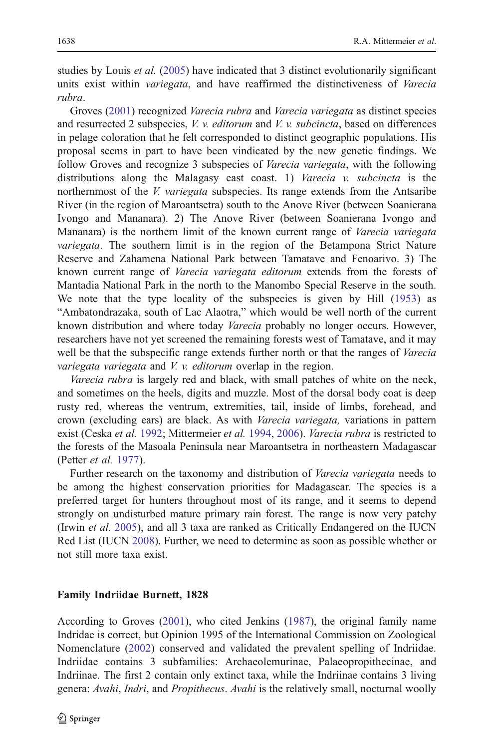studies by Louis *et al.* [\(2005](#page-43-0)) have indicated that 3 distinct evolutionarily significant units exist within *variegata*, and have reaffirmed the distinctiveness of *Varecia* rubra.

Groves ([2001\)](#page-42-0) recognized Varecia rubra and Varecia variegata as distinct species and resurrected 2 subspecies,  $V.$   $v.$  *editorum* and  $V.$   $v.$  *subcincta*, based on differences in pelage coloration that he felt corresponded to distinct geographic populations. His proposal seems in part to have been vindicated by the new genetic findings. We follow Groves and recognize 3 subspecies of *Varecia variegata*, with the following distributions along the Malagasy east coast. 1) Varecia v. subcincta is the northernmost of the *V. variegata* subspecies. Its range extends from the Antsaribe River (in the region of Maroantsetra) south to the Anove River (between Soanierana Ivongo and Mananara). 2) The Anove River (between Soanierana Ivongo and Mananara) is the northern limit of the known current range of Varecia variegata variegata. The southern limit is in the region of the Betampona Strict Nature Reserve and Zahamena National Park between Tamatave and Fenoarivo. 3) The known current range of Varecia variegata editorum extends from the forests of Mantadia National Park in the north to the Manombo Special Reserve in the south. We note that the type locality of the subspecies is given by Hill [\(1953\)](#page-42-0) as "Ambatondrazaka, south of Lac Alaotra," which would be well north of the current known distribution and where today Varecia probably no longer occurs. However, researchers have not yet screened the remaining forests west of Tamatave, and it may well be that the subspecific range extends further north or that the ranges of Varecia variegata variegata and V. v. editorum overlap in the region.

Varecia rubra is largely red and black, with small patches of white on the neck, and sometimes on the heels, digits and muzzle. Most of the dorsal body coat is deep rusty red, whereas the ventrum, extremities, tail, inside of limbs, forehead, and crown (excluding ears) are black. As with Varecia variegata, variations in pattern exist (Ceska et al. [1992;](#page-40-0) Mittermeier et al. [1994](#page-43-0), [2006](#page-43-0)). Varecia rubra is restricted to the forests of the Masoala Peninsula near Maroantsetra in northeastern Madagascar (Petter et al. [1977\)](#page-44-0).

Further research on the taxonomy and distribution of Varecia variegata needs to be among the highest conservation priorities for Madagascar. The species is a preferred target for hunters throughout most of its range, and it seems to depend strongly on undisturbed mature primary rain forest. The range is now very patchy (Irwin et al. [2005](#page-42-0)), and all 3 taxa are ranked as Critically Endangered on the IUCN Red List (IUCN [2008\)](#page-42-0). Further, we need to determine as soon as possible whether or not still more taxa exist.

## Family Indriidae Burnett, 1828

According to Groves ([2001\)](#page-42-0), who cited Jenkins [\(1987](#page-42-0)), the original family name Indridae is correct, but Opinion 1995 of the International Commission on Zoological Nomenclature [\(2002](#page-42-0)) conserved and validated the prevalent spelling of Indriidae. Indriidae contains 3 subfamilies: Archaeolemurinae, Palaeopropithecinae, and Indriinae. The first 2 contain only extinct taxa, while the Indriinae contains 3 living genera: Avahi, Indri, and Propithecus. Avahi is the relatively small, nocturnal woolly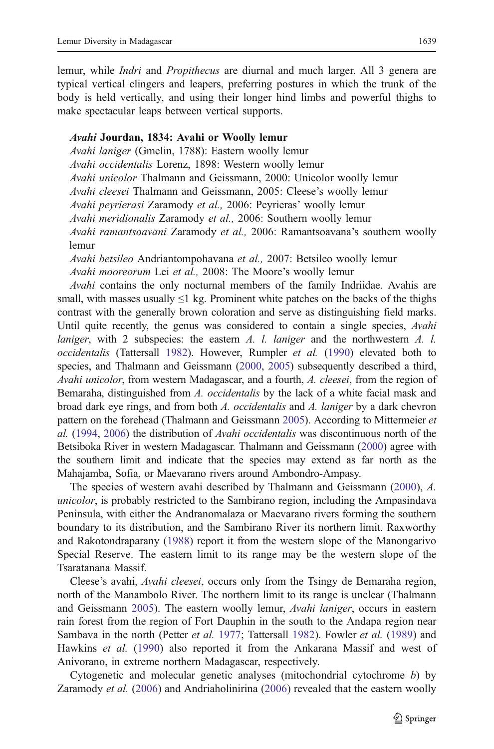lemur, while *Indri* and *Propithecus* are diurnal and much larger. All 3 genera are typical vertical clingers and leapers, preferring postures in which the trunk of the body is held vertically, and using their longer hind limbs and powerful thighs to make spectacular leaps between vertical supports.

#### Avahi Jourdan, 1834: Avahi or Woolly lemur

Avahi laniger (Gmelin, 1788): Eastern woolly lemur Avahi occidentalis Lorenz, 1898: Western woolly lemur Avahi unicolor Thalmann and Geissmann, 2000: Unicolor woolly lemur Avahi cleesei Thalmann and Geissmann, 2005: Cleese's woolly lemur Avahi peyrierasi Zaramody et al., 2006: Peyrieras' woolly lemur Avahi meridionalis Zaramody et al., 2006: Southern woolly lemur Avahi ramantsoavani Zaramody et al., 2006: Ramantsoavana's southern woolly lemur

Avahi betsileo Andriantompohavana et al., 2007: Betsileo woolly lemur Avahi mooreorum Lei et al., 2008: The Moore's woolly lemur

Avahi contains the only nocturnal members of the family Indriidae. Avahis are small, with masses usually  $\leq 1$  kg. Prominent white patches on the backs of the thighs contrast with the generally brown coloration and serve as distinguishing field marks. Until quite recently, the genus was considered to contain a single species, Avahi laniger, with 2 subspecies: the eastern  $A$ . l. laniger and the northwestern  $A$ . l. occidentalis (Tattersall [1982\)](#page-47-0). However, Rumpler et al. ([1990](#page-46-0)) elevated both to species, and Thalmann and Geissmann [\(2000,](#page-48-0) [2005](#page-48-0)) subsequently described a third, Avahi unicolor, from western Madagascar, and a fourth, A. cleesei, from the region of Bemaraha, distinguished from A. occidentalis by the lack of a white facial mask and broad dark eye rings, and from both A. occidentalis and A. laniger by a dark chevron pattern on the forehead (Thalmann and Geissmann [2005](#page-48-0)). According to Mittermeier et al. [\(1994,](#page-43-0) [2006\)](#page-43-0) the distribution of Avahi occidentalis was discontinuous north of the Betsiboka River in western Madagascar. Thalmann and Geissmann [\(2000](#page-48-0)) agree with the southern limit and indicate that the species may extend as far north as the Mahajamba, Sofia, or Maevarano rivers around Ambondro-Ampasy.

The species of western avahi described by Thalmann and Geissmann ([2000\)](#page-48-0), A. unicolor, is probably restricted to the Sambirano region, including the Ampasindava Peninsula, with either the Andranomalaza or Maevarano rivers forming the southern boundary to its distribution, and the Sambirano River its northern limit. Raxworthy and Rakotondraparany ([1988\)](#page-45-0) report it from the western slope of the Manongarivo Special Reserve. The eastern limit to its range may be the western slope of the Tsaratanana Massif.

Cleese's avahi, Avahi cleesei, occurs only from the Tsingy de Bemaraha region, north of the Manambolo River. The northern limit to its range is unclear (Thalmann and Geissmann [2005](#page-48-0)). The eastern woolly lemur, Avahi laniger, occurs in eastern rain forest from the region of Fort Dauphin in the south to the Andapa region near Sambava in the north (Petter et al. [1977](#page-44-0); Tattersall [1982](#page-47-0)). Fowler et al. [\(1989](#page-40-0)) and Hawkins et al. [\(1990](#page-42-0)) also reported it from the Ankarana Massif and west of Anivorano, in extreme northern Madagascar, respectively.

Cytogenetic and molecular genetic analyses (mitochondrial cytochrome b) by Zaramody *et al.* ([2006\)](#page-39-0) and Andriaholinirina (2006) revealed that the eastern woolly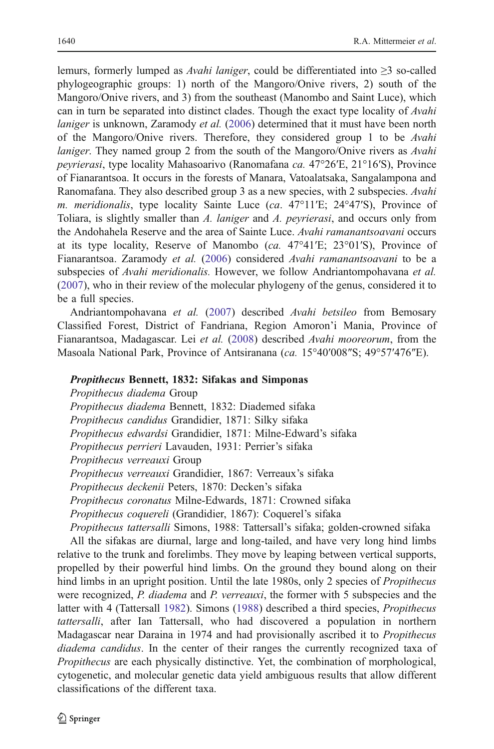lemurs, formerly lumped as Avahi laniger, could be differentiated into  $\geq$ 3 so-called phylogeographic groups: 1) north of the Mangoro/Onive rivers, 2) south of the Mangoro/Onive rivers, and 3) from the southeast (Manombo and Saint Luce), which can in turn be separated into distinct clades. Though the exact type locality of Avahi laniger is unknown, Zaramody et al. ([2006\)](#page-49-0) determined that it must have been north of the Mangoro/Onive rivers. Therefore, they considered group 1 to be Avahi laniger. They named group 2 from the south of the Mangoro/Onive rivers as Avahi peyrierasi, type locality Mahasoarivo (Ranomafana ca. 47°26′E, 21°16′S), Province of Fianarantsoa. It occurs in the forests of Manara, Vatoalatsaka, Sangalampona and Ranomafana. They also described group 3 as a new species, with 2 subspecies. Avahi m. meridionalis, type locality Sainte Luce  $(ca. 47^{\circ}11'E. 24^{\circ}47'S)$ , Province of Toliara, is slightly smaller than A. laniger and A. peyrierasi, and occurs only from the Andohahela Reserve and the area of Sainte Luce. Avahi ramanantsoavani occurs at its type locality, Reserve of Manombo  $(ca. 47^{\circ}41'E; 23^{\circ}01'S)$ , Province of Fianarantsoa. Zaramody et al. ([2006\)](#page-49-0) considered Avahi ramanantsoavani to be a subspecies of Avahi meridionalis. However, we follow Andriantompohavana et al. [\(2007](#page-39-0)), who in their review of the molecular phylogeny of the genus, considered it to be a full species.

Andriantompohavana et al. ([2007\)](#page-39-0) described Avahi betsileo from Bemosary Classified Forest, District of Fandriana, Region Amoron'i Mania, Province of Fianarantsoa, Madagascar. Lei et al. [\(2008](#page-43-0)) described Avahi mooreorum, from the Masoala National Park, Province of Antsiranana (ca. 15°40'008"S; 49°57'476"E).

# Propithecus Bennett, 1832: Sifakas and Simponas

Propithecus diadema Group Propithecus diadema Bennett, 1832: Diademed sifaka Propithecus candidus Grandidier, 1871: Silky sifaka Propithecus edwardsi Grandidier, 1871: Milne-Edward's sifaka Propithecus perrieri Lavauden, 1931: Perrier's sifaka Propithecus verreauxi Group Propithecus verreauxi Grandidier, 1867: Verreaux's sifaka Propithecus deckenii Peters, 1870: Decken's sifaka Propithecus coronatus Milne-Edwards, 1871: Crowned sifaka Propithecus coquereli (Grandidier, 1867): Coquerel's sifaka Propithecus tattersalli Simons, 1988: Tattersall's sifaka; golden-crowned sifaka

All the sifakas are diurnal, large and long-tailed, and have very long hind limbs relative to the trunk and forelimbs. They move by leaping between vertical supports, propelled by their powerful hind limbs. On the ground they bound along on their hind limbs in an upright position. Until the late 1980s, only 2 species of *Propithecus* were recognized, P. diadema and P. verreauxi, the former with 5 subspecies and the latter with 4 (Tattersall [1982\)](#page-47-0). Simons [\(1988](#page-47-0)) described a third species, Propithecus tattersalli, after Ian Tattersall, who had discovered a population in northern Madagascar near Daraina in 1974 and had provisionally ascribed it to Propithecus diadema candidus. In the center of their ranges the currently recognized taxa of Propithecus are each physically distinctive. Yet, the combination of morphological, cytogenetic, and molecular genetic data yield ambiguous results that allow different classifications of the different taxa.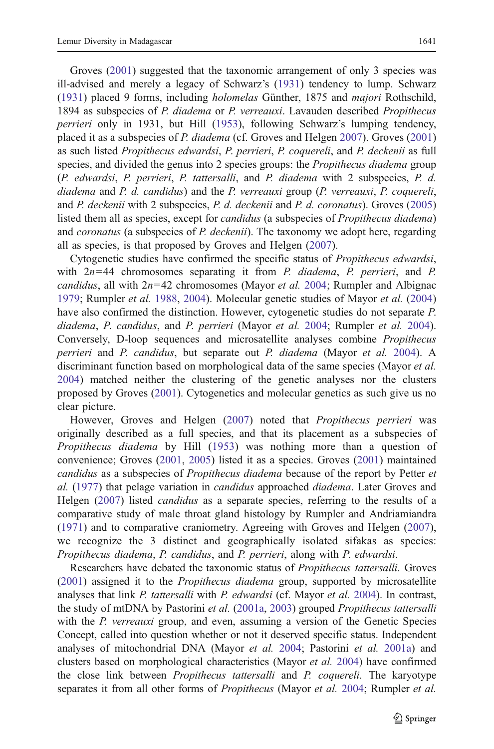Groves ([2001\)](#page-42-0) suggested that the taxonomic arrangement of only 3 species was ill-advised and merely a legacy of Schwarz's [\(1931](#page-47-0)) tendency to lump. Schwarz [\(1931](#page-47-0)) placed 9 forms, including holomelas Günther, 1875 and majori Rothschild, 1894 as subspecies of P. diadema or P. verreauxi. Lavauden described Propithecus perrieri only in 1931, but Hill [\(1953](#page-42-0)), following Schwarz's lumping tendency, placed it as a subspecies of P. diadema (cf. Groves and Helgen [2007](#page-42-0)). Groves [\(2001](#page-42-0)) as such listed Propithecus edwardsi, P. perrieri, P. coquereli, and P. deckenii as full species, and divided the genus into 2 species groups: the *Propithecus diadema* group (P. edwardsi, P. perrieri, P. tattersalli, and P. diadema with 2 subspecies, P. d. diadema and P. d. candidus) and the P. verreauxi group (P. verreauxi, P. coquereli, and P. deckenii with 2 subspecies, P. d. deckenii and P. d. coronatus). Groves [\(2005](#page-42-0)) listed them all as species, except for candidus (a subspecies of Propithecus diadema) and *coronatus* (a subspecies of *P. deckenii*). The taxonomy we adopt here, regarding all as species, is that proposed by Groves and Helgen [\(2007](#page-42-0)).

Cytogenetic studies have confirmed the specific status of Propithecus edwardsi, with  $2n=44$  chromosomes separating it from P. diadema, P. perrieri, and P. candidus, all with  $2n=42$  chromosomes (Mayor *et al.* [2004;](#page-43-0) Rumpler and Albignac [1979;](#page-46-0) Rumpler et al. [1988,](#page-46-0) [2004](#page-46-0)). Molecular genetic studies of Mayor et al. [\(2004](#page-43-0)) have also confirmed the distinction. However, cytogenetic studies do not separate P. diadema, P. candidus, and P. perrieri (Mayor et al. [2004](#page-43-0); Rumpler et al. [2004\)](#page-46-0). Conversely, D-loop sequences and microsatellite analyses combine Propithecus perrieri and P. candidus, but separate out P. diadema (Mayor et al. [2004](#page-43-0)). A discriminant function based on morphological data of the same species (Mayor et al. [2004\)](#page-43-0) matched neither the clustering of the genetic analyses nor the clusters proposed by Groves ([2001\)](#page-42-0). Cytogenetics and molecular genetics as such give us no clear picture.

However, Groves and Helgen ([2007\)](#page-42-0) noted that Propithecus perrieri was originally described as a full species, and that its placement as a subspecies of Propithecus diadema by Hill ([1953](#page-42-0)) was nothing more than a question of convenience; Groves [\(2001,](#page-42-0) [2005\)](#page-42-0) listed it as a species. Groves ([2001\)](#page-42-0) maintained candidus as a subspecies of *Propithecus diadema* because of the report by Petter et al. ([1977\)](#page-44-0) that pelage variation in candidus approached diadema. Later Groves and Helgen [\(2007](#page-42-0)) listed *candidus* as a separate species, referring to the results of a comparative study of male throat gland histology by Rumpler and Andriamiandra [\(1971](#page-46-0)) and to comparative craniometry. Agreeing with Groves and Helgen ([2007\)](#page-42-0), we recognize the 3 distinct and geographically isolated sifakas as species: Propithecus diadema, P. candidus, and P. perrieri, along with P. edwardsi.

Researchers have debated the taxonomic status of Propithecus tattersalli. Groves [\(2001\)](#page-42-0) assigned it to the Propithecus diadema group, supported by microsatellite analyses that link P. tattersalli with P. edwardsi (cf. Mayor et al. [2004\)](#page-43-0). In contrast, the study of mtDNA by Pastorini et al. ([2001a,](#page-44-0) [2003\)](#page-44-0) grouped *Propithecus tattersalli* with the *P. verreauxi* group, and even, assuming a version of the Genetic Species Concept, called into question whether or not it deserved specific status. Independent analyses of mitochondrial DNA (Mayor et al. [2004](#page-43-0); Pastorini et al. [2001a](#page-44-0)) and clusters based on morphological characteristics (Mayor et al. [2004](#page-43-0)) have confirmed the close link between Propithecus tattersalli and P. coquereli. The karyotype separates it from all other forms of *Propithecus* (Mayor et al. [2004;](#page-43-0) Rumpler et al.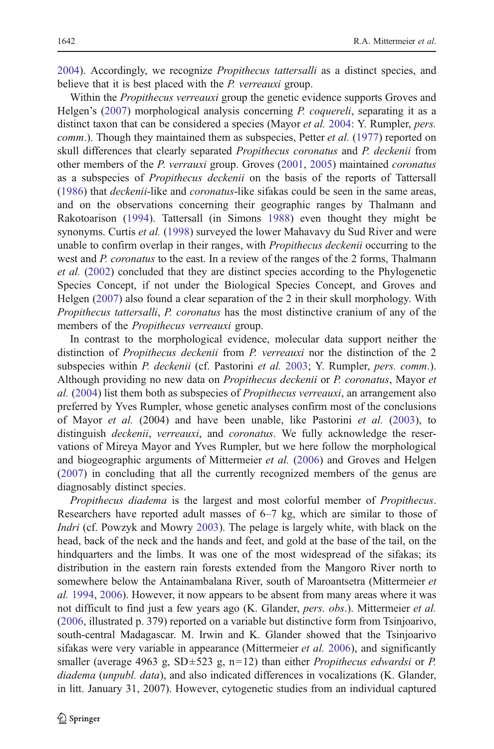[2004\)](#page-46-0). Accordingly, we recognize Propithecus tattersalli as a distinct species, and believe that it is best placed with the P. verreauxi group.

Within the *Propithecus verreauxi* group the genetic evidence supports Groves and Helgen's [\(2007](#page-42-0)) morphological analysis concerning P. coquereli, separating it as a distinct taxon that can be considered a species (Mayor et al. [2004:](#page-43-0) Y. Rumpler, pers. comm.). Though they maintained them as subspecies, Petter *et al.* [\(1977](#page-44-0)) reported on skull differences that clearly separated Propithecus coronatus and P. deckenii from other members of the P. verrauxi group. Groves [\(2001](#page-42-0), [2005\)](#page-42-0) maintained coronatus as a subspecies of Propithecus deckenii on the basis of the reports of Tattersall [\(1986](#page-48-0)) that deckenii-like and coronatus-like sifakas could be seen in the same areas, and on the observations concerning their geographic ranges by Thalmann and Rakotoarison ([1994\)](#page-48-0). Tattersall (in Simons [1988](#page-47-0)) even thought they might be synonyms. Curtis et al. ([1998\)](#page-40-0) surveyed the lower Mahavavy du Sud River and were unable to confirm overlap in their ranges, with Propithecus deckenii occurring to the west and *P. coronatus* to the east. In a review of the ranges of the 2 forms, Thalmann et al. [\(2002](#page-48-0)) concluded that they are distinct species according to the Phylogenetic Species Concept, if not under the Biological Species Concept, and Groves and Helgen ([2007\)](#page-42-0) also found a clear separation of the 2 in their skull morphology. With Propithecus tattersalli, P. coronatus has the most distinctive cranium of any of the members of the Propithecus verreauxi group.

In contrast to the morphological evidence, molecular data support neither the distinction of Propithecus deckenii from P. verreauxi nor the distinction of the 2 subspecies within P. deckenii (cf. Pastorini et al. [2003](#page-44-0); Y. Rumpler, pers. comm.). Although providing no new data on Propithecus deckenii or P. coronatus, Mayor et al. ([2004\)](#page-43-0) list them both as subspecies of Propithecus verreauxi, an arrangement also preferred by Yves Rumpler, whose genetic analyses confirm most of the conclusions of Mayor *et al.* (2004) and have been unable, like Pastorini *et al.* ([2003\)](#page-44-0), to distinguish *deckenii, verreauxi*, and *coronatus*. We fully acknowledge the reservations of Mireya Mayor and Yves Rumpler, but we here follow the morphological and biogeographic arguments of Mittermeier et al. [\(2006](#page-43-0)) and Groves and Helgen [\(2007](#page-42-0)) in concluding that all the currently recognized members of the genus are diagnosably distinct species.

Propithecus diadema is the largest and most colorful member of Propithecus. Researchers have reported adult masses of 6–7 kg, which are similar to those of Indri (cf. Powzyk and Mowry [2003\)](#page-44-0). The pelage is largely white, with black on the head, back of the neck and the hands and feet, and gold at the base of the tail, on the hindquarters and the limbs. It was one of the most widespread of the sifakas; its distribution in the eastern rain forests extended from the Mangoro River north to somewhere below the Antainambalana River, south of Maroantsetra (Mittermeier et al. [1994,](#page-43-0) [2006\)](#page-43-0). However, it now appears to be absent from many areas where it was not difficult to find just a few years ago (K. Glander, *pers. obs.*). Mittermeier *et al.* [\(2006](#page-43-0), illustrated p. 379) reported on a variable but distinctive form from Tsinjoarivo, south-central Madagascar. M. Irwin and K. Glander showed that the Tsinjoarivo sifakas were very variable in appearance (Mittermeier *et al.* [2006](#page-43-0)), and significantly smaller (average 4963 g,  $SD \pm 523$  g,  $n=12$ ) than either *Propithecus edwardsi* or P. diadema (unpubl. data), and also indicated differences in vocalizations (K. Glander, in litt. January 31, 2007). However, cytogenetic studies from an individual captured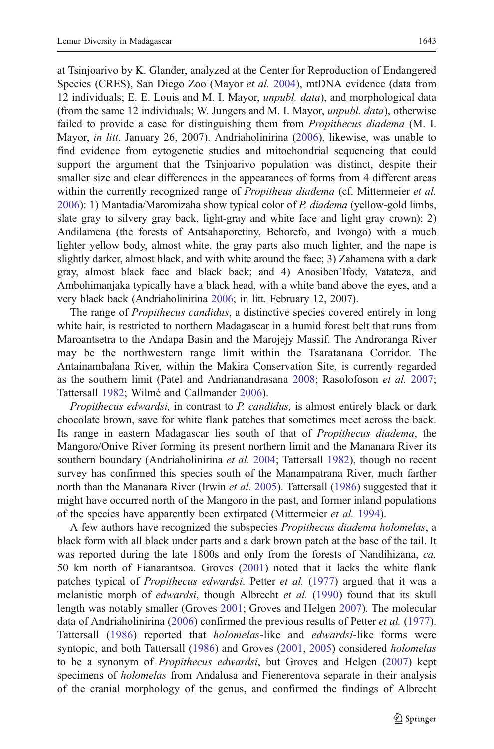at Tsinjoarivo by K. Glander, analyzed at the Center for Reproduction of Endangered Species (CRES), San Diego Zoo (Mayor et al. [2004](#page-43-0)), mtDNA evidence (data from 12 individuals; E. E. Louis and M. I. Mayor, unpubl. data), and morphological data (from the same 12 individuals; W. Jungers and M. I. Mayor, unpubl. data), otherwise failed to provide a case for distinguishing them from Propithecus diadema (M. I. Mayor, in litt. January 26, 2007). Andriaholinirina ([2006\)](#page-39-0), likewise, was unable to find evidence from cytogenetic studies and mitochondrial sequencing that could support the argument that the Tsinjoarivo population was distinct, despite their smaller size and clear differences in the appearances of forms from 4 different areas within the currently recognized range of *Propitheus diadema* (cf. Mittermeier *et al.*) [2006\)](#page-43-0): 1) Mantadia/Maromizaha show typical color of P. diadema (yellow-gold limbs, slate gray to silvery gray back, light-gray and white face and light gray crown); 2) Andilamena (the forests of Antsahaporetiny, Behorefo, and Ivongo) with a much lighter yellow body, almost white, the gray parts also much lighter, and the nape is slightly darker, almost black, and with white around the face; 3) Zahamena with a dark gray, almost black face and black back; and 4) Anosiben'Ifody, Vatateza, and Ambohimanjaka typically have a black head, with a white band above the eyes, and a very black back (Andriaholinirina [2006](#page-39-0); in litt. February 12, 2007).

The range of *Propithecus candidus*, a distinctive species covered entirely in long white hair, is restricted to northern Madagascar in a humid forest belt that runs from Maroantsetra to the Andapa Basin and the Marojejy Massif. The Androranga River may be the northwestern range limit within the Tsaratanana Corridor. The Antainambalana River, within the Makira Conservation Site, is currently regarded as the southern limit (Patel and Andrianandrasana [2008](#page-44-0); Rasolofoson et al. [2007;](#page-45-0) Tattersall [1982;](#page-47-0) Wilmé and Callmander [2006](#page-48-0)).

Propithecus edwardsi, in contrast to P. candidus, is almost entirely black or dark chocolate brown, save for white flank patches that sometimes meet across the back. Its range in eastern Madagascar lies south of that of Propithecus diadema, the Mangoro/Onive River forming its present northern limit and the Mananara River its southern boundary (Andriaholinirina *et al.* [2004](#page-39-0); Tattersall [1982](#page-47-0)), though no recent survey has confirmed this species south of the Manampatrana River, much farther north than the Mananara River (Irwin *et al.* [2005\)](#page-42-0). Tattersall ([1986](#page-48-0)) suggested that it might have occurred north of the Mangoro in the past, and former inland populations of the species have apparently been extirpated (Mittermeier *et al.* [1994](#page-43-0)).

A few authors have recognized the subspecies Propithecus diadema holomelas, a black form with all black under parts and a dark brown patch at the base of the tail. It was reported during the late 1800s and only from the forests of Nandihizana, ca. 50 km north of Fianarantsoa. Groves ([2001\)](#page-42-0) noted that it lacks the white flank patches typical of *Propithecus edwardsi*. Petter *et al.* ([1977\)](#page-44-0) argued that it was a melanistic morph of *edwardsi*, though Albrecht *et al.* [\(1990](#page-39-0)) found that its skull length was notably smaller (Groves [2001](#page-42-0); Groves and Helgen [2007](#page-42-0)). The molecular data of Andriaholinirina ([2006](#page-39-0)) confirmed the previous results of Petter *et al.* ([1977\)](#page-44-0). Tattersall ([1986](#page-48-0)) reported that *holomelas*-like and *edwardsi*-like forms were syntopic, and both Tattersall [\(1986](#page-48-0)) and Groves ([2001,](#page-42-0) [2005](#page-42-0)) considered *holomelas* to be a synonym of Propithecus edwardsi, but Groves and Helgen [\(2007](#page-42-0)) kept specimens of *holomelas* from Andalusa and Fienerentova separate in their analysis of the cranial morphology of the genus, and confirmed the findings of Albrecht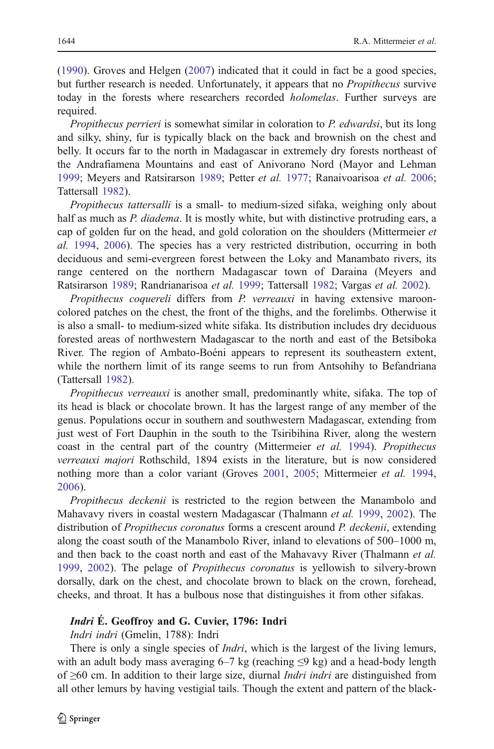[\(1990](#page-39-0)). Groves and Helgen ([2007\)](#page-42-0) indicated that it could in fact be a good species, but further research is needed. Unfortunately, it appears that no Propithecus survive today in the forests where researchers recorded *holomelas*. Further surveys are required.

Propithecus perrieri is somewhat similar in coloration to P. edwardsi, but its long and silky, shiny, fur is typically black on the back and brownish on the chest and belly. It occurs far to the north in Madagascar in extremely dry forests northeast of the Andrafiamena Mountains and east of Anivorano Nord (Mayor and Lehman [1999;](#page-43-0) Meyers and Ratsirarson [1989](#page-43-0); Petter et al. [1977](#page-44-0); Ranaivoarisoa et al. [2006;](#page-45-0) Tattersall [1982\)](#page-47-0).

Propithecus tattersalli is a small- to medium-sized sifaka, weighing only about half as much as P. diadema. It is mostly white, but with distinctive protruding ears, a cap of golden fur on the head, and gold coloration on the shoulders (Mittermeier et al. [1994,](#page-43-0) [2006](#page-43-0)). The species has a very restricted distribution, occurring in both deciduous and semi-evergreen forest between the Loky and Manambato rivers, its range centered on the northern Madagascar town of Daraina (Meyers and Ratsirarson [1989](#page-43-0); Randrianarisoa et al. [1999](#page-45-0); Tattersall [1982;](#page-47-0) Vargas et al. [2002\)](#page-48-0).

Propithecus coquereli differs from P. verreauxi in having extensive marooncolored patches on the chest, the front of the thighs, and the forelimbs. Otherwise it is also a small- to medium-sized white sifaka. Its distribution includes dry deciduous forested areas of northwestern Madagascar to the north and east of the Betsiboka River. The region of Ambato-Boéni appears to represent its southeastern extent, while the northern limit of its range seems to run from Antsohihy to Befandriana (Tattersall [1982\)](#page-47-0).

Propithecus verreauxi is another small, predominantly white, sifaka. The top of its head is black or chocolate brown. It has the largest range of any member of the genus. Populations occur in southern and southwestern Madagascar, extending from just west of Fort Dauphin in the south to the Tsiribihina River, along the western coast in the central part of the country (Mittermeier et al. [1994\)](#page-43-0). Propithecus verreauxi majori Rothschild, 1894 exists in the literature, but is now considered nothing more than a color variant (Groves [2001](#page-42-0), [2005](#page-42-0); Mittermeier et al. [1994,](#page-43-0) [2006\)](#page-43-0).

Propithecus deckenii is restricted to the region between the Manambolo and Mahavavy rivers in coastal western Madagascar (Thalmann et al. [1999](#page-48-0), [2002](#page-48-0)). The distribution of *Propithecus coronatus* forms a crescent around *P. deckenii*, extending along the coast south of the Manambolo River, inland to elevations of 500–1000 m, and then back to the coast north and east of the Mahavavy River (Thalmann et al. [1999,](#page-48-0) [2002\)](#page-48-0). The pelage of Propithecus coronatus is yellowish to silvery-brown dorsally, dark on the chest, and chocolate brown to black on the crown, forehead, cheeks, and throat. It has a bulbous nose that distinguishes it from other sifakas.

#### Indri É. Geoffroy and G. Cuvier, 1796: Indri

Indri indri (Gmelin, 1788): Indri

There is only a single species of *Indri*, which is the largest of the living lemurs, with an adult body mass averaging 6–7 kg (reaching  $\leq$ 9 kg) and a head-body length of  $\geq 60$  cm. In addition to their large size, diurnal *Indri indri* are distinguished from all other lemurs by having vestigial tails. Though the extent and pattern of the black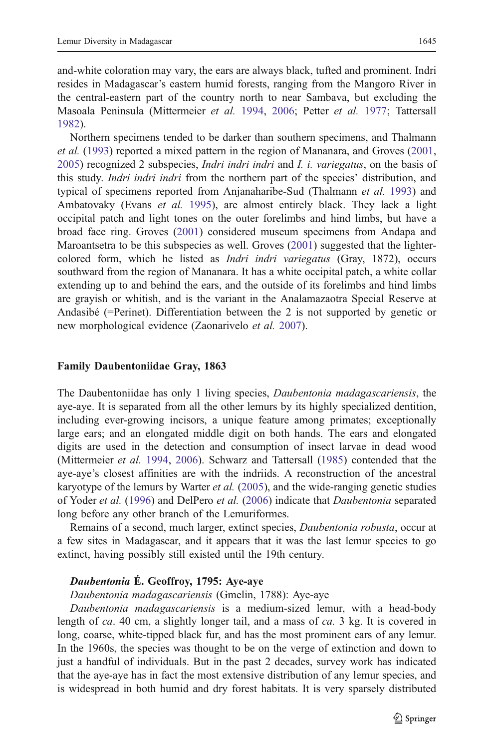and-white coloration may vary, the ears are always black, tufted and prominent. Indri resides in Madagascar's eastern humid forests, ranging from the Mangoro River in the central-eastern part of the country north to near Sambava, but excluding the Masoala Peninsula (Mittermeier et al. [1994,](#page-43-0) [2006](#page-43-0); Petter et al. [1977](#page-44-0); Tattersall [1982\)](#page-47-0).

Northern specimens tended to be darker than southern specimens, and Thalmann et al. [\(1993](#page-48-0)) reported a mixed pattern in the region of Mananara, and Groves ([2001,](#page-42-0) [2005\)](#page-42-0) recognized 2 subspecies, Indri indri indri and I. i. variegatus, on the basis of this study. Indri indri indri from the northern part of the species' distribution, and typical of specimens reported from Anjanaharibe-Sud (Thalmann et al. [1993\)](#page-48-0) and Ambatovaky (Evans *et al.* [1995](#page-40-0)), are almost entirely black. They lack a light occipital patch and light tones on the outer forelimbs and hind limbs, but have a broad face ring. Groves [\(2001](#page-42-0)) considered museum specimens from Andapa and Maroantsetra to be this subspecies as well. Groves ([2001\)](#page-42-0) suggested that the lightercolored form, which he listed as Indri indri variegatus (Gray, 1872), occurs southward from the region of Mananara. It has a white occipital patch, a white collar extending up to and behind the ears, and the outside of its forelimbs and hind limbs are grayish or whitish, and is the variant in the Analamazaotra Special Reserve at Andasibé (=Perinet). Differentiation between the 2 is not supported by genetic or new morphological evidence (Zaonarivelo et al. [2007](#page-49-0)).

#### Family Daubentoniidae Gray, 1863

The Daubentoniidae has only 1 living species, Daubentonia madagascariensis, the aye-aye. It is separated from all the other lemurs by its highly specialized dentition, including ever-growing incisors, a unique feature among primates; exceptionally large ears; and an elongated middle digit on both hands. The ears and elongated digits are used in the detection and consumption of insect larvae in dead wood (Mittermeier et al. [1994,](#page-43-0) [2006](#page-43-0)). Schwarz and Tattersall ([1985\)](#page-47-0) contended that the aye-aye's closest affinities are with the indriids. A reconstruction of the ancestral karyotype of the lemurs by Warter *et al.* ([2005\)](#page-48-0), and the wide-ranging genetic studies of Yoder et al. [\(1996](#page-49-0)) and DelPero et al. ([2006\)](#page-40-0) indicate that Daubentonia separated long before any other branch of the Lemuriformes.

Remains of a second, much larger, extinct species, Daubentonia robusta, occur at a few sites in Madagascar, and it appears that it was the last lemur species to go extinct, having possibly still existed until the 19th century.

#### Daubentonia É. Geoffroy, 1795: Aye-aye

Daubentonia madagascariensis (Gmelin, 1788): Aye-aye

Daubentonia madagascariensis is a medium-sized lemur, with a head-body length of ca. 40 cm, a slightly longer tail, and a mass of ca. 3 kg. It is covered in long, coarse, white-tipped black fur, and has the most prominent ears of any lemur. In the 1960s, the species was thought to be on the verge of extinction and down to just a handful of individuals. But in the past 2 decades, survey work has indicated that the aye-aye has in fact the most extensive distribution of any lemur species, and is widespread in both humid and dry forest habitats. It is very sparsely distributed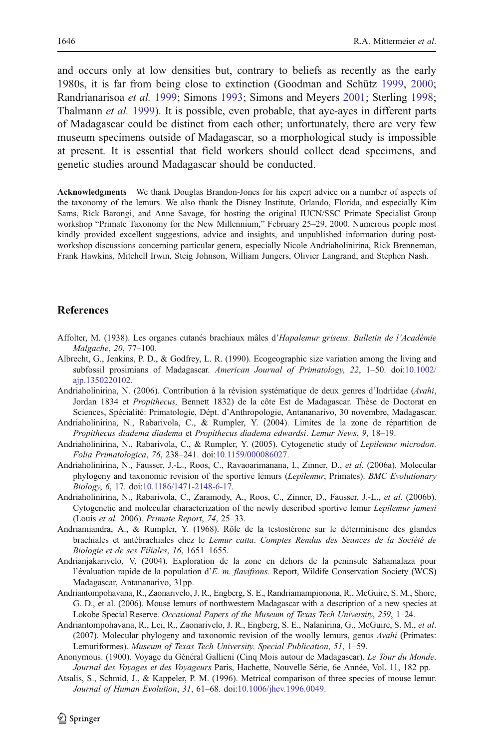<span id="page-39-0"></span>and occurs only at low densities but, contrary to beliefs as recently as the early 1980s, it is far from being close to extinction (Goodman and Schütz [1999](#page-41-0), [2000;](#page-41-0) Randrianarisoa et al. [1999;](#page-45-0) Simons [1993](#page-47-0); Simons and Meyers [2001](#page-47-0); Sterling [1998;](#page-47-0) Thalmann et al. [1999\)](#page-48-0). It is possible, even probable, that aye-ayes in different parts of Madagascar could be distinct from each other; unfortunately, there are very few museum specimens outside of Madagascar, so a morphological study is impossible at present. It is essential that field workers should collect dead specimens, and genetic studies around Madagascar should be conducted.

Acknowledgments We thank Douglas Brandon-Jones for his expert advice on a number of aspects of the taxonomy of the lemurs. We also thank the Disney Institute, Orlando, Florida, and especially Kim Sams, Rick Barongi, and Anne Savage, for hosting the original IUCN/SSC Primate Specialist Group workshop "Primate Taxonomy for the New Millennium," February 25–29, 2000. Numerous people most kindly provided excellent suggestions, advice and insights, and unpublished information during postworkshop discussions concerning particular genera, especially Nicole Andriaholinirina, Rick Brenneman, Frank Hawkins, Mitchell Irwin, Steig Johnson, William Jungers, Olivier Langrand, and Stephen Nash.

## **References**

- Affolter, M. (1938). Les organes cutanés brachiaux mâles d'Hapalemur griseus. Bulletin de l'Académie Malgache, 20, 77–100.
- Albrecht, G., Jenkins, P. D., & Godfrey, L. R. (1990). Ecogeographic size variation among the living and subfossil prosimians of Madagascar. American Journal of Primatology, 22, 1–50. doi[:10.1002/](http://dx.doi.org/10.1002/ajp.1350220102) [ajp.1350220102](http://dx.doi.org/10.1002/ajp.1350220102).
- Andriaholinirina, N. (2006). Contribution à la révision systématique de deux genres d'Indriidae (Avahi, Jordan 1834 et Propithecus, Bennett 1832) de la côte Est de Madagascar. Thèse de Doctorat en Sciences, Spécialité: Primatologie, Dépt. d'Anthropologie, Antananarivo, 30 novembre, Madagascar.
- Andriaholinirina, N., Rabarivola, C., & Rumpler, Y. (2004). Limites de la zone de répartition de Propithecus diadema diadema et Propithecus diadema edwardsi. Lemur News, 9, 18–19.
- Andriaholinirina, N., Rabarivola, C., & Rumpler, Y. (2005). Cytogenetic study of Lepilemur microdon. Folia Primatologica, 76, 238–241. doi[:10.1159/000086027.](http://dx.doi.org/10.1159/000086027)
- Andriaholinirina, N., Fausser, J.-L., Roos, C., Ravaoarimanana, I., Zinner, D., et al. (2006a). Molecular phylogeny and taxonomic revision of the sportive lemurs (Lepilemur, Primates). BMC Evolutionary Biology, 6, 17. doi[:10.1186/1471-2148-6-17](http://dx.doi.org/10.1186/1471-2148-6-17).
- Andriaholinirina, N., Rabarivola, C., Zaramody, A., Roos, C., Zinner, D., Fausser, J.-L., et al. (2006b). Cytogenetic and molecular characterization of the newly described sportive lemur Lepilemur jamesi (Louis et al. 2006). Primate Report, 74, 25–33.
- Andriamiandra, A., & Rumpler, Y. (1968). Rôle de la testostérone sur le déterminisme des glandes brachiales et antébrachiales chez le Lemur catta. Comptes Rendus des Seances de la Société de Biologie et de ses Filiales, 16, 1651–1655.
- Andrianjakarivelo, V. (2004). Exploration de la zone en dehors de la peninsule Sahamalaza pour l'évaluation rapide de la population d'E. m. flavifrons. Report, Wildife Conservation Society (WCS) Madagascar, Antananarivo, 31pp.
- Andriantompohavana, R., Zaonarivelo, J. R., Engberg, S. E., Randriamampionona, R., McGuire, S. M., Shore, G. D., et al. (2006). Mouse lemurs of northwestern Madagascar with a description of a new species at Lokobe Special Reserve. Occasional Papers of the Museum of Texas Tech University, 259, 1–24.
- Andriantompohavana, R., Lei, R., Zaonarivelo, J. R., Engberg, S. E., Nalanirina, G., McGuire, S. M., et al. (2007). Molecular phylogeny and taxonomic revision of the woolly lemurs, genus Avahi (Primates: Lemuriformes). Museum of Texas Tech University. Special Publication, 51, 1–59.
- Anonymous. (1900). Voyage du Général Gallieni (Cinq Mois autour de Madagascar). Le Tour du Monde. Journal des Voyages et des Voyageurs Paris, Hachette, Nouvelle Série, 6e Année, Vol. 11, 182 pp.
- Atsalis, S., Schmid, J., & Kappeler, P. M. (1996). Metrical comparison of three species of mouse lemur. Journal of Human Evolution, 31, 61–68. doi[:10.1006/jhev.1996.0049](http://dx.doi.org/10.1006/jhev.1996.0049).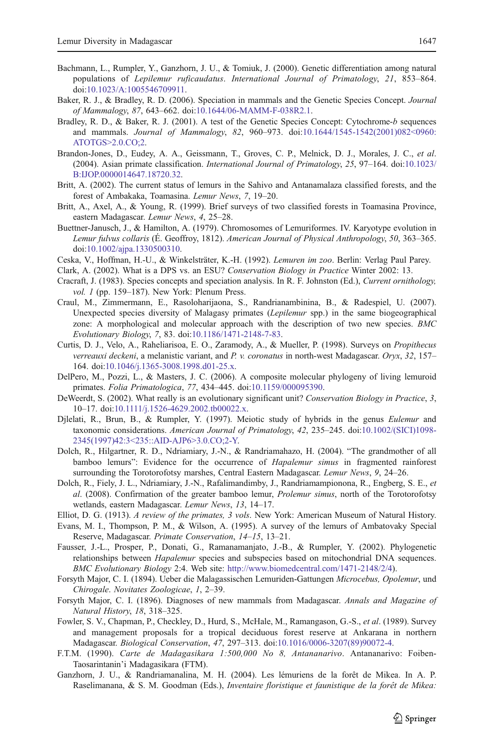- <span id="page-40-0"></span>Bachmann, L., Rumpler, Y., Ganzhorn, J. U., & Tomiuk, J. (2000). Genetic differentiation among natural populations of Lepilemur ruficaudatus. International Journal of Primatology, 21, 853–864. doi[:10.1023/A:1005546709911](http://dx.doi.org/10.1023/A:1005546709911).
- Baker, R. J., & Bradley, R. D. (2006). Speciation in mammals and the Genetic Species Concept. Journal of Mammalogy, 87, 643–662. doi:[10.1644/06-MAMM-F-038R2.1.](http://dx.doi.org/10.1644/06-MAMM-F-038R2.1)
- Bradley, R. D., & Baker, R. J. (2001). A test of the Genetic Species Concept: Cytochrome-b sequences and mammals. Journal of Mammalogy, 82, 960–973. doi:[10.1644/1545-1542\(2001\)082<0960:](http://dx.doi.org/10.1644/1545-1542(2001)082<0960:ATOTGS>2.0.CO;2) [ATOTGS>2.0.CO;2.](http://dx.doi.org/10.1644/1545-1542(2001)082<0960:ATOTGS>2.0.CO;2)
- Brandon-Jones, D., Eudey, A. A., Geissmann, T., Groves, C. P., Melnick, D. J., Morales, J. C., et al. (2004). Asian primate classification. International Journal of Primatology, 25, 97–164. doi[:10.1023/](http://dx.doi.org/10.1023/B:IJOP.0000014647.18720.32) [B:IJOP.0000014647.18720.32.](http://dx.doi.org/10.1023/B:IJOP.0000014647.18720.32)
- Britt, A. (2002). The current status of lemurs in the Sahivo and Antanamalaza classified forests, and the forest of Ambakaka, Toamasina. Lemur News, 7, 19–20.
- Britt, A., Axel, A., & Young, R. (1999). Brief surveys of two classified forests in Toamasina Province, eastern Madagascar. Lemur News, 4, 25–28.
- Buettner-Janusch, J., & Hamilton, A. (1979). Chromosomes of Lemuriformes. IV. Karyotype evolution in Lemur fulvus collaris (É. Geoffroy, 1812). American Journal of Physical Anthropology, 50, 363–365. doi[:10.1002/ajpa.1330500310.](http://dx.doi.org/10.1002/ajpa.1330500310)
- Ceska, V., Hoffman, H.-U., & Winkelsträter, K.-H. (1992). Lemuren im zoo. Berlin: Verlag Paul Parey.
- Clark, A. (2002). What is a DPS vs. an ESU? Conservation Biology in Practice Winter 2002: 13.
- Cracraft, J. (1983). Species concepts and speciation analysis. In R. F. Johnston (Ed.), Current ornithology, vol. 1 (pp. 159–187). New York: Plenum Press.
- Craul, M., Zimmermann, E., Rasoloharijaona, S., Randrianambinina, B., & Radespiel, U. (2007). Unexpected species diversity of Malagasy primates (Lepilemur spp.) in the same biogeographical zone: A morphological and molecular approach with the description of two new species. BMC Evolutionary Biology, 7, 83. doi:[10.1186/1471-2148-7-83.](http://dx.doi.org/10.1186/1471-2148-7-83)
- Curtis, D. J., Velo, A., Raheliarisoa, E. O., Zaramody, A., & Mueller, P. (1998). Surveys on Propithecus verreauxi deckeni, a melanistic variant, and P. v. coronatus in north-west Madagascar. Oryx, 32, 157– 164. doi:[10.1046/j.1365-3008.1998.d01-25.x.](http://dx.doi.org/10.1046/j.1365-3008.1998.d01-25.x)
- DelPero, M., Pozzi, L., & Masters, J. C. (2006). A composite molecular phylogeny of living lemuroid primates. Folia Primatologica, 77, 434–445. doi:[10.1159/000095390](http://dx.doi.org/10.1159/000095390).
- DeWeerdt, S. (2002). What really is an evolutionary significant unit? Conservation Biology in Practice, 3, 10–17. doi:[10.1111/j.1526-4629.2002.tb00022.x](http://dx.doi.org/10.1111/j.1526-4629.2002.tb00022.x).
- Djlelati, R., Brun, B., & Rumpler, Y. (1997). Meiotic study of hybrids in the genus Eulemur and taxonomic considerations. American Journal of Primatology, 42, 235–245. doi:[10.1002/\(SICI\)1098-](http://dx.doi.org/10.1002/(SICI)1098-2345(1997)42:3<235::AID-AJP6>3.0.CO;2-Y) [2345\(1997\)42:3<235::AID-AJP6>3.0.CO;2-Y.](http://dx.doi.org/10.1002/(SICI)1098-2345(1997)42:3<235::AID-AJP6>3.0.CO;2-Y)
- Dolch, R., Hilgartner, R. D., Ndriamiary, J.-N., & Randriamahazo, H. (2004). "The grandmother of all bamboo lemurs": Evidence for the occurrence of *Hapalemur simus* in fragmented rainforest surrounding the Torotorofotsy marshes, Central Eastern Madagascar. Lemur News, 9, 24–26.
- Dolch, R., Fiely, J. L., Ndriamiary, J.-N., Rafalimandimby, J., Randriamampionona, R., Engberg, S. E., et al. (2008). Confirmation of the greater bamboo lemur, Prolemur simus, north of the Torotorofotsy wetlands, eastern Madagascar. Lemur News, 13, 14–17.
- Elliot, D. G. (1913). A review of the primates, 3 vols. New York: American Museum of Natural History.
- Evans, M. I., Thompson, P. M., & Wilson, A. (1995). A survey of the lemurs of Ambatovaky Special Reserve, Madagascar. Primate Conservation, 14–15, 13–21.
- Fausser, J.-L., Prosper, P., Donati, G., Ramanamanjato, J.-B., & Rumpler, Y. (2002). Phylogenetic relationships between *Hapalemur* species and subspecies based on mitochondrial DNA sequences. BMC Evolutionary Biology 2:4. Web site: <http://www.biomedcentral.com/1471-2148/2/4>).
- Forsyth Major, C. I. (1894). Ueber die Malagassischen Lemuriden-Gattungen Microcebus, Opolemur, und Chirogale. Novitates Zoologicae, 1, 2–39.
- Forsyth Major, C. I. (1896). Diagnoses of new mammals from Madagascar. Annals and Magazine of Natural History, 18, 318–325.
- Fowler, S. V., Chapman, P., Checkley, D., Hurd, S., McHale, M., Ramangason, G.-S., et al. (1989). Survey and management proposals for a tropical deciduous forest reserve at Ankarana in northern Madagascar. Biological Conservation, 47, 297–313. doi[:10.1016/0006-3207\(89\)90072-4.](http://dx.doi.org/10.1016/0006-3207(89)90072-4)
- F.T.M. (1990). Carte de Madagasikara 1:500,000 No 8, Antananarivo. Antananarivo: Foiben-Taosarintanin'i Madagasikara (FTM).
- Ganzhorn, J. U., & Randriamanalina, M. H. (2004). Les lémuriens de la forêt de Mikea. In A. P. Raselimanana, & S. M. Goodman (Eds.), Inventaire floristique et faunistique de la forêt de Mikea: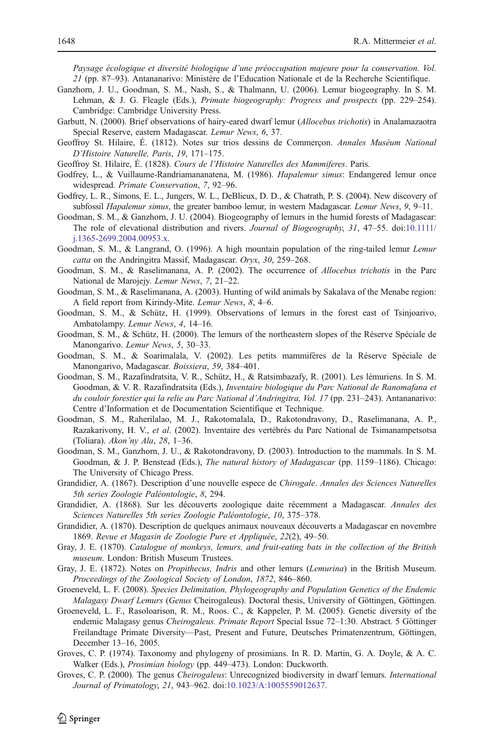<span id="page-41-0"></span>Paysage écologique et diversité biologique d'une préoccupation majeure pour la conservation. Vol. 21 (pp. 87–93). Antananarivo: Ministère de l'Education Nationale et de la Recherche Scientifique.

- Ganzhorn, J. U., Goodman, S. M., Nash, S., & Thalmann, U. (2006). Lemur biogeography. In S. M. Lehman, & J. G. Fleagle (Eds.), *Primate biogeography: Progress and prospects* (pp. 229–254). Cambridge: Cambridge University Press.
- Garbutt, N. (2000). Brief observations of hairy-eared dwarf lemur (Allocebus trichotis) in Analamazaotra Special Reserve, eastern Madagascar. Lemur News, 6, 37.
- Geoffroy St. Hilaire, É. (1812). Notes sur trios dessins de Commerçon. Annales Muséum National D'Histoire Naturelle, Paris, 19, 171–175.
- Geoffroy St. Hilaire, É. (1828). Cours de l'Histoire Naturelles des Mammiferes. Paris.
- Godfrey, L., & Vuillaume-Randriamananatena, M. (1986). Hapalemur simus: Endangered lemur once widespread. Primate Conservation, 7, 92–96.
- Godfrey, L. R., Simons, E. L., Jungers, W. L., DeBlieux, D. D., & Chatrath, P. S. (2004). New discovery of subfossil Hapalemur simus, the greater bamboo lemur, in western Madagascar. Lemur News, 9, 9–11.
- Goodman, S. M., & Ganzhorn, J. U. (2004). Biogeography of lemurs in the humid forests of Madagascar: The role of elevational distribution and rivers. Journal of Biogeography, 31, 47–55. doi[:10.1111/](http://dx.doi.org/10.1111/j.1365-2699.2004.00953.x) [j.1365-2699.2004.00953.x](http://dx.doi.org/10.1111/j.1365-2699.2004.00953.x).
- Goodman, S. M., & Langrand, O. (1996). A high mountain population of the ring-tailed lemur Lemur catta on the Andringitra Massif, Madagascar. Oryx, 30, 259–268.
- Goodman, S. M., & Raselimanana, A. P. (2002). The occurrence of Allocebus trichotis in the Parc National de Marojejy. Lemur News, 7, 21–22.
- Goodman, S. M., & Raselimanana, A. (2003). Hunting of wild animals by Sakalava of the Menabe region: A field report from Kirindy-Mite. Lemur News, 8, 4–6.
- Goodman, S. M., & Schütz, H. (1999). Observations of lemurs in the forest east of Tsinjoarivo, Ambatolampy. Lemur News, 4, 14–16.
- Goodman, S. M., & Schütz, H. (2000). The lemurs of the northeastern slopes of the Réserve Spéciale de Manongarivo. Lemur News, 5, 30–33.
- Goodman, S. M., & Soarimalala, V. (2002). Les petits mammifères de la Réserve Spéciale de Manongarivo, Madagascar. Boissiera, 59, 384–401.
- Goodman, S. M., Razafindratsita, V. R., Schütz, H., & Ratsimbazafy, R. (2001). Les lémuriens. In S. M. Goodman, & V. R. Razafindratsita (Eds.), Inventaire biologique du Parc National de Ranomafana et du couloir forestier qui la relie au Parc National d'Andringitra, Vol. 17 (pp. 231–243). Antananarivo: Centre d'Information et de Documentation Scientifique et Technique.
- Goodman, S. M., Raherilalao, M. J., Rakotomalala, D., Rakotondravony, D., Raselimanana, A. P., Razakarivony, H. V., et al. (2002). Inventaire des vertébrés du Parc National de Tsimanampetsotsa (Toliara). Akon'ny Ala, 28, 1–36.
- Goodman, S. M., Ganzhorn, J. U., & Rakotondravony, D. (2003). Introduction to the mammals. In S. M. Goodman, & J. P. Benstead (Eds.), The natural history of Madagascar (pp. 1159–1186). Chicago: The University of Chicago Press.
- Grandidier, A. (1867). Description d'une nouvelle espece de Chirogale. Annales des Sciences Naturelles 5th series Zoologie Paléontologie, 8, 294.
- Grandidier, A. (1868). Sur les découverts zoologique daite récemment a Madagascar. Annales des Sciences Naturelles 5th series Zoologie Paléontologie, 10, 375–378.
- Grandidier, A. (1870). Description de quelques animaux nouveaux découverts a Madagascar en novembre 1869. Revue et Magasin de Zoologie Pure et Appliquée, 22(2), 49–50.
- Gray, J. E. (1870). Catalogue of monkeys, lemurs, and fruit-eating bats in the collection of the British museum. London: British Museum Trustees.
- Gray, J. E. (1872). Notes on *Propithecus, Indris* and other lemurs (*Lemurina*) in the British Museum. Proceedings of the Zoological Society of London, 1872, 846–860.
- Groeneveld, L. F. (2008). Species Delimitation, Phylogeography and Population Genetics of the Endemic Malagasy Dwarf Lemurs (Genus Cheirogaleus). Doctoral thesis, University of Göttingen, Göttingen.
- Groeneveld, L. F., Rasoloarison, R. M., Roos. C., & Kappeler, P. M. (2005). Genetic diversity of the endemic Malagasy genus Cheirogaleus. Primate Report Special Issue 72–1:30. Abstract. 5 Göttinger Freilandtage Primate Diversity—Past, Present and Future, Deutsches Primatenzentrum, Göttingen, December 13–16, 2005.
- Groves, C. P. (1974). Taxonomy and phylogeny of prosimians. In R. D. Martin, G. A. Doyle, & A. C. Walker (Eds.), Prosimian biology (pp. 449–473). London: Duckworth.
- Groves, C. P. (2000). The genus *Cheirogaleus*: Unrecognized biodiversity in dwarf lemurs. *International* Journal of Primatology, 21, 943–962. doi:[10.1023/A:1005559012637](http://dx.doi.org/10.1023/A:1005559012637).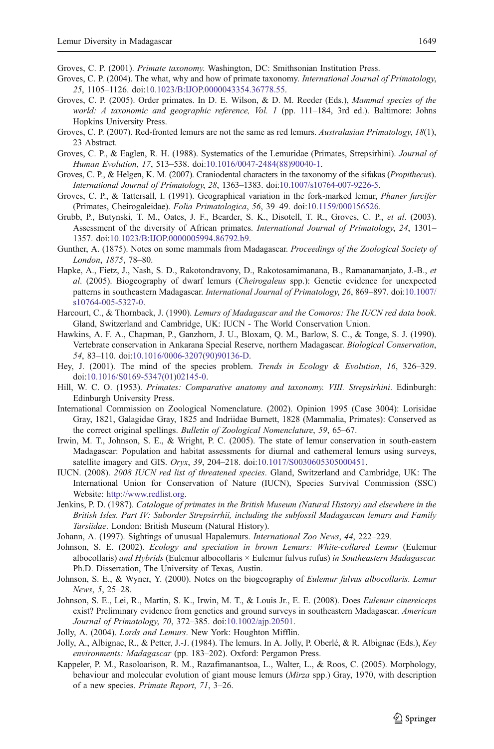<span id="page-42-0"></span>Groves, C. P. (2001). Primate taxonomy. Washington, DC: Smithsonian Institution Press.

- Groves, C. P. (2004). The what, why and how of primate taxonomy. International Journal of Primatology, 25, 1105–1126. doi:[10.1023/B:IJOP.0000043354.36778.55.](http://dx.doi.org/10.1023/B:IJOP.0000043354.36778.55)
- Groves, C. P. (2005). Order primates. In D. E. Wilson, & D. M. Reeder (Eds.), Mammal species of the world: A taxonomic and geographic reference, Vol. 1 (pp. 111-184, 3rd ed.). Baltimore: Johns Hopkins University Press.
- Groves, C. P. (2007). Red-fronted lemurs are not the same as red lemurs. Australasian Primatology, 18(1), 23 Abstract.
- Groves, C. P., & Eaglen, R. H. (1988). Systematics of the Lemuridae (Primates, Strepsirhini). Journal of Human Evolution, 17, 513–538. doi[:10.1016/0047-2484\(88\)90040-1](http://dx.doi.org/10.1016/0047-2484(88)90040-1).
- Groves, C. P., & Helgen, K. M. (2007). Craniodental characters in the taxonomy of the sifakas (*Propithecus*). International Journal of Primatology, 28, 1363–1383. doi:[10.1007/s10764-007-9226-5.](http://dx.doi.org/10.1007/s10764-007-9226-5)
- Groves, C. P., & Tattersall, I. (1991). Geographical variation in the fork-marked lemur, *Phaner furcifer* (Primates, Cheirogaleidae). Folia Primatologica, 56, 39–49. doi[:10.1159/000156526.](http://dx.doi.org/10.1159/000156526)
- Grubb, P., Butynski, T. M., Oates, J. F., Bearder, S. K., Disotell, T. R., Groves, C. P., et al. (2003). Assessment of the diversity of African primates. International Journal of Primatology, 24, 1301– 1357. doi:[10.1023/B:IJOP.0000005994.86792.b9.](http://dx.doi.org/10.1023/B:IJOP.0000005994.86792.b9)
- Gunther, A. (1875). Notes on some mammals from Madagascar. Proceedings of the Zoological Society of London, 1875, 78–80.
- Hapke, A., Fietz, J., Nash, S. D., Rakotondravony, D., Rakotosamimanana, B., Ramanamanjato, J.-B., et al. (2005). Biogeography of dwarf lemurs (Cheirogaleus spp.): Genetic evidence for unexpected patterns in southeastern Madagascar. International Journal of Primatology, 26, 869–897. doi[:10.1007/](http://dx.doi.org/10.1007/s10764-005-5327-0) [s10764-005-5327-0](http://dx.doi.org/10.1007/s10764-005-5327-0).
- Harcourt, C., & Thornback, J. (1990). Lemurs of Madagascar and the Comoros: The IUCN red data book. Gland, Switzerland and Cambridge, UK: IUCN - The World Conservation Union.
- Hawkins, A. F. A., Chapman, P., Ganzhorn, J. U., Bloxam, Q. M., Barlow, S. C., & Tonge, S. J. (1990). Vertebrate conservation in Ankarana Special Reserve, northern Madagascar. Biological Conservation, 54, 83–110. doi[:10.1016/0006-3207\(90\)90136-D.](http://dx.doi.org/10.1016/0006-3207(90)90136-D)
- Hey, J. (2001). The mind of the species problem. Trends in Ecology & Evolution, 16, 326–329. doi[:10.1016/S0169-5347\(01\)02145-0](http://dx.doi.org/10.1016/S0169-5347(01)02145-0).
- Hill, W. C. O. (1953). Primates: Comparative anatomy and taxonomy. VIII. Strepsirhini. Edinburgh: Edinburgh University Press.
- International Commission on Zoological Nomenclature. (2002). Opinion 1995 (Case 3004): Lorisidae Gray, 1821, Galagidae Gray, 1825 and Indriidae Burnett, 1828 (Mammalia, Primates): Conserved as the correct original spellings. Bulletin of Zoological Nomenclature, 59, 65–67.
- Irwin, M. T., Johnson, S. E., & Wright, P. C. (2005). The state of lemur conservation in south-eastern Madagascar: Population and habitat assessments for diurnal and cathemeral lemurs using surveys, satellite imagery and GIS. Oryx, 39, 204–218. doi[:10.1017/S0030605305000451](http://dx.doi.org/10.1017/S0030605305000451).
- IUCN. (2008). 2008 IUCN red list of threatened species. Gland, Switzerland and Cambridge, UK: The International Union for Conservation of Nature (IUCN), Species Survival Commission (SSC) Website: <http://www.redlist.org>.
- Jenkins, P. D. (1987). Catalogue of primates in the British Museum (Natural History) and elsewhere in the British Isles. Part IV: Suborder Strepsirrhii, including the subfossil Madagascan lemurs and Family Tarsiidae. London: British Museum (Natural History).
- Johann, A. (1997). Sightings of unusual Hapalemurs. *International Zoo News*, 44, 222–229.
- Johnson, S. E. (2002). Ecology and speciation in brown Lemurs: White-collared Lemur (Eulemur albocollaris) and Hybrids (Eulemur albocollaris × Eulemur fulvus rufus) in Southeastern Madagascar. Ph.D. Dissertation, The University of Texas, Austin.
- Johnson, S. E., & Wyner, Y. (2000). Notes on the biogeography of *Eulemur fulvus albocollaris*. Lemur News, 5, 25–28.
- Johnson, S. E., Lei, R., Martin, S. K., Irwin, M. T., & Louis Jr., E. E. (2008). Does *Eulemur cinereiceps* exist? Preliminary evidence from genetics and ground surveys in southeastern Madagascar. American Journal of Primatology, 70, 372–385. doi:[10.1002/ajp.20501](http://dx.doi.org/10.1002/ajp.20501).
- Jolly, A. (2004). Lords and Lemurs. New York: Houghton Mifflin.
- Jolly, A., Albignac, R., & Petter, J.-J. (1984). The lemurs. In A. Jolly, P. Oberlé, & R. Albignac (Eds.), Key environments: Madagascar (pp. 183–202). Oxford: Pergamon Press.
- Kappeler, P. M., Rasoloarison, R. M., Razafimanantsoa, L., Walter, L., & Roos, C. (2005). Morphology, behaviour and molecular evolution of giant mouse lemurs (Mirza spp.) Gray, 1970, with description of a new species. Primate Report, 71, 3–26.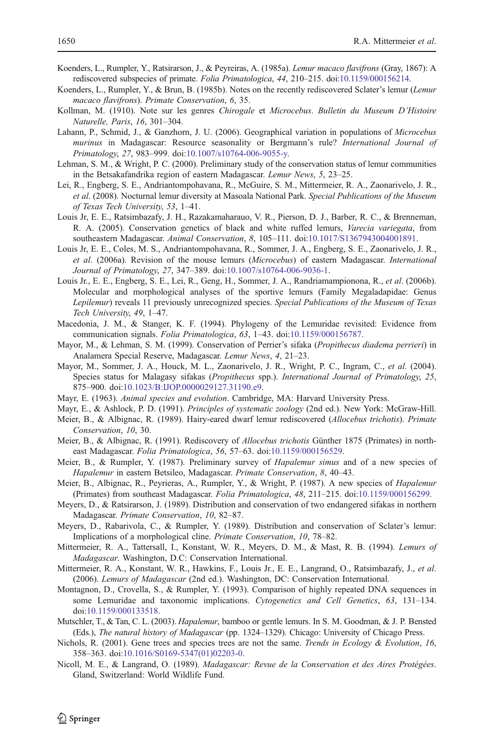- <span id="page-43-0"></span>Koenders, L., Rumpler, Y., Ratsirarson, J., & Peyreiras, A. (1985a). Lemur macaco flavifrons (Gray, 1867): A rediscovered subspecies of primate. Folia Primatologica, 44, 210–215. doi[:10.1159/000156214](http://dx.doi.org/10.1159/000156214).
- Koenders, L., Rumpler, Y., & Brun, B. (1985b). Notes on the recently rediscovered Sclater's lemur (Lemur macaco flavifrons). Primate Conservation, 6, 35.
- Kollman, M. (1910). Note sur les genres Chirogale et Microcebus. Bulletin du Museum D'Histoire Naturelle, Paris, 16, 301–304.
- Lahann, P., Schmid, J., & Ganzhorn, J. U. (2006). Geographical variation in populations of *Microcebus* murinus in Madagascar: Resource seasonality or Bergmann's rule? International Journal of Primatology, 27, 983–999. doi:[10.1007/s10764-006-9055-y.](http://dx.doi.org/10.1007/s10764-006-9055-y)
- Lehman, S. M., & Wright, P. C. (2000). Preliminary study of the conservation status of lemur communities in the Betsakafandrika region of eastern Madagascar. Lemur News, 5, 23–25.
- Lei, R., Engberg, S. E., Andriantompohavana, R., McGuire, S. M., Mittermeier, R. A., Zaonarivelo, J. R., et al. (2008). Nocturnal lemur diversity at Masoala National Park. Special Publications of the Museum of Texas Tech University, 53, 1–41.
- Louis Jr, E. E., Ratsimbazafy, J. H., Razakamaharauo, V. R., Pierson, D. J., Barber, R. C., & Brenneman, R. A. (2005). Conservation genetics of black and white ruffed lemurs, Varecia variegata, from southeastern Madagascar. Animal Conservation, 8, 105–111. doi[:10.1017/S1367943004001891](http://dx.doi.org/10.1017/S1367943004001891).
- Louis Jr, E. E., Coles, M. S., Andriantompohavana, R., Sommer, J. A., Engberg, S. E., Zaonarivelo, J. R., et al. (2006a). Revision of the mouse lemurs (Microcebus) of eastern Madagascar. International Journal of Primatology, 27, 347–389. doi:[10.1007/s10764-006-9036-1](http://dx.doi.org/10.1007/s10764-006-9036-1).
- Louis Jr., E. E., Engberg, S. E., Lei, R., Geng, H., Sommer, J. A., Randriamampionona, R., et al. (2006b). Molecular and morphological analyses of the sportive lemurs (Family Megaladapidae: Genus Lepilemur) reveals 11 previously unrecognized species. Special Publications of the Museum of Texas Tech University, 49, 1–47.
- Macedonia, J. M., & Stanger, K. F. (1994). Phylogeny of the Lemuridae revisited: Evidence from communication signals. Folia Primatologica, 63, 1–43. doi[:10.1159/000156787.](http://dx.doi.org/10.1159/000156787)
- Mayor, M., & Lehman, S. M. (1999). Conservation of Perrier's sifaka (Propithecus diadema perrieri) in Analamera Special Reserve, Madagascar. Lemur News, 4, 21–23.
- Mayor, M., Sommer, J. A., Houck, M. L., Zaonarivelo, J. R., Wright, P. C., Ingram, C., et al. (2004). Species status for Malagasy sifakas (Propithecus spp.). International Journal of Primatology, 25, 875–900. doi:[10.1023/B:IJOP.0000029127.31190.e9.](http://dx.doi.org/10.1023/B:IJOP.0000029127.31190.e9)
- Mayr, E. (1963). Animal species and evolution. Cambridge, MA: Harvard University Press.
- Mayr, E., & Ashlock, P. D. (1991). Principles of systematic zoology (2nd ed.). New York: McGraw-Hill.
- Meier, B., & Albignac, R. (1989). Hairy-eared dwarf lemur rediscovered (Allocebus trichotis). Primate Conservation, 10, 30.
- Meier, B., & Albignac, R. (1991). Rediscovery of Allocebus trichotis Günther 1875 (Primates) in northeast Madagascar. Folia Primatologica, 56, 57–63. doi[:10.1159/000156529.](http://dx.doi.org/10.1159/000156529)
- Meier, B., & Rumpler, Y. (1987). Preliminary survey of *Hapalemur simus* and of a new species of Hapalemur in eastern Betsileo, Madagascar. Primate Conservation, 8, 40–43.
- Meier, B., Albignac, R., Peyrieras, A., Rumpler, Y., & Wright, P. (1987). A new species of *Hapalemur* (Primates) from southeast Madagascar. Folia Primatologica, 48, 211–215. doi:[10.1159/000156299](http://dx.doi.org/10.1159/000156299).
- Meyers, D., & Ratsirarson, J. (1989). Distribution and conservation of two endangered sifakas in northern Madagascar. Primate Conservation, 10, 82–87.
- Meyers, D., Rabarivola, C., & Rumpler, Y. (1989). Distribution and conservation of Sclater's lemur: Implications of a morphological cline. Primate Conservation, 10, 78–82.
- Mittermeier, R. A., Tattersall, I., Konstant, W. R., Meyers, D. M., & Mast, R. B. (1994). Lemurs of Madagascar. Washington, D.C: Conservation International.
- Mittermeier, R. A., Konstant, W. R., Hawkins, F., Louis Jr., E. E., Langrand, O., Ratsimbazafy, J., et al. (2006). Lemurs of Madagascar (2nd ed.). Washington, DC: Conservation International.
- Montagnon, D., Crovella, S., & Rumpler, Y. (1993). Comparison of highly repeated DNA sequences in some Lemuridae and taxonomic implications. Cytogenetics and Cell Genetics, 63, 131-134. doi[:10.1159/000133518.](http://dx.doi.org/10.1159/000133518)
- Mutschler, T., & Tan, C. L. (2003). Hapalemur, bamboo or gentle lemurs. In S. M. Goodman, & J. P. Bensted (Eds.), The natural history of Madagascar (pp. 1324–1329). Chicago: University of Chicago Press.
- Nichols, R. (2001). Gene trees and species trees are not the same. Trends in Ecology & Evolution, 16, 358–363. doi:[10.1016/S0169-5347\(01\)02203-0.](http://dx.doi.org/10.1016/S0169-5347(01)02203-0)
- Nicoll, M. E., & Langrand, O. (1989). Madagascar: Revue de la Conservation et des Aires Protégées. Gland, Switzerland: World Wildlife Fund.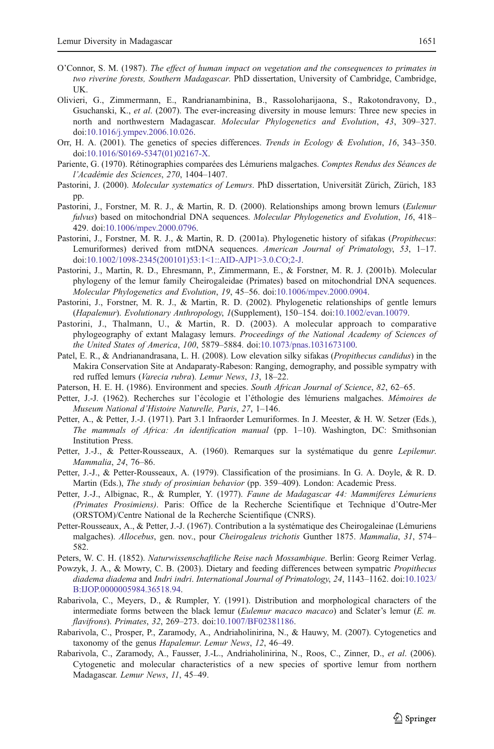- <span id="page-44-0"></span>O'Connor, S. M. (1987). The effect of human impact on vegetation and the consequences to primates in two riverine forests, Southern Madagascar. PhD dissertation, University of Cambridge, Cambridge, UK.
- Olivieri, G., Zimmermann, E., Randrianambinina, B., Rassoloharijaona, S., Rakotondravony, D., Gsuchanski, K., et al. (2007). The ever-increasing diversity in mouse lemurs: Three new species in north and northwestern Madagascar. Molecular Phylogenetics and Evolution, 43, 309–327. doi[:10.1016/j.ympev.2006.10.026](http://dx.doi.org/10.1016/j.ympev.2006.10.026).
- Orr, H. A. (2001). The genetics of species differences. Trends in Ecology & Evolution, 16, 343–350. doi[:10.1016/S0169-5347\(01\)02167-X](http://dx.doi.org/10.1016/S0169-5347(01)02167-X).
- Pariente, G. (1970). Rétinographies comparées des Lémuriens malgaches. Comptes Rendus des Séances de l'Académie des Sciences, 270, 1404–1407.
- Pastorini, J. (2000). *Molecular systematics of Lemurs*. PhD dissertation, Universität Zürich, Zürich, 183 pp.
- Pastorini, J., Forstner, M. R. J., & Martin, R. D. (2000). Relationships among brown lemurs (Eulemur fulvus) based on mitochondrial DNA sequences. Molecular Phylogenetics and Evolution, 16, 418– 429. doi:[10.1006/mpev.2000.0796.](http://dx.doi.org/10.1006/mpev.2000.0796)
- Pastorini, J., Forstner, M. R. J., & Martin, R. D. (2001a). Phylogenetic history of sifakas (Propithecus: Lemuriformes) derived from mtDNA sequences. American Journal of Primatology, 53, 1–17. doi[:10.1002/1098-2345\(200101\)53:1<1::AID-AJP1>3.0.CO;2-J](http://dx.doi.org/10.1002/1098-2345(200101)53:1<1::AID-AJP1>3.0.CO;2-J).
- Pastorini, J., Martin, R. D., Ehresmann, P., Zimmermann, E., & Forstner, M. R. J. (2001b). Molecular phylogeny of the lemur family Cheirogaleidae (Primates) based on mitochondrial DNA sequences. Molecular Phylogenetics and Evolution, 19, 45–56. doi[:10.1006/mpev.2000.0904](http://dx.doi.org/10.1006/mpev.2000.0904).
- Pastorini, J., Forstner, M. R. J., & Martin, R. D. (2002). Phylogenetic relationships of gentle lemurs (Hapalemur). Evolutionary Anthropology, 1(Supplement), 150–154. doi:[10.1002/evan.10079.](http://dx.doi.org/10.1002/evan.10079)
- Pastorini, J., Thalmann, U., & Martin, R. D. (2003). A molecular approach to comparative phylogeography of extant Malagasy lemurs. Proceedings of the National Academy of Sciences of the United States of America, 100, 5879–5884. doi:[10.1073/pnas.1031673100](http://dx.doi.org/10.1073/pnas.1031673100).
- Patel, E. R., & Andrianandrasana, L. H. (2008). Low elevation silky sifakas (Propithecus candidus) in the Makira Conservation Site at Andaparaty-Rabeson: Ranging, demography, and possible sympatry with red ruffed lemurs (Varecia rubra). Lemur News, 13, 18–22.
- Paterson, H. E. H. (1986). Environment and species. South African Journal of Science, 82, 62–65.
- Petter, J.-J. (1962). Recherches sur l'écologie et l'éthologie des lémuriens malgaches. Mémoires de Museum National d'Histoire Naturelle, Paris, 27, 1–146.
- Petter, A., & Petter, J.-J. (1971). Part 3.1 Infraorder Lemuriformes. In J. Meester, & H. W. Setzer (Eds.), The mammals of Africa: An identification manual (pp. 1–10). Washington, DC: Smithsonian Institution Press.
- Petter, J.-J., & Petter-Rousseaux, A. (1960). Remarques sur la systématique du genre Lepilemur. Mammalia, 24, 76–86.
- Petter, J.-J., & Petter-Rousseaux, A. (1979). Classification of the prosimians. In G. A. Doyle, & R. D. Martin (Eds.), The study of prosimian behavior (pp. 359–409). London: Academic Press.
- Petter, J.-J., Albignac, R., & Rumpler, Y. (1977). Faune de Madagascar 44: Mammiferes Lémuriens (Primates Prosimiens). Paris: Office de la Recherche Scientifique et Technique d'Outre-Mer (ORSTOM)/Centre National de la Recherche Scientifique (CNRS).
- Petter-Rousseaux, A., & Petter, J.-J. (1967). Contribution a la systématique des Cheirogaleinae (Lémuriens malgaches). Allocebus, gen. nov., pour Cheirogaleus trichotis Gunther 1875. Mammalia, 31, 574– 582.
- Peters, W. C. H. (1852). Naturwissenschaftliche Reise nach Mossambique. Berlin: Georg Reimer Verlag.
- Powzyk, J. A., & Mowry, C. B. (2003). Dietary and feeding differences between sympatric Propithecus diadema diadema and Indri indri. International Journal of Primatology, 24, 1143–1162. doi[:10.1023/](http://dx.doi.org/10.1023/B:IJOP.0000005984.36518.94) [B:IJOP.0000005984.36518.94.](http://dx.doi.org/10.1023/B:IJOP.0000005984.36518.94)
- Rabarivola, C., Meyers, D., & Rumpler, Y. (1991). Distribution and morphological characters of the intermediate forms between the black lemur (Eulemur macaco macaco) and Sclater's lemur (E. m. flavifrons). Primates, 32, 269–273. doi[:10.1007/BF02381186.](http://dx.doi.org/10.1007/BF02381186)
- Rabarivola, C., Prosper, P., Zaramody, A., Andriaholinirina, N., & Hauwy, M. (2007). Cytogenetics and taxonomy of the genus Hapalemur. Lemur News, 12, 46–49.
- Rabarivola, C., Zaramody, A., Fausser, J.-L., Andriaholinirina, N., Roos, C., Zinner, D., et al. (2006). Cytogenetic and molecular characteristics of a new species of sportive lemur from northern Madagascar. Lemur News, 11, 45–49.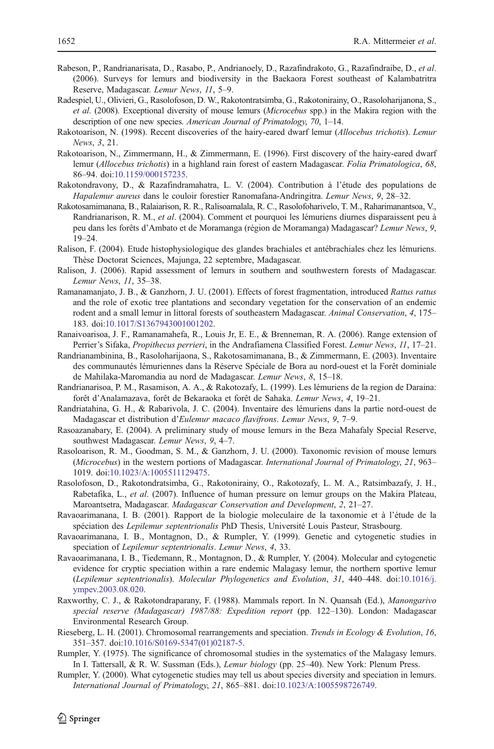- <span id="page-45-0"></span>Rabeson, P., Randrianarisata, D., Rasabo, P., Andrianoely, D., Razafindrakoto, G., Razafindraibe, D., et al. (2006). Surveys for lemurs and biodiversity in the Baekaora Forest southeast of Kalambatritra Reserve, Madagascar. Lemur News, 11, 5–9.
- Radespiel, U., Olivieri, G., Rasolofoson, D. W., Rakotontratsimba, G., Rakotonirainy, O., Rasoloharijanona, S., et al. (2008). Exceptional diversity of mouse lemurs (Microcebus spp.) in the Makira region with the description of one new species. American Journal of Primatology, 70, 1–14.
- Rakotoarison, N. (1998). Recent discoveries of the hairy-eared dwarf lemur (Allocebus trichotis). Lemur News, 3, 21.
- Rakotoarison, N., Zimmermann, H., & Zimmermann, E. (1996). First discovery of the hairy-eared dwarf lemur (Allocebus trichotis) in a highland rain forest of eastern Madagascar. Folia Primatologica, 68, 86–94. doi:[10.1159/000157235](http://dx.doi.org/10.1159/000157235).
- Rakotondravony, D., & Razafindramahatra, L. V. (2004). Contribution à l'étude des populations de Hapalemur aureus dans le couloir forestier Ranomafana-Andringitra. Lemur News, 9, 28–32.
- Rakotosamimanana, B., Ralaiarison, R. R., Ralisoamalala, R. C., Rasolofoharivelo, T. M., Raharimanantsoa, V., Randrianarison, R. M., et al. (2004). Comment et pourquoi les lémuriens diurnes disparaissent peu à peu dans les forêts d'Ambato et de Moramanga (région de Moramanga) Madagascar? Lemur News, 9, 19–24.
- Ralison, F. (2004). Etude histophysiologique des glandes brachiales et antébrachiales chez les lémuriens. Thèse Doctorat Sciences, Majunga, 22 septembre, Madagascar.
- Ralison, J. (2006). Rapid assessment of lemurs in southern and southwestern forests of Madagascar. Lemur News, 11, 35–38.
- Ramanamanjato, J. B., & Ganzhorn, J. U. (2001). Effects of forest fragmentation, introduced Rattus rattus and the role of exotic tree plantations and secondary vegetation for the conservation of an endemic rodent and a small lemur in littoral forests of southeastern Madagascar. Animal Conservation, 4, 175– 183. doi:[10.1017/S1367943001001202.](http://dx.doi.org/10.1017/S1367943001001202)
- Ranaivoarisoa, J. F., Ramanamahefa, R., Louis Jr, E. E., & Brenneman, R. A. (2006). Range extension of Perrier's Sifaka, Propithecus perrieri, in the Andrafiamena Classified Forest. Lemur News, 11, 17–21.
- Randrianambinina, B., Rasoloharijaona, S., Rakotosamimanana, B., & Zimmermann, E. (2003). Inventaire des communautés lémuriennes dans la Réserve Spéciale de Bora au nord-ouest et la Forêt dominiale de Mahilaka-Maromandia au nord de Madagascar. Lemur News, 8, 15–18.
- Randrianarisoa, P. M., Rasamison, A. A., & Rakotozafy, L. (1999). Les lémuriens de la region de Daraina: forêt d'Analamazava, forêt de Bekaraoka et forêt de Sahaka. Lemur News, 4, 19–21.
- Randriatahina, G. H., & Rabarivola, J. C. (2004). Inventaire des lémuriens dans la partie nord-ouest de Madagascar et distribution d'Eulemur macaco flavifrons. Lemur News, 9, 7–9.
- Rasoazanabary, E. (2004). A preliminary study of mouse lemurs in the Beza Mahafaly Special Reserve, southwest Madagascar. Lemur News, 9, 4–7.
- Rasoloarison, R. M., Goodman, S. M., & Ganzhorn, J. U. (2000). Taxonomic revision of mouse lemurs (Microcebus) in the western portions of Madagascar. International Journal of Primatology, 21, 963– 1019. doi:[10.1023/A:1005511129475.](http://dx.doi.org/10.1023/A:1005511129475)
- Rasolofoson, D., Rakotondratsimba, G., Rakotonirainy, O., Rakotozafy, L. M. A., Ratsimbazafy, J. H., Rabetafika, L., et al. (2007). Influence of human pressure on lemur groups on the Makira Plateau, Maroantsetra, Madagascar. Madagascar Conservation and Development, 2, 21–27.
- Ravaoarimanana, I. B. (2001). Rapport de la biologie moleculaire de la taxonomie et à l'étude de la spéciation des Lepilemur septentrionalis PhD Thesis, Université Louis Pasteur, Strasbourg.
- Ravaoarimanana, I. B., Montagnon, D., & Rumpler, Y. (1999). Genetic and cytogenetic studies in speciation of Lepilemur septentrionalis. Lemur News, 4, 33.
- Ravaoarimanana, I. B., Tiedemann, R., Montagnon, D., & Rumpler, Y. (2004). Molecular and cytogenetic evidence for cryptic speciation within a rare endemic Malagasy lemur, the northern sportive lemur (Lepilemur septentrionalis). Molecular Phylogenetics and Evolution, 31, 440–448. doi[:10.1016/j.](http://dx.doi.org/10.1016/j.ympev.2003.08.020) [ympev.2003.08.020.](http://dx.doi.org/10.1016/j.ympev.2003.08.020)
- Raxworthy, C. J., & Rakotondraparany, F. (1988). Mammals report. In N. Quansah (Ed.), Manongarivo special reserve (Madagascar) 1987/88: Expedition report (pp. 122–130). London: Madagascar Environmental Research Group.
- Rieseberg, L. H. (2001). Chromosomal rearrangements and speciation. Trends in Ecology & Evolution, 16, 351–357. doi:[10.1016/S0169-5347\(01\)02187-5.](http://dx.doi.org/10.1016/S0169-5347(01)02187-5)
- Rumpler, Y. (1975). The significance of chromosomal studies in the systematics of the Malagasy lemurs. In I. Tattersall, & R. W. Sussman (Eds.), Lemur biology (pp. 25–40). New York: Plenum Press.
- Rumpler, Y. (2000). What cytogenetic studies may tell us about species diversity and speciation in lemurs. International Journal of Primatology, 21, 865–881. doi:[10.1023/A:1005598726749](http://dx.doi.org/10.1023/A:1005598726749).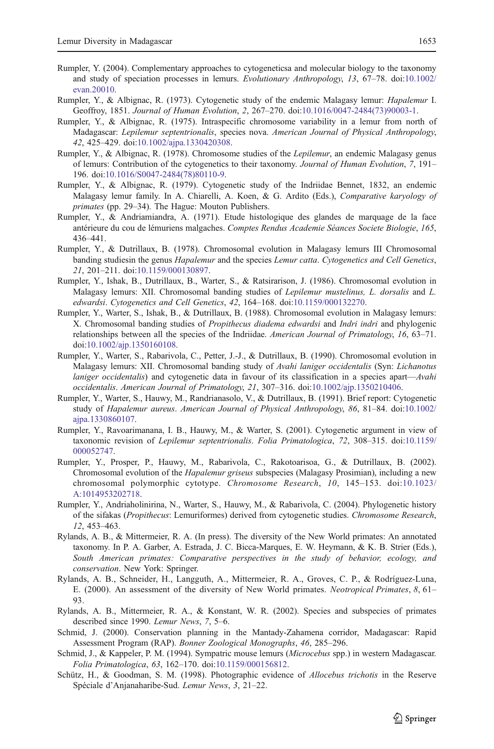- <span id="page-46-0"></span>Rumpler, Y. (2004). Complementary approaches to cytogeneticsa and molecular biology to the taxonomy and study of speciation processes in lemurs. Evolutionary Anthropology, 13, 67–78. doi[:10.1002/](http://dx.doi.org/10.1002/evan.20010) [evan.20010.](http://dx.doi.org/10.1002/evan.20010)
- Rumpler, Y., & Albignac, R. (1973). Cytogenetic study of the endemic Malagasy lemur: Hapalemur I. Geoffroy, 1851. Journal of Human Evolution, 2, 267–270. doi:[10.1016/0047-2484\(73\)90003-1.](http://dx.doi.org/10.1016/0047-2484(73)90003-1)
- Rumpler, Y., & Albignac, R. (1975). Intraspecific chromosome variability in a lemur from north of Madagascar: Lepilemur septentrionalis, species nova. American Journal of Physical Anthropology, 42, 425–429. doi[:10.1002/ajpa.1330420308](http://dx.doi.org/10.1002/ajpa.1330420308).
- Rumpler, Y., & Albignac, R. (1978). Chromosome studies of the Lepilemur, an endemic Malagasy genus of lemurs: Contribution of the cytogenetics to their taxonomy. Journal of Human Evolution, 7, 191– 196. doi:[10.1016/S0047-2484\(78\)80110-9.](http://dx.doi.org/10.1016/S0047-2484(78)80110-9)
- Rumpler, Y., & Albignac, R. (1979). Cytogenetic study of the Indriidae Bennet, 1832, an endemic Malagasy lemur family. In A. Chiarelli, A. Koen, & G. Ardito (Eds.), Comparative karyology of primates (pp. 29–34). The Hague: Mouton Publishers.
- Rumpler, Y., & Andriamiandra, A. (1971). Etude histologique des glandes de marquage de la face antérieure du cou de lémuriens malgaches. Comptes Rendus Academie Séances Societe Biologie, 165, 436–441.
- Rumpler, Y., & Dutrillaux, B. (1978). Chromosomal evolution in Malagasy lemurs III Chromosomal banding studiesin the genus Hapalemur and the species Lemur catta. Cytogenetics and Cell Genetics, 21, 201–211. doi:[10.1159/000130897](http://dx.doi.org/10.1159/000130897).
- Rumpler, Y., Ishak, B., Dutrillaux, B., Warter, S., & Ratsirarison, J. (1986). Chromosomal evolution in Malagasy lemurs: XII. Chromosomal banding studies of Lepilemur mustelinus, L. dorsalis and L. edwardsi. Cytogenetics and Cell Genetics, 42, 164–168. doi[:10.1159/000132270.](http://dx.doi.org/10.1159/000132270)
- Rumpler, Y., Warter, S., Ishak, B., & Dutrillaux, B. (1988). Chromosomal evolution in Malagasy lemurs: X. Chromosomal banding studies of Propithecus diadema edwardsi and Indri indri and phylogenic relationships between all the species of the Indriidae. American Journal of Primatology, 16, 63–71. doi[:10.1002/ajp.1350160108.](http://dx.doi.org/10.1002/ajp.1350160108)
- Rumpler, Y., Warter, S., Rabarivola, C., Petter, J.-J., & Dutrillaux, B. (1990). Chromosomal evolution in Malagasy lemurs: XII. Chromosomal banding study of Avahi laniger occidentalis (Syn: Lichanotus laniger occidentalis) and cytogenetic data in favour of its classification in a species apart—Avahi occidentalis. American Journal of Primatology, 21, 307–316. doi:[10.1002/ajp.1350210406.](http://dx.doi.org/10.1002/ajp.1350210406)
- Rumpler, Y., Warter, S., Hauwy, M., Randrianasolo, V., & Dutrillaux, B. (1991). Brief report: Cytogenetic study of Hapalemur aureus. American Journal of Physical Anthropology, 86, 81–84. doi[:10.1002/](http://dx.doi.org/10.1002/ajpa.1330860107) [ajpa.1330860107.](http://dx.doi.org/10.1002/ajpa.1330860107)
- Rumpler, Y., Ravoarimanana, I. B., Hauwy, M., & Warter, S. (2001). Cytogenetic argument in view of taxonomic revision of Lepilemur septentrionalis. Folia Primatologica, 72, 308–315. doi:[10.1159/](http://dx.doi.org/10.1159/000052747) [000052747.](http://dx.doi.org/10.1159/000052747)
- Rumpler, Y., Prosper, P., Hauwy, M., Rabarivola, C., Rakotoarisoa, G., & Dutrillaux, B. (2002). Chromosomal evolution of the Hapalemur griseus subspecies (Malagasy Prosimian), including a new chromosomal polymorphic cytotype. Chromosome Research, 10, 145–153. doi[:10.1023/](http://dx.doi.org/10.1023/A:1014953202718) [A:1014953202718](http://dx.doi.org/10.1023/A:1014953202718).
- Rumpler, Y., Andriaholinirina, N., Warter, S., Hauwy, M., & Rabarivola, C. (2004). Phylogenetic history of the sifakas (Propithecus: Lemuriformes) derived from cytogenetic studies. Chromosome Research, 12, 453–463.
- Rylands, A. B., & Mittermeier, R. A. (In press). The diversity of the New World primates: An annotated taxonomy. In P. A. Garber, A. Estrada, J. C. Bicca-Marques, E. W. Heymann, & K. B. Strier (Eds.), South American primates: Comparative perspectives in the study of behavior, ecology, and conservation. New York: Springer.
- Rylands, A. B., Schneider, H., Langguth, A., Mittermeier, R. A., Groves, C. P., & Rodríguez-Luna, E. (2000). An assessment of the diversity of New World primates. Neotropical Primates, 8, 61– 93.
- Rylands, A. B., Mittermeier, R. A., & Konstant, W. R. (2002). Species and subspecies of primates described since 1990. Lemur News, 7, 5–6.
- Schmid, J. (2000). Conservation planning in the Mantady-Zahamena corridor, Madagascar: Rapid Assessment Program (RAP). Bonner Zoological Monographs, 46, 285–296.
- Schmid, J., & Kappeler, P. M. (1994). Sympatric mouse lemurs (*Microcebus* spp.) in western Madagascar. Folia Primatologica, 63, 162–170. doi[:10.1159/000156812.](http://dx.doi.org/10.1159/000156812)
- Schütz, H., & Goodman, S. M. (1998). Photographic evidence of Allocebus trichotis in the Reserve Spéciale d'Anjanaharibe-Sud. Lemur News, 3, 21–22.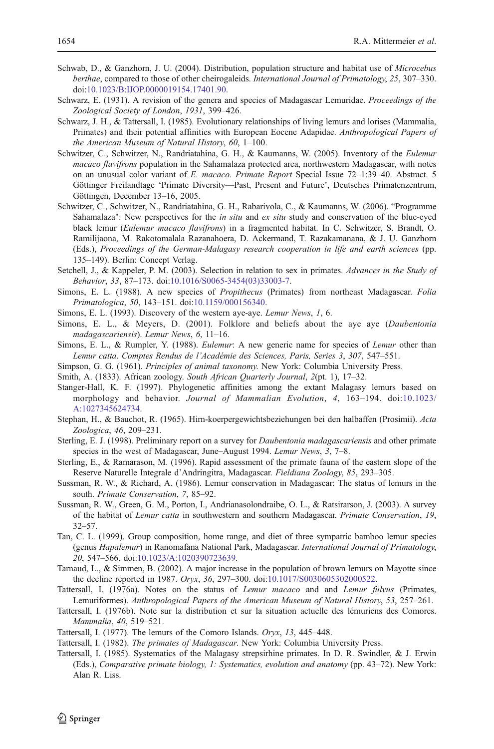- <span id="page-47-0"></span>Schwab, D., & Ganzhorn, J. U. (2004). Distribution, population structure and habitat use of Microcebus berthae, compared to those of other cheirogaleids. International Journal of Primatology, 25, 307–330. doi[:10.1023/B:IJOP.0000019154.17401.90](http://dx.doi.org/10.1023/B:IJOP.0000019154.17401.90).
- Schwarz, E. (1931). A revision of the genera and species of Madagascar Lemuridae. *Proceedings of the* Zoological Society of London, 1931, 399–426.
- Schwarz, J. H., & Tattersall, I. (1985). Evolutionary relationships of living lemurs and lorises (Mammalia, Primates) and their potential affinities with European Eocene Adapidae. Anthropological Papers of the American Museum of Natural History, 60, 1–100.
- Schwitzer, C., Schwitzer, N., Randriatahina, G. H., & Kaumanns, W. (2005). Inventory of the Eulemur macaco flavifrons population in the Sahamalaza protected area, northwestern Madagascar, with notes on an unusual color variant of E. macaco. Primate Report Special Issue 72–1:39–40. Abstract. 5 Göttinger Freilandtage 'Primate Diversity—Past, Present and Future', Deutsches Primatenzentrum, Göttingen, December 13–16, 2005.
- Schwitzer, C., Schwitzer, N., Randriatahina, G. H., Rabarivola, C., & Kaumanns, W. (2006). "Programme Sahamalaza": New perspectives for the *in situ* and *ex situ* study and conservation of the blue-eyed black lemur (Eulemur macaco flavifrons) in a fragmented habitat. In C. Schwitzer, S. Brandt, O. Ramilijaona, M. Rakotomalala Razanahoera, D. Ackermand, T. Razakamanana, & J. U. Ganzhorn (Eds.), Proceedings of the German-Malagasy research cooperation in life and earth sciences (pp. 135–149). Berlin: Concept Verlag.
- Setchell, J., & Kappeler, P. M. (2003). Selection in relation to sex in primates. Advances in the Study of Behavior, 33, 87–173. doi[:10.1016/S0065-3454\(03\)33003-7.](http://dx.doi.org/10.1016/S0065-3454(03)33003-7)
- Simons, E. L. (1988). A new species of *Propithecus* (Primates) from northeast Madagascar. *Folia* Primatologica, 50, 143–151. doi[:10.1159/000156340.](http://dx.doi.org/10.1159/000156340)
- Simons, E. L. (1993). Discovery of the western aye-aye. Lemur News, 1, 6.
- Simons, E. L., & Meyers, D. (2001). Folklore and beliefs about the aye aye (Daubentonia madagascariensis). Lemur News, 6, 11–16.
- Simons, E. L., & Rumpler, Y. (1988). *Eulemur*: A new generic name for species of *Lemur* other than Lemur catta. Comptes Rendus de l'Académie des Sciences, Paris, Series 3, 307, 547–551.
- Simpson, G. G. (1961). Principles of animal taxonomy. New York: Columbia University Press.
- Smith, A. (1833). African zoology. South African Quarterly Journal, 2(pt. 1), 17–32.
- Stanger-Hall, K. F. (1997). Phylogenetic affinities among the extant Malagasy lemurs based on morphology and behavior. Journal of Mammalian Evolution, 4, 163–194. doi[:10.1023/](http://dx.doi.org/10.1023/A:1027345624734) [A:1027345624734](http://dx.doi.org/10.1023/A:1027345624734).
- Stephan, H., & Bauchot, R. (1965). Hirn-koerpergewichtsbeziehungen bei den halbaffen (Prosimii). Acta Zoologica, 46, 209–231.
- Sterling, E. J. (1998). Preliminary report on a survey for *Daubentonia madagascariensis* and other primate species in the west of Madagascar, June–August 1994. Lemur News, 3, 7–8.
- Sterling, E., & Ramarason, M. (1996). Rapid assessment of the primate fauna of the eastern slope of the Reserve Naturelle Integrale d'Andringitra, Madagascar. Fieldiana Zoology, 85, 293–305.
- Sussman, R. W., & Richard, A. (1986). Lemur conservation in Madagascar: The status of lemurs in the south. Primate Conservation, 7, 85–92.
- Sussman, R. W., Green, G. M., Porton, I., Andrianasolondraibe, O. L., & Ratsirarson, J. (2003). A survey of the habitat of Lemur catta in southwestern and southern Madagascar. Primate Conservation, 19, 32–57.
- Tan, C. L. (1999). Group composition, home range, and diet of three sympatric bamboo lemur species (genus Hapalemur) in Ranomafana National Park, Madagascar. International Journal of Primatology, 20, 547–566. doi[:10.1023/A:1020390723639.](http://dx.doi.org/10.1023/A:1020390723639)
- Tarnaud, L., & Simmen, B. (2002). A major increase in the population of brown lemurs on Mayotte since the decline reported in 1987. Oryx, 36, 297–300. doi[:10.1017/S0030605302000522](http://dx.doi.org/10.1017/S0030605302000522).
- Tattersall, I. (1976a). Notes on the status of Lemur macaco and and Lemur fulvus (Primates, Lemuriformes). Anthropological Papers of the American Museum of Natural History, 53, 257–261.
- Tattersall, I. (1976b). Note sur la distribution et sur la situation actuelle des lémuriens des Comores. Mammalia, 40, 519–521.
- Tattersall, I. (1977). The lemurs of the Comoro Islands. Oryx, 13, 445–448.
- Tattersall, I. (1982). The primates of Madagascar. New York: Columbia University Press.
- Tattersall, I. (1985). Systematics of the Malagasy strepsirhine primates. In D. R. Swindler, & J. Erwin (Eds.), Comparative primate biology, 1: Systematics, evolution and anatomy (pp. 43–72). New York: Alan R. Liss.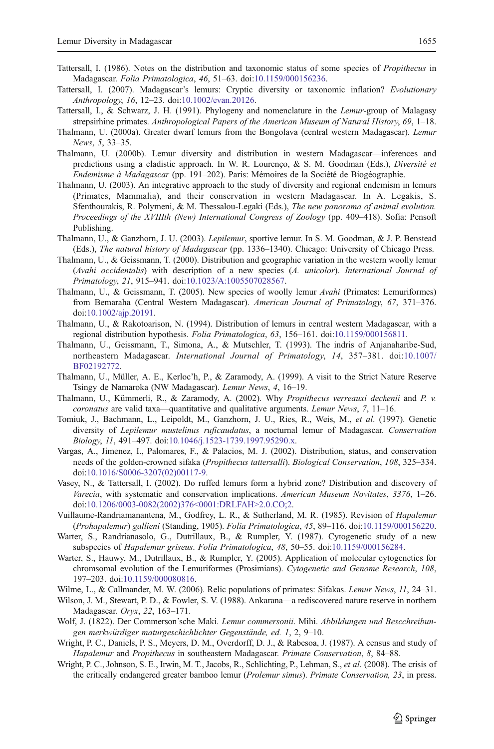- <span id="page-48-0"></span>Tattersall, I. (1986). Notes on the distribution and taxonomic status of some species of Propithecus in Madagascar. Folia Primatologica, 46, 51–63. doi[:10.1159/000156236.](http://dx.doi.org/10.1159/000156236)
- Tattersall, I. (2007). Madagascar's lemurs: Cryptic diversity or taxonomic inflation? Evolutionary Anthropology, 16, 12–23. doi:[10.1002/evan.20126](http://dx.doi.org/10.1002/evan.20126).
- Tattersall, I., & Schwarz, J. H. (1991). Phylogeny and nomenclature in the Lemur-group of Malagasy strepsirhine primates. Anthropological Papers of the American Museum of Natural History, 69, 1–18.
- Thalmann, U. (2000a). Greater dwarf lemurs from the Bongolava (central western Madagascar). Lemur News, 5, 33–35.
- Thalmann, U. (2000b). Lemur diversity and distribution in western Madagascar—inferences and predictions using a cladistic approach. In W. R. Lourenço, & S. M. Goodman (Eds.), Diversité et Endemisme à Madagascar (pp. 191–202). Paris: Mémoires de la Société de Biogéographie.
- Thalmann, U. (2003). An integrative approach to the study of diversity and regional endemism in lemurs (Primates, Mammalia), and their conservation in western Madagascar. In A. Legakis, S. Sfenthourakis, R. Polymeni, & M. Thessalou-Legaki (Eds.), The new panorama of animal evolution. Proceedings of the XVIIIth (New) International Congress of Zoology (pp. 409–418). Sofia: Pensoft Publishing.
- Thalmann, U., & Ganzhorn, J. U. (2003). Lepilemur, sportive lemur. In S. M. Goodman, & J. P. Benstead (Eds.), The natural history of Madagascar (pp. 1336–1340). Chicago: University of Chicago Press.
- Thalmann, U., & Geissmann, T. (2000). Distribution and geographic variation in the western woolly lemur (Avahi occidentalis) with description of a new species (A. unicolor). International Journal of Primatology, 21, 915–941. doi:[10.1023/A:1005507028567](http://dx.doi.org/10.1023/A:1005507028567).
- Thalmann, U., & Geissmann, T. (2005). New species of woolly lemur Avahi (Primates: Lemuriformes) from Bemaraha (Central Western Madagascar). American Journal of Primatology, 67, 371–376. doi[:10.1002/ajp.20191.](http://dx.doi.org/10.1002/ajp.20191)
- Thalmann, U., & Rakotoarison, N. (1994). Distribution of lemurs in central western Madagascar, with a regional distribution hypothesis. Folia Primatologica, 63, 156–161. doi:[10.1159/000156811.](http://dx.doi.org/10.1159/000156811)
- Thalmann, U., Geissmann, T., Simona, A., & Mutschler, T. (1993). The indris of Anjanaharibe-Sud, northeastern Madagascar. International Journal of Primatology, 14, 357–381. doi[:10.1007/](http://dx.doi.org/10.1007/BF02192772) [BF02192772](http://dx.doi.org/10.1007/BF02192772).
- Thalmann, U., Müller, A. E., Kerloc'h, P., & Zaramody, A. (1999). A visit to the Strict Nature Reserve Tsingy de Namaroka (NW Madagascar). Lemur News, 4, 16–19.
- Thalmann, U., Kümmerli, R., & Zaramody, A. (2002). Why Propithecus verreauxi deckenii and P. v. coronatus are valid taxa—quantitative and qualitative arguments. Lemur News, 7, 11–16.
- Tomiuk, J., Bachmann, L., Leipoldt, M., Ganzhorn, J. U., Ries, R., Weis, M., et al. (1997). Genetic diversity of Lepilemur mustelinus ruficaudatus, a nocturnal lemur of Madagascar. Conservation Biology, 11, 491–497. doi[:10.1046/j.1523-1739.1997.95290.x](http://dx.doi.org/10.1046/j.1523-1739.1997.95290.x).
- Vargas, A., Jimenez, I., Palomares, F., & Palacios, M. J. (2002). Distribution, status, and conservation needs of the golden-crowned sifaka (Propithecus tattersalli). Biological Conservation, 108, 325–334. doi[:10.1016/S0006-3207\(02\)00117-9](http://dx.doi.org/10.1016/S0006-3207(02)00117-9).
- Vasey, N., & Tattersall, I. (2002). Do ruffed lemurs form a hybrid zone? Distribution and discovery of Varecia, with systematic and conservation implications. American Museum Novitates, 3376, 1–26. doi[:10.1206/0003-0082\(2002\)376<0001:DRLFAH>2.0.CO;2.](http://dx.doi.org/10.1206/0003-0082(2002)376<0001:DRLFAH>2.0.CO;2)
- Vuillaume-Randriamanantena, M., Godfrey, L. R., & Sutherland, M. R. (1985). Revision of Hapalemur (Prohapalemur) gallieni (Standing, 1905). Folia Primatologica, 45, 89–116. doi:[10.1159/000156220](http://dx.doi.org/10.1159/000156220).
- Warter, S., Randrianasolo, G., Dutrillaux, B., & Rumpler, Y. (1987). Cytogenetic study of a new subspecies of Hapalemur griseus. Folia Primatologica, 48, 50–55. doi[:10.1159/000156284.](http://dx.doi.org/10.1159/000156284)
- Warter, S., Hauwy, M., Dutrillaux, B., & Rumpler, Y. (2005). Application of molecular cytogenetics for chromsomal evolution of the Lemuriformes (Prosimians). Cytogenetic and Genome Research, 108, 197–203. doi:[10.1159/000080816](http://dx.doi.org/10.1159/000080816).
- Wilme, L., & Callmander, M. W. (2006). Relic populations of primates: Sifakas. Lemur News, 11, 24–31.
- Wilson, J. M., Stewart, P. D., & Fowler, S. V. (1988). Ankarana—a rediscovered nature reserve in northern Madagascar. Oryx, 22, 163–171.
- Wolf, J. (1822). Der Commerson'sche Maki. Lemur commersonii. Mihi. Abbildungen und Bescchreibungen merkwürdiger maturgeschichlichter Gegenstände, ed. 1, 2, 9–10.
- Wright, P. C., Daniels, P. S., Meyers, D. M., Overdorff, D. J., & Rabesoa, J. (1987). A census and study of Hapalemur and Propithecus in southeastern Madagascar. Primate Conservation, 8, 84–88.
- Wright, P. C., Johnson, S. E., Irwin, M. T., Jacobs, R., Schlichting, P., Lehman, S., et al. (2008). The crisis of the critically endangered greater bamboo lemur (Prolemur simus). Primate Conservation, 23, in press.